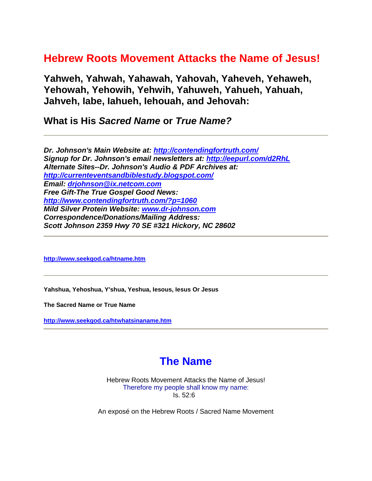# **Hebrew Roots Movement Attacks the Name of Jesus!**

**Yahweh, Yahwah, Yahawah, Yahovah, Yaheveh, Yehaweh, Yehowah, Yehowih, Yehwih, Yahuweh, Yahueh, Yahuah, Jahveh, Iabe, Iahueh, Iehouah, and Jehovah:**

**What is His** *Sacred Name* **or** *True Name?*

*Dr. Johnson's Main Website at:<http://contendingfortruth.com/> Signup for Dr. Johnson's email newsletters at:<http://eepurl.com/d2RhL> Alternate Sites--Dr. Johnson's Audio & PDF Archives at: <http://currenteventsandbiblestudy.blogspot.com/> Email: [drjohnson@ix.netcom.com](mailto:drjohnson@ix.netcom.com) Free Gift-The True Gospel Good News: <http://www.contendingfortruth.com/?p=1060> Mild Silver Protein Website: [www.dr-johnson.com](http://www.dr-johnson.com/) Correspondence/Donations/Mailing Address: Scott Johnson 2359 Hwy 70 SE #321 Hickory, NC 28602*

**<http://www.seekgod.ca/htname.htm>**

**Yahshua, Yehoshua, Y'shua, Yeshua, Iesous, Iesus Or Jesus** 

**The Sacred Name or True Name** 

**<http://www.seekgod.ca/htwhatsinaname.htm>**

# **The Name**

Hebrew Roots Movement Attacks the Name of Jesus! Therefore my people shall know my name: Is. 52:6

An exposé on the Hebrew Roots / Sacred Name Movement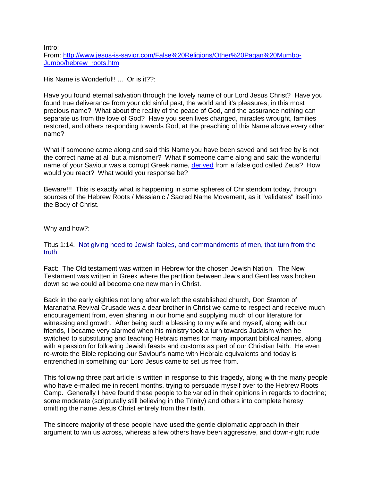Intro:

From: [http://www.jesus-is-savior.com/False%20Religions/Other%20Pagan%20Mumbo-](http://www.jesus-is-savior.com/False%20Religions/Other%20Pagan%20Mumbo-Jumbo/hebrew_roots.htm)[Jumbo/hebrew\\_roots.htm](http://www.jesus-is-savior.com/False%20Religions/Other%20Pagan%20Mumbo-Jumbo/hebrew_roots.htm)

His Name is Wonderful!! ... Or is it??:

Have you found eternal salvation through the lovely name of our Lord Jesus Christ? Have you found true deliverance from your old sinful past, the world and it's pleasures, in this most precious name? What about the reality of the peace of God, and the assurance nothing can separate us from the love of God? Have you seen lives changed, miracles wrought, families restored, and others responding towards God, at the preaching of this Name above every other name?

What if someone came along and said this Name you have been saved and set free by is not the correct name at all but a misnomer? What if someone came along and said the wonderful name of your Saviour was a corrupt Greek name, [derived](javascript:if(confirm() from a false god called Zeus? How would you react? What would you response be?

Beware!!! This is exactly what is happening in some spheres of Christendom today, through sources of the Hebrew Roots / Messianic / Sacred Name Movement, as it "validates" itself into the Body of Christ.

Why and how?:

Titus 1:14. Not giving heed to Jewish fables, and commandments of men, that turn from the truth.

Fact: The Old testament was written in Hebrew for the chosen Jewish Nation. The New Testament was written in Greek where the partition between Jew's and Gentiles was broken down so we could all become one new man in Christ.

Back in the early eighties not long after we left the established church, Don Stanton of Maranatha Revival Crusade was a dear brother in Christ we came to respect and receive much encouragement from, even sharing in our home and supplying much of our literature for witnessing and growth. After being such a blessing to my wife and myself, along with our friends, I became very alarmed when his ministry took a turn towards Judaism when he switched to substituting and teaching Hebraic names for many important biblical names, along with a passion for following Jewish feasts and customs as part of our Christian faith. He even re-wrote the Bible replacing our Saviour's name with Hebraic equivalents and today is entrenched in something our Lord Jesus came to set us free from.

This following three part article is written in response to this tragedy, along with the many people who have e-mailed me in recent months, trying to persuade myself over to the Hebrew Roots Camp. Generally I have found these people to be varied in their opinions in regards to doctrine; some moderate (scripturally still believing in the Trinity) and others into complete heresy omitting the name Jesus Christ entirely from their faith.

The sincere majority of these people have used the gentle diplomatic approach in their argument to win us across, whereas a few others have been aggressive, and down-right rude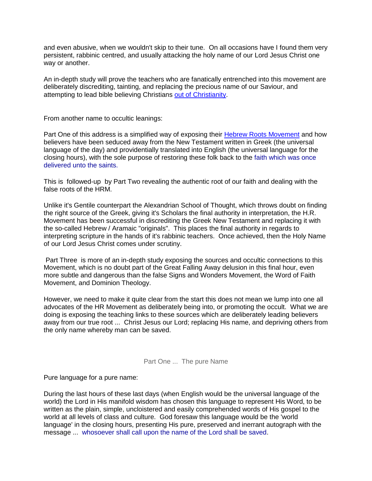and even abusive, when we wouldn't skip to their tune. On all occasions have I found them very persistent, rabbinic centred, and usually attacking the holy name of our Lord Jesus Christ one way or another.

An in-depth study will prove the teachers who are fanatically entrenched into this movement are deliberately discrediting, tainting, and replacing the precious name of our Saviour, and attempting to lead bible believing Christians [out of Christianity.](javascript:if(confirm()

From another name to occultic leanings:

Part One of this address is a simplified way of exposing their [Hebrew Roots Movement](javascript:if(confirm() and how believers have been seduced away from the New Testament written in Greek (the universal language of the day) and providentially translated into English (the universal language for the closing hours), with the sole purpose of restoring these folk back to the faith which was once delivered unto the saints.

This is followed-up by Part Two revealing the authentic root of our faith and dealing with the false roots of the HRM.

Unlike it's Gentile counterpart the Alexandrian School of Thought, which throws doubt on finding the right source of the Greek, giving it's Scholars the final authority in interpretation, the H.R. Movement has been successful in discrediting the Greek New Testament and replacing it with the so-called Hebrew / Aramaic "originals". This places the final authority in regards to interpreting scripture in the hands of it's rabbinic teachers. Once achieved, then the Holy Name of our Lord Jesus Christ comes under scrutiny.

Part Three is more of an in-depth study exposing the sources and occultic connections to this Movement, which is no doubt part of the Great Falling Away delusion in this final hour, even more subtle and dangerous than the false Signs and Wonders Movement, the Word of Faith Movement, and Dominion Theology.

However, we need to make it quite clear from the start this does not mean we lump into one all advocates of the HR Movement as deliberately being into, or promoting the occult. What we are doing is exposing the teaching links to these sources which are deliberately leading believers away from our true root ... Christ Jesus our Lord; replacing His name, and depriving others from the only name whereby man can be saved.

Part One ... The pure Name

Pure language for a pure name:

During the last hours of these last days (when English would be the universal language of the world) the Lord in His manifold wisdom has chosen this language to represent His Word, to be written as the plain, simple, uncloistered and easily comprehended words of His gospel to the world at all levels of class and culture. God foresaw this language would be the 'world language' in the closing hours, presenting His pure, preserved and inerrant autograph with the message ... whosoever shall call upon the name of the Lord shall be saved.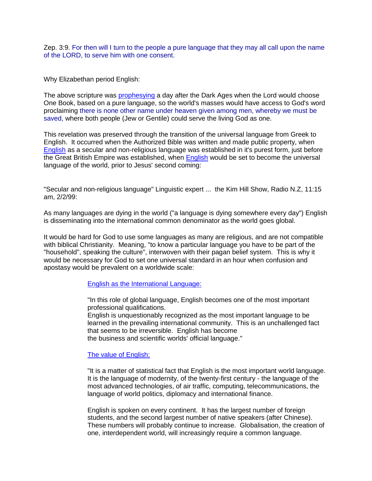Zep. 3:9. For then will I turn to the people a pure language that they may all call upon the name of the LORD, to serve him with one consent.

Why Elizabethan period English:

The above scripture was [prophesying](javascript:if(confirm() a day after the Dark Ages when the Lord would choose One Book, based on a pure language, so the world's masses would have access to God's word proclaiming there is none other name under heaven given among men, whereby we must be saved, where both people (Jew or Gentile) could serve the living God as one.

This revelation was preserved through the transition of the universal language from Greek to English. It occurred when the Authorized Bible was written and made public property, when [English](javascript:if(confirm() as a secular and non-religious language was established in it's purest form, just before the Great British Empire was established, when [English](javascript:if(confirm() would be set to become the universal language of the world, prior to Jesus' second coming:

"Secular and non-religious language" Linguistic expert ... the Kim Hill Show, Radio N.Z, 11:15 am, 2/2/99:

As many languages are dying in the world ("a language is dying somewhere every day") English is disseminating into the international common denominator as the world goes global.

It would be hard for God to use some languages as many are religious, and are not compatible with biblical Christianity. Meaning, "to know a particular language you have to be part of the "household", speaking the culture", interwoven with their pagan belief system. This is why it would be necessary for God to set one universal standard in an hour when confusion and apostasy would be prevalent on a worldwide scale:

[English as the International Language:](javascript:if(confirm()

"In this role of global language, English becomes one of the most important professional qualifications.

English is unquestionably recognized as the most important language to be learned in the prevailing international community. This is an unchallenged fact that seems to be irreversible. English has become

the business and scientific worlds' official language."

[The value of English:](javascript:if(confirm()

"It is a matter of statistical fact that English is the most important world language. It is the language of modernity, of the twenty-first century - the language of the most advanced technologies, of air traffic, computing, telecommunications, the language of world politics, diplomacy and international finance.

English is spoken on every continent. It has the largest number of foreign students, and the second largest number of native speakers (after Chinese). These numbers will probably continue to increase. Globalisation, the creation of one, interdependent world, will increasingly require a common language.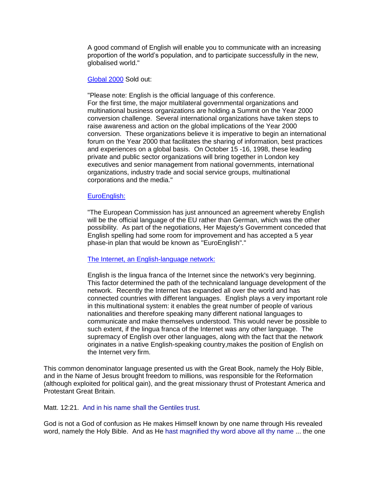A good command of English will enable you to communicate with an increasing proportion of the world's population, and to participate successfully in the new, globalised world."

#### [Global 2000](javascript:if(confirm() Sold out:

"Please note: English is the official language of this conference. For the first time, the major multilateral governmental organizations and multinational business organizations are holding a Summit on the Year 2000 conversion challenge. Several international organizations have taken steps to raise awareness and action on the global implications of the Year 2000 conversion. These organizations believe it is imperative to begin an international forum on the Year 2000 that facilitates the sharing of information, best practices and experiences on a global basis. On October 15 -16, 1998, these leading private and public sector organizations will bring together in London key executives and senior management from national governments, international organizations, industry trade and social service groups, multinational corporations and the media."

#### [EuroEnglish:](javascript:if(confirm()

"The European Commission has just announced an agreement whereby English will be the official language of the EU rather than German, which was the other possibility. As part of the negotiations, Her Majesty's Government conceded that English spelling had some room for improvement and has accepted a 5 year phase-in plan that would be known as "EuroEnglish"."

#### [The Internet, an English-language network:](javascript:if(confirm()

English is the lingua franca of the Internet since the network's very beginning. This factor determined the path of the technicaland language development of the network. Recently the Internet has expanded all over the world and has connected countries with different languages. English plays a very important role in this multinational system: it enables the great number of people of various nationalities and therefore speaking many different national languages to communicate and make themselves understood. This would never be possible to such extent, if the lingua franca of the Internet was any other language. The supremacy of English over other languages, along with the fact that the network originates in a native English-speaking country,makes the position of English on the Internet very firm.

This common denominator language presented us with the Great Book, namely the Holy Bible, and in the Name of Jesus brought freedom to millions, was responsible for the Reformation (although exploited for political gain), and the great missionary thrust of Protestant America and Protestant Great Britain.

#### Matt. 12:21. And in his name shall the Gentiles trust.

God is not a God of confusion as He makes Himself known by one name through His revealed word, namely the Holy Bible. And as He hast magnified thy word above all thy name ... the one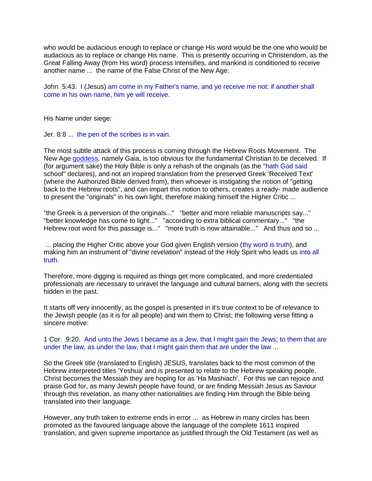who would be audacious enough to replace or change His word would be the one who would be audacious as to replace or change His name. This is presently occurring in Christendom, as the Great Falling Away (from His word) process intensifies, and mankind is conditioned to receive another name ... the name of the False Christ of the New Age:

John 5:43. I (Jesus) am come in my Father's name, and ye receive me not: if another shall come in his own name, him ye will receive.

His Name under siege:

Jer. 8:8 ... the pen of the scribes is in vain.

The most subtle attack of this process is coming through the Hebrew Roots Movement. The New Age [goddess,](javascript:if(confirm() namely Gaia, is too obvious for the fundamental Christian to be deceived. If (for argument sake) the Holy Bible is only a rehash of the originals (as the "hath God said school" declares), and not an inspired translation from the preserved Greek 'Received Text' (where the Authorized Bible derived from), then whoever is instigating the notion of "getting back to the Hebrew roots", and can impart this notion to others, creates a ready- made audience to present the "originals" in his own light, therefore making himself the Higher Critic ...

"the Greek is a perversion of the originals..." "better and more reliable manuscripts say..." "better knowledge has come to light..." "according to extra biblical commentary..." "the Hebrew root word for this passage is..." "more truth is now attainable..." And thus and so ...

... placing the Higher Critic above your God given English version (thy word is truth), and making him an instrument of "divine revelation" instead of the Holy Spirit who leads us into all truth.

Therefore, more digging is required as things get more complicated, and more credentialed professionals are necessary to unravel the language and cultural barriers, along with the secrets hidden in the past.

It starts off very innocently, as the gospel is presented in it's true context to be of relevance to the Jewish people (as it is for all people) and win them to Christ; the following verse fitting a sincere motive:

#### 1 Cor. 9:20. And unto the Jews I became as a Jew, that I might gain the Jews; to them that are under the law, as under the law, that I might gain them that are under the law ...

So the Greek title (translated to English) JESUS, translates back to the most common of the Hebrew interpreted titles 'Yeshua' and is presented to relate to the Hebrew speaking people. Christ becomes the Messiah they are hoping for as 'Ha Mashiach'. For this we can rejoice and praise God for, as many Jewish people have found, or are finding Messiah Jesus as Saviour through this revelation, as many other nationalities are finding Him through the Bible being translated into their language.

However, any truth taken to extreme ends in error ... as Hebrew in many circles has been promoted as the favoured language above the language of the complete 1611 inspired translation, and given supreme importance as justified through the Old Testament (as well as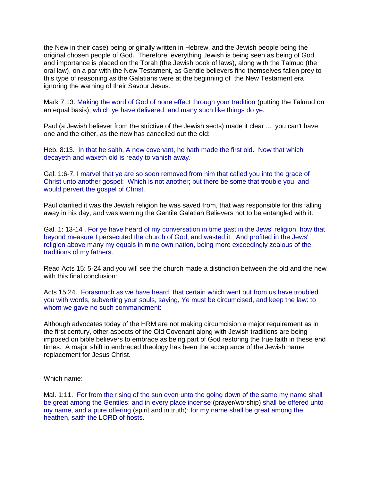the New in their case) being originally written in Hebrew, and the Jewish people being the original chosen people of God. Therefore, everything Jewish is being seen as being of God, and importance is placed on the Torah (the Jewish book of laws), along with the Talmud (the oral law), on a par with the New Testament, as Gentile believers find themselves fallen prey to this type of reasoning as the Galatians were at the beginning of the New Testament era ignoring the warning of their Savour Jesus:

Mark 7:13. Making the word of God of none effect through your tradition (putting the Talmud on an equal basis), which ye have delivered: and many such like things do ye.

Paul (a Jewish believer from the strictive of the Jewish sects) made it clear ... you can't have one and the other, as the new has cancelled out the old:

Heb. 8:13. In that he saith, A new covenant, he hath made the first old. Now that which decayeth and waxeth old is ready to vanish away.

Gal. 1:6-7. I marvel that ye are so soon removed from him that called you into the grace of Christ unto another gospel: Which is not another; but there be some that trouble you, and would pervert the gospel of Christ.

Paul clarified it was the Jewish religion he was saved from, that was responsible for this falling away in his day, and was warning the Gentile Galatian Believers not to be entangled with it:

Gal. 1: 13-14 . For ye have heard of my conversation in time past in the Jews' religion, how that beyond measure I persecuted the church of God, and wasted it: And profited in the Jews' religion above many my equals in mine own nation, being more exceedingly zealous of the traditions of my fathers.

Read Acts 15: 5-24 and you will see the church made a distinction between the old and the new with this final conclusion:

Acts 15:24. Forasmuch as we have heard, that certain which went out from us have troubled you with words, subverting your souls, saying, Ye must be circumcised, and keep the law: to whom we gave no such commandment:

Although advocates today of the HRM are not making circumcision a major requirement as in the first century, other aspects of the Old Covenant along with Jewish traditions are being imposed on bible believers to embrace as being part of God restoring the true faith in these end times. A major shift in embraced theology has been the acceptance of the Jewish name replacement for Jesus Christ.

Which name:

Mal. 1:11. For from the rising of the sun even unto the going down of the same my name shall be great among the Gentiles; and in every place incense (prayer/worship) shall be offered unto my name, and a pure offering (spirit and in truth): for my name shall be great among the heathen, saith the LORD of hosts.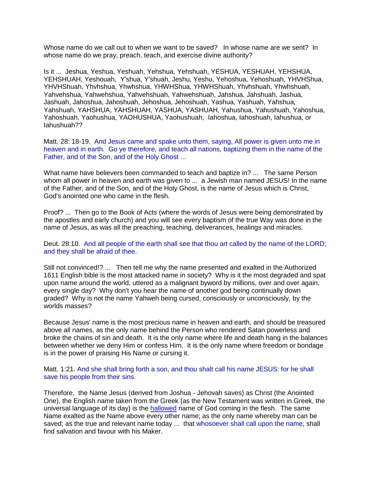Whose name do we call out to when we want to be saved? In whose name are we sent? In whose name do we pray, preach, teach, and exercise divine authority?

Is it ... Jeshua, Yeshua, Yeshuah, Yehshua, Yehshuah, YESHUA, YESHUAH, YEHSHUA, YEHSHUAH, Yeshouah, Y'shua, Y'shuah, Jeshu, Yeshu, Yehoshua, Yehoshuah, YHVHShua, YHVHShuah, Yhvhshua, Yhwhshua, YHWHShua, YHWHShuah, Yhvhshuah, Yhwhshuah, Yahvehshua, Yahwehshua, Yahvehshuah, Yahwehshuah, Jahshua, Jahshuah, Jashua, Jashuah, Jahoshua, Jahoshuah, Jehoshua, Jehoshuah, Yashua, Yashuah, Yahshua, Yahshuah, YAHSHUA, YAHSHUAH, YASHUA, YASHUAH, Yahushua, Yahushuah, Yahoshua, Yahoshuah, Yaohushua, YAOHUSHUA, Yaohushuah, Iahoshua, Iahoshuah, Iahushua, or Iahushuah??

Matt. 28: 18-19. And Jesus came and spake unto them, saying, All power is given unto me in heaven and in earth. Go ye therefore, and teach all nations, baptizing them in the name of the Father, and of the Son, and of the Holy Ghost ...

What name have believers been commanded to teach and baptize in? ... The same Person whom all power in heaven and earth was given to ... a Jewish man named JESUS! In the name of the Father, and of the Son, and of the Holy Ghost, is the name of Jesus which is Christ, God's anointed one who came in the flesh.

Proof? ... Then go to the Book of Acts (where the words of Jesus were being demonstrated by the apostles and early church) and you will see every baptism of the true Way was done in the name of Jesus, as was all the preaching, teaching, deliverances, healings and miracles.

Deut. 28:10. And all people of the earth shall see that thou art called by the name of the LORD; and they shall be afraid of thee.

Still not convinced!? ... Then tell me why the name presented and exalted in the Authorized 1611 English bible is the most attacked name in society? Why is it the most degraded and spat upon name around the world, uttered as a malignant byword by millions, over and over again, every single day? Why don't you hear the name of another god being continually down graded? Why is not the name Yahweh being cursed, consciously or unconsciously, by the worlds masses?

Because Jesus' name is the most precious name in heaven and earth, and should be treasured above all names, as the only name behind the Person who rendered Satan powerless and broke the chains of sin and death. It is the only name where life and death hang in the balances between whether we deny Him or confess Him. It is the only name where freedom or bondage is in the power of praising His Name or cursing it.

Matt. 1:21. And she shall bring forth a son, and thou shalt call his name JESUS: for he shall save his people from their sins.

Therefore, the Name Jesus (derived from Joshua - Jehovah saves) as Christ (the Anointed One), the English name taken from the Greek (as the New Testament was written in Greek, the universal language of its day) is the [hallowed](javascript:if(confirm() name of God coming in the flesh. The same Name exalted as the Name above every other name; as the only name whereby man can be saved; as the true and relevant name today ... that whosoever shall call upon the name, shall find salvation and favour with his Maker.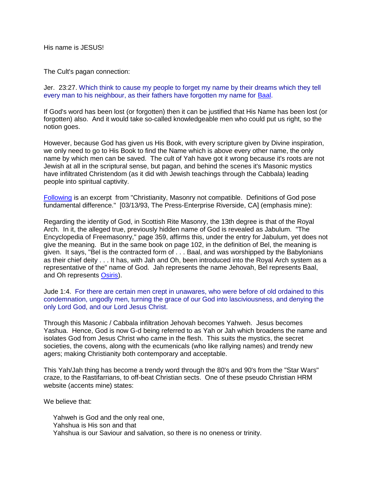His name is JESUS!

The Cult's pagan connection:

Jer. 23:27. Which think to cause my people to forget my name by their dreams which they tell every man to his neighbour, as their fathers have forgotten my name for [Baal.](javascript:if(confirm()

If God's word has been lost (or forgotten) then it can be justified that His Name has been lost (or forgotten) also. And it would take so-called knowledgeable men who could put us right, so the notion goes.

However, because God has given us His Book, with every scripture given by Divine inspiration, we only need to go to His Book to find the Name which is above every other name, the only name by which men can be saved. The cult of Yah have got it wrong because it's roots are not Jewish at all in the scriptural sense, but pagan, and behind the scenes it's Masonic mystics have infiltrated Christendom (as it did with Jewish teachings through the Cabbala) leading people into spiritual captivity.

[Following](javascript:if(confirm() is an excerpt from "Christianity, Masonry not compatible. Definitions of God pose fundamental difference." [03/13/93, The Press-Enterprise Riverside, CA] (emphasis mine):

Regarding the identity of God, in Scottish Rite Masonry, the 13th degree is that of the Royal Arch. In it, the alleged true, previously hidden name of God is revealed as Jabulum. "The Encyclopedia of Freemasonry," page 359, affirms this, under the entry for Jabulum, yet does not give the meaning. But in the same book on page 102, in the definition of Bel, the meaning is given. It says, "Bel is the contracted form of . . . Baal, and was worshipped by the Babylonians as their chief deity . . . It has, with Jah and Oh, been introduced into the Royal Arch system as a representative of the" name of God. Jah represents the name Jehovah, Bel represents Baal, and Oh represents [Osiris\)](javascript:if(confirm().

Jude 1:4. For there are certain men crept in unawares, who were before of old ordained to this condemnation, ungodly men, turning the grace of our God into lasciviousness, and denying the only Lord God, and our Lord Jesus Christ.

Through this Masonic / Cabbala infiltration Jehovah becomes Yahweh. Jesus becomes Yashua. Hence, God is now G-d being referred to as Yah or Jah which broadens the name and isolates God from Jesus Christ who came in the flesh. This suits the mystics, the secret societies, the covens, along with the ecumenicals (who like rallying names) and trendy new agers; making Christianity both contemporary and acceptable.

This Yah/Jah thing has become a trendy word through the 80's and 90's from the "Star Wars" craze, to the Rastifarrians, to off-beat Christian sects. One of these pseudo Christian HRM website (accents mine) states:

We believe that:

 Yahweh is God and the only real one, Yahshua is His son and that Yahshua is our Saviour and salvation, so there is no oneness or trinity.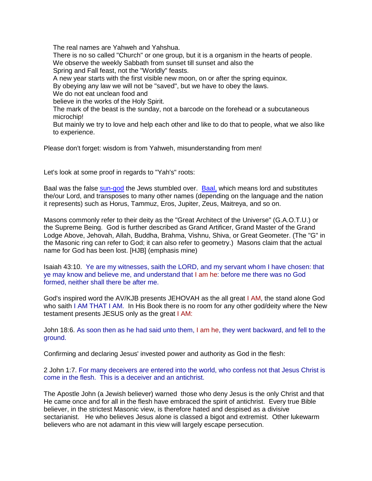The real names are Yahweh and Yahshua.

 There is no so called "Church" or one group, but it is a organism in the hearts of people. We observe the weekly Sabbath from sunset till sunset and also the

Spring and Fall feast, not the "Worldly" feasts.

A new year starts with the first visible new moon, on or after the spring equinox.

By obeying any law we will not be "saved", but we have to obey the laws.

We do not eat unclean food and

believe in the works of the Holy Spirit.

 The mark of the beast is the sunday, not a barcode on the forehead or a subcutaneous microchip!

 But mainly we try to love and help each other and like to do that to people, what we also like to experience.

Please don't forget: wisdom is from Yahweh, misunderstanding from men!

Let's look at some proof in regards to "Yah's" roots:

Baal was the false [sun-god](javascript:if(confirm() the Jews stumbled over. [Baal,](javascript:if(confirm() which means lord and substitutes the/our Lord, and transposes to many other names (depending on the language and the nation it represents) such as Horus, Tammuz, Eros, Jupiter, Zeus, Maitreya, and so on.

Masons commonly refer to their deity as the "Great Architect of the Universe" (G.A.O.T.U.) or the Supreme Being. God is further described as Grand Artificer, Grand Master of the Grand Lodge Above, Jehovah, Allah, Buddha, Brahma, Vishnu, Shiva, or Great Geometer. (The "G" in the Masonic ring can refer to God; it can also refer to geometry.) Masons claim that the actual name for God has been lost. [HJB] (emphasis mine)

Isaiah 43:10. Ye are my witnesses, saith the LORD, and my servant whom I have chosen: that ye may know and believe me, and understand that I am he: before me there was no God formed, neither shall there be after me.

God's inspired word the AV/KJB presents JEHOVAH as the all great I AM, the stand alone God who saith I AM THAT I AM. In His Book there is no room for any other god/deity where the New testament presents JESUS only as the great I AM:

John 18:6. As soon then as he had said unto them, I am he, they went backward, and fell to the ground.

Confirming and declaring Jesus' invested power and authority as God in the flesh:

2 John 1:7. For many deceivers are entered into the world, who confess not that Jesus Christ is come in the flesh. This is a deceiver and an antichrist.

The Apostle John (a Jewish believer) warned those who deny Jesus is the only Christ and that He came once and for all in the flesh have embraced the spirit of antichrist. Every true Bible believer, in the strictest Masonic view, is therefore hated and despised as a divisive sectarianist. He who believes Jesus alone is classed a bigot and extremist. Other lukewarm believers who are not adamant in this view will largely escape persecution.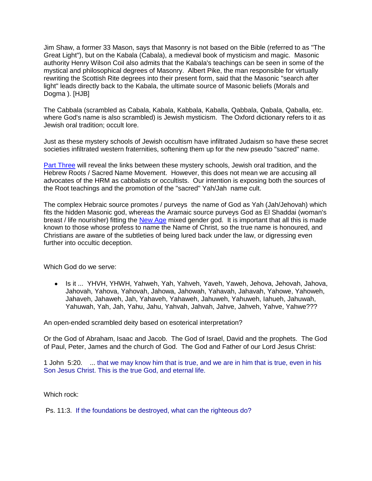Jim Shaw, a former 33 Mason, says that Masonry is not based on the Bible (referred to as "The Great Light"), but on the Kabala (Cabala), a medieval book of mysticism and magic. Masonic authority Henry Wilson Coil also admits that the Kabala's teachings can be seen in some of the mystical and philosophical degrees of Masonry. Albert Pike, the man responsible for virtually rewriting the Scottish Rite degrees into their present form, said that the Masonic "search after light" leads directly back to the Kabala, the ultimate source of Masonic beliefs (Morals and Dogma ). [HJB]

The Cabbala (scrambled as Cabala, Kabala, Kabbala, Kaballa, Qabbala, Qabala, Qaballa, etc. where God's name is also scrambled) is Jewish mysticism. The Oxford dictionary refers to it as Jewish oral tradition; occult lore.

Just as these mystery schools of Jewish occultism have infiltrated Judaism so have these secret societies infiltrated western fraternities, softening them up for the new pseudo "sacred" name.

[Part Three](javascript:if(confirm() will reveal the links between these mystery schools, Jewish oral tradition, and the Hebrew Roots / Sacred Name Movement. However, this does not mean we are accusing all advocates of the HRM as cabbalists or occultists. Our intention is exposing both the sources of the Root teachings and the promotion of the "sacred" Yah/Jah name cult.

The complex Hebraic source promotes / purveys the name of God as Yah (Jah/Jehovah) which fits the hidden Masonic god, whereas the Aramaic source purveys God as El Shaddai (woman's breast / life nourisher) fitting the [New Age](javascript:if(confirm() mixed gender god. It is important that all this is made known to those whose profess to name the Name of Christ, so the true name is honoured, and Christians are aware of the subtleties of being lured back under the law, or digressing even further into occultic deception.

Which God do we serve:

Is it ... YHVH, YHWH, Yahweh, Yah, Yahveh, Yaveh, Yaweh, Jehova, Jehovah, Jahova, Jahovah, Yahova, Yahovah, Jahowa, Jahowah, Yahavah, Jahavah, Yahowe, Yahoweh, Jahaveh, Jahaweh, Jah, Yahaveh, Yahaweh, Jahuweh, Yahuweh, Iahueh, Jahuwah, Yahuwah, Yah, Jah, Yahu, Jahu, Yahvah, Jahvah, Jahve, Jahveh, Yahve, Yahwe???

An open-ended scrambled deity based on esoterical interpretation?

Or the God of Abraham, Isaac and Jacob. The God of Israel, David and the prophets. The God of Paul, Peter, James and the church of God. The God and Father of our Lord Jesus Christ:

1 John 5:20. ... that we may know him that is true, and we are in him that is true, even in his Son Jesus Christ. This is the true God, and eternal life.

Which rock:

Ps. 11:3. If the foundations be destroyed, what can the righteous do?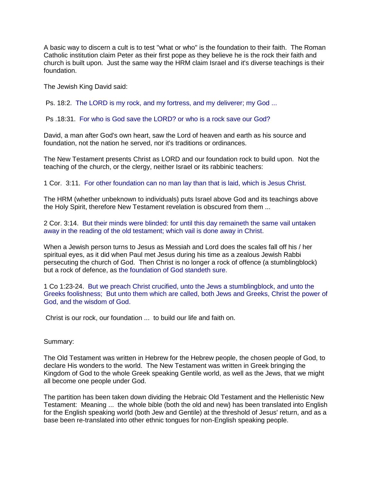A basic way to discern a cult is to test "what or who" is the foundation to their faith. The Roman Catholic institution claim Peter as their first pope as they believe he is the rock their faith and church is built upon. Just the same way the HRM claim Israel and it's diverse teachings is their foundation.

The Jewish King David said:

Ps. 18:2. The LORD is my rock, and my fortress, and my deliverer; my God ...

Ps .18:31. For who is God save the LORD? or who is a rock save our God?

David, a man after God's own heart, saw the Lord of heaven and earth as his source and foundation, not the nation he served, nor it's traditions or ordinances.

The New Testament presents Christ as LORD and our foundation rock to build upon. Not the teaching of the church, or the clergy, neither Israel or its rabbinic teachers:

1 Cor. 3:11. For other foundation can no man lay than that is laid, which is Jesus Christ.

The HRM (whether unbeknown to individuals) puts Israel above God and its teachings above the Holy Spirit, therefore New Testament revelation is obscured from them ...

2 Cor. 3:14. But their minds were blinded: for until this day remaineth the same vail untaken away in the reading of the old testament; which vail is done away in Christ.

When a Jewish person turns to Jesus as Messiah and Lord does the scales fall off his / her spiritual eyes, as it did when Paul met Jesus during his time as a zealous Jewish Rabbi persecuting the church of God. Then Christ is no longer a rock of offence (a stumblingblock) but a rock of defence, as the foundation of God standeth sure.

1 Co 1:23-24. But we preach Christ crucified, unto the Jews a stumblingblock, and unto the Greeks foolishness; But unto them which are called, both Jews and Greeks, Christ the power of God, and the wisdom of God.

Christ is our rock, our foundation ... to build our life and faith on.

Summary:

The Old Testament was written in Hebrew for the Hebrew people, the chosen people of God, to declare His wonders to the world. The New Testament was written in Greek bringing the Kingdom of God to the whole Greek speaking Gentile world, as well as the Jews, that we might all become one people under God.

The partition has been taken down dividing the Hebraic Old Testament and the Hellenistic New Testament: Meaning ... the whole bible (both the old and new) has been translated into English for the English speaking world (both Jew and Gentile) at the threshold of Jesus' return, and as a base been re-translated into other ethnic tongues for non-English speaking people.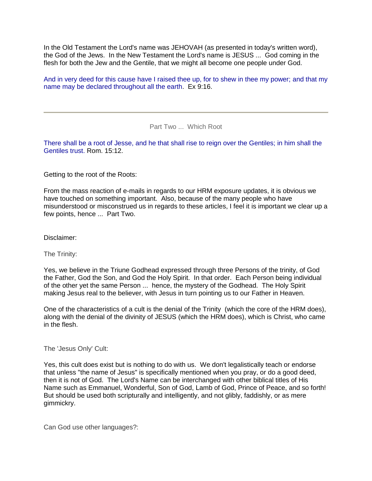In the Old Testament the Lord's name was JEHOVAH (as presented in today's written word), the God of the Jews. In the New Testament the Lord's name is JESUS ... God coming in the flesh for both the Jew and the Gentile, that we might all become one people under God.

And in very deed for this cause have I raised thee up, for to shew in thee my power; and that my name may be declared throughout all the earth. Ex 9:16.

Part Two ... Which Root

There shall be a root of Jesse, and he that shall rise to reign over the Gentiles; in him shall the Gentiles trust. Rom. 15:12.

Getting to the root of the Roots:

From the mass reaction of e-mails in regards to our HRM exposure updates, it is obvious we have touched on something important. Also, because of the many people who have misunderstood or misconstrued us in regards to these articles, I feel it is important we clear up a few points, hence ... Part Two.

Disclaimer:

The Trinity:

Yes, we believe in the Triune Godhead expressed through three Persons of the trinity, of God the Father, God the Son, and God the Holy Spirit. In that order. Each Person being individual of the other yet the same Person ... hence, the mystery of the Godhead. The Holy Spirit making Jesus real to the believer, with Jesus in turn pointing us to our Father in Heaven.

One of the characteristics of a cult is the denial of the Trinity (which the core of the HRM does), along with the denial of the divinity of JESUS (which the HRM does), which is Christ, who came in the flesh.

The 'Jesus Only' Cult:

Yes, this cult does exist but is nothing to do with us. We don't legalistically teach or endorse that unless "the name of Jesus" is specifically mentioned when you pray, or do a good deed, then it is not of God. The Lord's Name can be interchanged with other biblical titles of His Name such as Emmanuel, Wonderful, Son of God, Lamb of God, Prince of Peace, and so forth! But should be used both scripturally and intelligently, and not glibly, faddishly, or as mere gimmickry.

Can God use other languages?: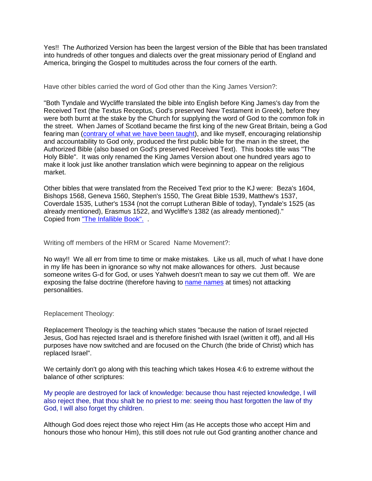Yes!! The Authorized Version has been the largest version of the Bible that has been translated into hundreds of other tongues and dialects over the great missionary period of England and America, bringing the Gospel to multitudes across the four corners of the earth.

Have other bibles carried the word of God other than the King James Version?:

"Both Tyndale and Wycliffe translated the bible into English before King James's day from the Received Text (the Textus Receptus, God's preserved New Testament in Greek), before they were both burnt at the stake by the Church for supplying the word of God to the common folk in the street. When James of Scotland became the first king of the new Great Britain, being a God fearing man [\(contrary of what we have been taught\)](http://www.jesus-is-savior.com/Documents%20and%20Settings/Administrator/Desktop/JIL/kinginde.htm), and like myself, encouraging relationship and accountability to God only, produced the first public bible for the man in the street, the Authorized Bible (also based on God's preserved Received Text). This books title was "The Holy Bible". It was only renamed the King James Version about one hundred years ago to make it look just like another translation which were beginning to appear on the religious market.

Other bibles that were translated from the Received Text prior to the KJ were: Beza's 1604, Bishops 1568, Geneva 1560, Stephen's 1550, The Great Bible 1539, Matthew's 1537, Coverdale 1535, Luther's 1534 (not the corrupt Lutheran Bible of today), Tyndale's 1525 (as already mentioned), Erasmus 1522, and Wycliffe's 1382 (as already mentioned)." Copied from ["The Infallible Book".](javascript:if(confirm() .

Writing off members of the HRM or Scared Name Movement?:

No way!! We all err from time to time or make mistakes. Like us all, much of what I have done in my life has been in ignorance so why not make allowances for others. Just because someone writes G-d for God, or uses Yahweh doesn't mean to say we cut them off. We are exposing the false doctrine (therefore having to [name names](javascript:if(confirm() at times) not attacking personalities.

Replacement Theology:

Replacement Theology is the teaching which states "because the nation of Israel rejected Jesus, God has rejected Israel and is therefore finished with Israel (written it off), and all His purposes have now switched and are focused on the Church (the bride of Christ) which has replaced Israel".

We certainly don't go along with this teaching which takes Hosea 4:6 to extreme without the balance of other scriptures:

My people are destroyed for lack of knowledge: because thou hast rejected knowledge, I will also reject thee, that thou shalt be no priest to me: seeing thou hast forgotten the law of thy God, I will also forget thy children.

Although God does reject those who reject Him (as He accepts those who accept Him and honours those who honour Him), this still does not rule out God granting another chance and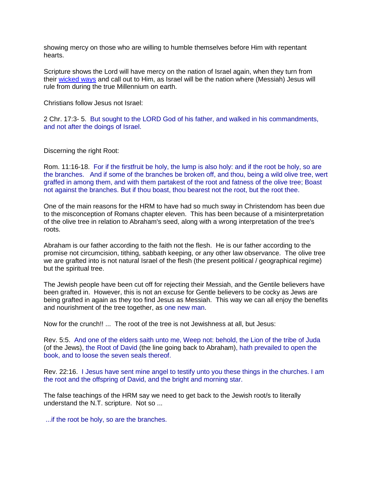showing mercy on those who are willing to humble themselves before Him with repentant hearts.

Scripture shows the Lord will have mercy on the nation of Israel again, when they turn from their [wicked ways](javascript:if(confirm() and call out to Him, as Israel will be the nation where (Messiah) Jesus will rule from during the true Millennium on earth.

Christians follow Jesus not Israel:

2 Chr. 17:3- 5. But sought to the LORD God of his father, and walked in his commandments, and not after the doings of Israel.

Discerning the right Root:

Rom. 11:16-18. For if the firstfruit be holy, the lump is also holy: and if the root be holy, so are the branches. And if some of the branches be broken off, and thou, being a wild olive tree, wert graffed in among them, and with them partakest of the root and fatness of the olive tree; Boast not against the branches. But if thou boast, thou bearest not the root, but the root thee.

One of the main reasons for the HRM to have had so much sway in Christendom has been due to the misconception of Romans chapter eleven. This has been because of a misinterpretation of the olive tree in relation to Abraham's seed, along with a wrong interpretation of the tree's roots.

Abraham is our father according to the faith not the flesh. He is our father according to the promise not circumcision, tithing, sabbath keeping, or any other law observance. The olive tree we are grafted into is not natural Israel of the flesh (the present political / geographical regime) but the spiritual tree.

The Jewish people have been cut off for rejecting their Messiah, and the Gentile believers have been grafted in. However, this is not an excuse for Gentle believers to be cocky as Jews are being grafted in again as they too find Jesus as Messiah. This way we can all enjoy the benefits and nourishment of the tree together, as one new man.

Now for the crunch!! ... The root of the tree is not Jewishness at all, but Jesus:

Rev. 5:5. And one of the elders saith unto me, Weep not: behold, the Lion of the tribe of Juda (of the Jews), the Root of David (the line going back to Abraham), hath prevailed to open the book, and to loose the seven seals thereof.

Rev. 22:16. I Jesus have sent mine angel to testify unto you these things in the churches. I am the root and the offspring of David, and the bright and morning star.

The false teachings of the HRM say we need to get back to the Jewish root/s to literally understand the N.T. scripture. Not so ...

...if the root be holy, so are the branches.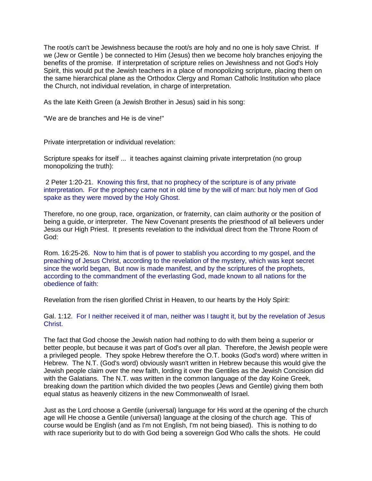The root/s can't be Jewishness because the root/s are holy and no one is holy save Christ. If we (Jew or Gentile ) be connected to Him (Jesus) then we become holy branches enjoying the benefits of the promise. If interpretation of scripture relies on Jewishness and not God's Holy Spirit, this would put the Jewish teachers in a place of monopolizing scripture, placing them on the same hierarchical plane as the Orthodox Clergy and Roman Catholic Institution who place the Church, not individual revelation, in charge of interpretation.

As the late Keith Green (a Jewish Brother in Jesus) said in his song:

"We are de branches and He is de vine!"

Private interpretation or individual revelation:

Scripture speaks for itself ... it teaches against claiming private interpretation (no group monopolizing the truth):

2 Peter 1:20-21. Knowing this first, that no prophecy of the scripture is of any private interpretation. For the prophecy came not in old time by the will of man: but holy men of God spake as they were moved by the Holy Ghost.

Therefore, no one group, race, organization, or fraternity, can claim authority or the position of being a guide, or interpreter. The New Covenant presents the priesthood of all believers under Jesus our High Priest. It presents revelation to the individual direct from the Throne Room of God:

Rom. 16:25-26. Now to him that is of power to stablish you according to my gospel, and the preaching of Jesus Christ, according to the revelation of the mystery, which was kept secret since the world began, But now is made manifest, and by the scriptures of the prophets, according to the commandment of the everlasting God, made known to all nations for the obedience of faith:

Revelation from the risen glorified Christ in Heaven, to our hearts by the Holy Spirit:

Gal. 1:12. For I neither received it of man, neither was I taught it, but by the revelation of Jesus Christ.

The fact that God choose the Jewish nation had nothing to do with them being a superior or better people, but because it was part of God's over all plan. Therefore, the Jewish people were a privileged people. They spoke Hebrew therefore the O.T. books (God's word) where written in Hebrew. The N.T. (God's word) obviously wasn't written in Hebrew because this would give the Jewish people claim over the new faith, lording it over the Gentiles as the Jewish Concision did with the Galatians. The N.T. was written in the common language of the day Koine Greek, breaking down the partition which divided the two peoples (Jews and Gentile) giving them both equal status as heavenly citizens in the new Commonwealth of Israel.

Just as the Lord choose a Gentile (universal) language for His word at the opening of the church age will He choose a Gentile (universal) language at the closing of the church age. This of course would be English (and as I'm not English, I'm not being biased). This is nothing to do with race superiority but to do with God being a sovereign God Who calls the shots. He could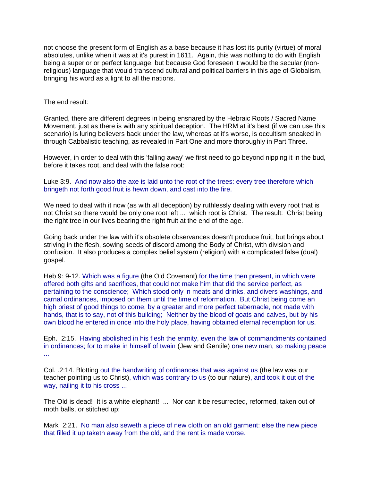not choose the present form of English as a base because it has lost its purity (virtue) of moral absolutes, unlike when it was at it's purest in 1611. Again, this was nothing to do with English being a superior or perfect language, but because God foreseen it would be the secular (nonreligious) language that would transcend cultural and political barriers in this age of Globalism, bringing his word as a light to all the nations.

#### The end result:

Granted, there are different degrees in being ensnared by the Hebraic Roots / Sacred Name Movement, just as there is with any spiritual deception. The HRM at it's best (if we can use this scenario) is luring believers back under the law, whereas at it's worse, is occultism sneaked in through Cabbalistic teaching, as revealed in Part One and more thoroughly in Part Three.

However, in order to deal with this 'falling away' we first need to go beyond nipping it in the bud, before it takes root, and deal with the false root:

Luke 3:9. And now also the axe is laid unto the root of the trees: every tree therefore which bringeth not forth good fruit is hewn down, and cast into the fire.

We need to deal with it now (as with all deception) by ruthlessly dealing with every root that is not Christ so there would be only one root left ... which root is Christ. The result: Christ being the right tree in our lives bearing the right fruit at the end of the age.

Going back under the law with it's obsolete observances doesn't produce fruit, but brings about striving in the flesh, sowing seeds of discord among the Body of Christ, with division and confusion. It also produces a complex belief system (religion) with a complicated false (dual) gospel.

Heb 9: 9-12. Which was a figure (the Old Covenant) for the time then present, in which were offered both gifts and sacrifices, that could not make him that did the service perfect, as pertaining to the conscience; Which stood only in meats and drinks, and divers washings, and carnal ordinances, imposed on them until the time of reformation. But Christ being come an high priest of good things to come, by a greater and more perfect tabernacle, not made with hands, that is to say, not of this building; Neither by the blood of goats and calves, but by his own blood he entered in once into the holy place, having obtained eternal redemption for us.

Eph. 2:15. Having abolished in his flesh the enmity, even the law of commandments contained in ordinances; for to make in himself of twain (Jew and Gentile) one new man, so making peace ...

Col. .2:14. Blotting out the handwriting of ordinances that was against us (the law was our teacher pointing us to Christ), which was contrary to us (to our nature), and took it out of the way, nailing it to his cross ...

The Old is dead! It is a white elephant! ... Nor can it be resurrected, reformed, taken out of moth balls, or stitched up:

Mark 2:21. No man also seweth a piece of new cloth on an old garment: else the new piece that filled it up taketh away from the old, and the rent is made worse.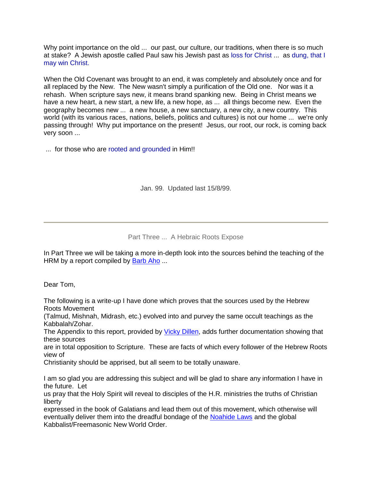Why point importance on the old ... our past, our culture, our traditions, when there is so much at stake? A Jewish apostle called Paul saw his Jewish past as loss for Christ ... as dung, that I may win Christ.

When the Old Covenant was brought to an end, it was completely and absolutely once and for all replaced by the New. The New wasn't simply a purification of the Old one. Nor was it a rehash. When scripture says new, it means brand spanking new. Being in Christ means we have a new heart, a new start, a new life, a new hope, as ... all things become new. Even the geography becomes new ... a new house, a new sanctuary, a new city, a new country. This world (with its various races, nations, beliefs, politics and cultures) is not our home ... we're only passing through! Why put importance on the present! Jesus, our root, our rock, is coming back very soon ...

... for those who are rooted and grounded in Him!!

Jan. 99. Updated last 15/8/99.

Part Three ... A Hebraic Roots Expose

In Part Three we will be taking a more in-depth look into the sources behind the teaching of the HRM by a report compiled by [Barb Aho](javascript:if(confirm() ...

Dear Tom,

The following is a write-up I have done which proves that the sources used by the Hebrew Roots Movement

(Talmud, Mishnah, Midrash, etc.) evolved into and purvey the same occult teachings as the Kabbalah/Zohar.

The Appendix to this report, provided by [Vicky Dillen,](javascript:if(confirm() adds further documentation showing that these sources

are in total opposition to Scripture. These are facts of which every follower of the Hebrew Roots view of

Christianity should be apprised, but all seem to be totally unaware.

I am so glad you are addressing this subject and will be glad to share any information I have in the future. Let

us pray that the Holy Spirit will reveal to disciples of the H.R. ministries the truths of Christian liberty

expressed in the book of Galatians and lead them out of this movement, which otherwise will eventually deliver them into the dreadful bondage of the [Noahide Laws](javascript:if(confirm() and the global Kabbalist/Freemasonic New World Order.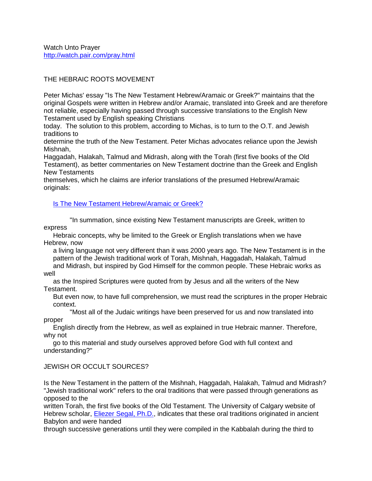# THE HEBRAIC ROOTS MOVEMENT

Peter Michas' essay "Is The New Testament Hebrew/Aramaic or Greek?" maintains that the original Gospels were written in Hebrew and/or Aramaic, translated into Greek and are therefore not reliable, especially having passed through successive translations to the English New Testament used by English speaking Christians

today. The solution to this problem, according to Michas, is to turn to the O.T. and Jewish traditions to

determine the truth of the New Testament. Peter Michas advocates reliance upon the Jewish Mishnah,

Haggadah, Halakah, Talmud and Midrash, along with the Torah (first five books of the Old Testament), as better commentaries on New Testament doctrine than the Greek and English New Testaments

themselves, which he claims are inferior translations of the presumed Hebrew/Aramaic originals:

[Is The New Testament Hebrew/Aramaic or Greek?](javascript:if(confirm()

 "In summation, since existing New Testament manuscripts are Greek, written to express

 Hebraic concepts, why be limited to the Greek or English translations when we have Hebrew, now

 a living language not very different than it was 2000 years ago. The New Testament is in the pattern of the Jewish traditional work of Torah, Mishnah, Haggadah, Halakah, Talmud and Midrash, but inspired by God Himself for the common people. These Hebraic works as

#### well

 as the Inspired Scriptures were quoted from by Jesus and all the writers of the New Testament.

 But even now, to have full comprehension, we must read the scriptures in the proper Hebraic context.

 "Most all of the Judaic writings have been preserved for us and now translated into proper

 English directly from the Hebrew, as well as explained in true Hebraic manner. Therefore, why not

 go to this material and study ourselves approved before God with full context and understanding?"

# JEWISH OR OCCULT SOURCES?

Is the New Testament in the pattern of the Mishnah, Haggadah, Halakah, Talmud and Midrash? "Jewish traditional work" refers to the oral traditions that were passed through generations as opposed to the

written Torah, the first five books of the Old Testament. The University of Calgary website of Hebrew scholar, [Eliezer Segal, Ph.D.,](javascript:if(confirm() indicates that these oral traditions originated in ancient Babylon and were handed

through successive generations until they were compiled in the Kabbalah during the third to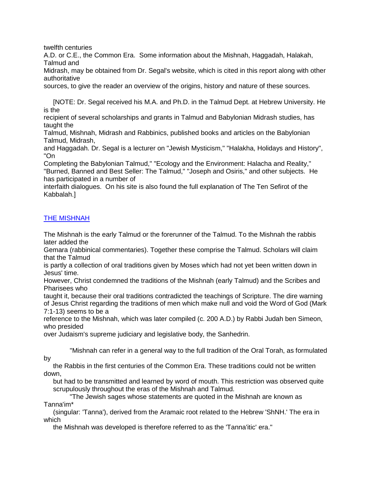twelfth centuries

A.D. or C.E., the Common Era. Some information about the Mishnah, Haggadah, Halakah, Talmud and

Midrash, may be obtained from Dr. Segal's website, which is cited in this report along with other authoritative

sources, to give the reader an overview of the origins, history and nature of these sources.

 [NOTE: Dr. Segal received his M.A. and Ph.D. in the Talmud Dept. at Hebrew University. He is the

recipient of several scholarships and grants in Talmud and Babylonian Midrash studies, has taught the

Talmud, Mishnah, Midrash and Rabbinics, published books and articles on the Babylonian Talmud, Midrash,

and Haggadah. Dr. Segal is a lecturer on "Jewish Mysticism," "Halakha, Holidays and History", "On

Completing the Babylonian Talmud," "Ecology and the Environment: Halacha and Reality," "Burned, Banned and Best Seller: The Talmud," "Joseph and Osiris," and other subjects. He has participated in a number of

interfaith dialogues. On his site is also found the full explanation of The Ten Sefirot of the Kabbalah.]

# [THE MISHNAH](javascript:if(confirm()

The Mishnah is the early Talmud or the forerunner of the Talmud. To the Mishnah the rabbis later added the

Gemara (rabbinical commentaries). Together these comprise the Talmud. Scholars will claim that the Talmud

is partly a collection of oral traditions given by Moses which had not yet been written down in Jesus' time.

However, Christ condemned the traditions of the Mishnah (early Talmud) and the Scribes and Pharisees who

taught it, because their oral traditions contradicted the teachings of Scripture. The dire warning of Jesus Christ regarding the traditions of men which make null and void the Word of God (Mark 7:1-13) seems to be a

reference to the Mishnah, which was later compiled (c. 200 A.D.) by Rabbi Judah ben Simeon, who presided

over Judaism's supreme judiciary and legislative body, the Sanhedrin.

 "Mishnah can refer in a general way to the full tradition of the Oral Torah, as formulated by

 the Rabbis in the first centuries of the Common Era. These traditions could not be written down,

 but had to be transmitted and learned by word of mouth. This restriction was observed quite scrupulously throughout the eras of the Mishnah and Talmud.

 "The Jewish sages whose statements are quoted in the Mishnah are known as Tanna'im\*

 (singular: 'Tanna'), derived from the Aramaic root related to the Hebrew 'ShNH.' The era in which

the Mishnah was developed is therefore referred to as the 'Tanna'itic' era."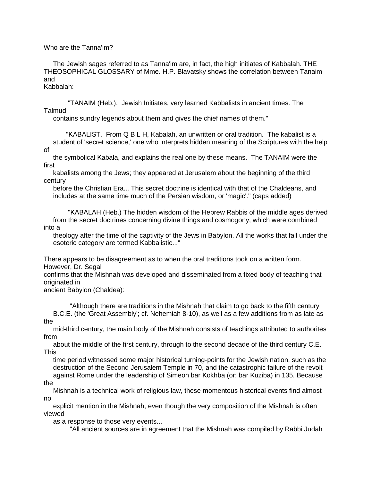#### Who are the Tanna'im?

 The Jewish sages referred to as Tanna'im are, in fact, the high initiates of Kabbalah. THE THEOSOPHICAL GLOSSARY of Mme. H.P. Blavatsky shows the correlation between Tanaim and

# Kabbalah:

 "TANAIM (Heb.). Jewish Initiates, very learned Kabbalists in ancient times. The Talmud

contains sundry legends about them and gives the chief names of them."

 "KABALIST. From Q B L H, Kabalah, an unwritten or oral tradition. The kabalist is a student of 'secret science,' one who interprets hidden meaning of the Scriptures with the help of

 the symbolical Kabala, and explains the real one by these means. The TANAIM were the first

 kabalists among the Jews; they appeared at Jerusalem about the beginning of the third century

 before the Christian Era... This secret doctrine is identical with that of the Chaldeans, and includes at the same time much of the Persian wisdom, or 'magic'." (caps added)

 "KABALAH (Heb.) The hidden wisdom of the Hebrew Rabbis of the middle ages derived from the secret doctrines concerning divine things and cosmogony, which were combined into a

 theology after the time of the captivity of the Jews in Babylon. All the works that fall under the esoteric category are termed Kabbalistic..."

There appears to be disagreement as to when the oral traditions took on a written form. However, Dr. Segal

confirms that the Mishnah was developed and disseminated from a fixed body of teaching that originated in

ancient Babylon (Chaldea):

 "Although there are traditions in the Mishnah that claim to go back to the fifth century B.C.E. (the 'Great Assembly'; cf. Nehemiah 8-10), as well as a few additions from as late as the

 mid-third century, the main body of the Mishnah consists of teachings attributed to authorites from

 about the middle of the first century, through to the second decade of the third century C.E. This

 time period witnessed some major historical turning-points for the Jewish nation, such as the destruction of the Second Jerusalem Temple in 70, and the catastrophic failure of the revolt against Rome under the leadership of Simeon bar Kokhba (or: bar Kuziba) in 135. Because

the

 Mishnah is a technical work of religious law, these momentous historical events find almost no

 explicit mention in the Mishnah, even though the very composition of the Mishnah is often viewed

as a response to those very events...

"All ancient sources are in agreement that the Mishnah was compiled by Rabbi Judah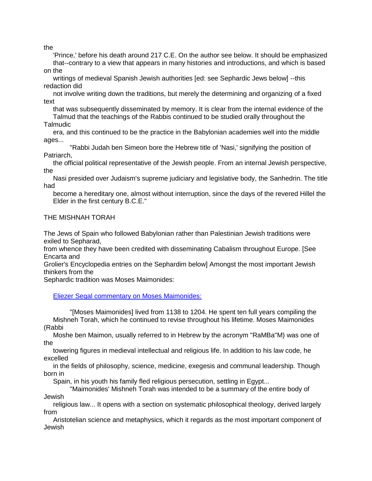the

 'Prince,' before his death around 217 C.E. On the author see below. It should be emphasized that--contrary to a view that appears in many histories and introductions, and which is based on the

 writings of medieval Spanish Jewish authorities [ed: see Sephardic Jews below] --this redaction did

 not involve writing down the traditions, but merely the determining and organizing of a fixed text

 that was subsequently disseminated by memory. It is clear from the internal evidence of the Talmud that the teachings of the Rabbis continued to be studied orally throughout the

**Talmudic** 

 era, and this continued to be the practice in the Babylonian academies well into the middle ages...

 "Rabbi Judah ben Simeon bore the Hebrew title of 'Nasi,' signifying the position of Patriarch,

 the official political representative of the Jewish people. From an internal Jewish perspective, the

 Nasi presided over Judaism's supreme judiciary and legislative body, the Sanhedrin. The title had

 become a hereditary one, almost without interruption, since the days of the revered Hillel the Elder in the first century B.C.E."

THE MISHNAH TORAH

The Jews of Spain who followed Babylonian rather than Palestinian Jewish traditions were exiled to Sepharad,

from whence they have been credited with disseminating Cabalism throughout Europe. [See Encarta and

Grolier's Encyclopedia entries on the Sephardim below] Amongst the most important Jewish thinkers from the

Sephardic tradition was Moses Maimonides:

[Eliezer Segal commentary on Moses Maimonides:](javascript:if(confirm()

 "[Moses Maimonides] lived from 1138 to 1204. He spent ten full years compiling the Mishneh Torah, which he continued to revise throughout his lifetime. Moses Maimonides (Rabbi

 Moshe ben Maimon, usually referred to in Hebrew by the acronym "RaMBa"M) was one of the

 towering figures in medieval intellectual and religious life. In addition to his law code, he excelled

 in the fields of philosophy, science, medicine, exegesis and communal leadership. Though born in

Spain, in his youth his family fled religious persecution, settling in Egypt...

 "Maimonides' Mishneh Torah was intended to be a summary of the entire body of Jewish

 religious law... It opens with a section on systematic philosophical theology, derived largely from

 Aristotelian science and metaphysics, which it regards as the most important component of Jewish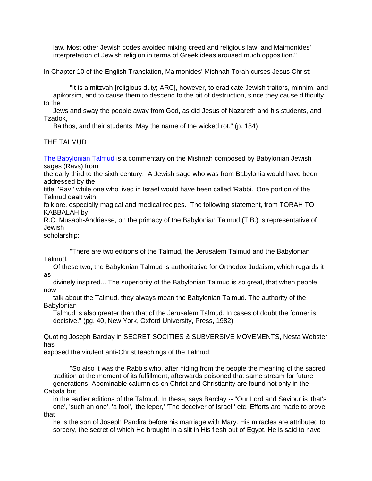law. Most other Jewish codes avoided mixing creed and religious law; and Maimonides' interpretation of Jewish religion in terms of Greek ideas aroused much opposition."

In Chapter 10 of the English Translation, Maimonides' Mishnah Torah curses Jesus Christ:

 "It is a mitzvah [religious duty; ARC], however, to eradicate Jewish traitors, minnim, and apikorsim, and to cause them to descend to the pit of destruction, since they cause difficulty to the

 Jews and sway the people away from God, as did Jesus of Nazareth and his students, and Tzadok,

Baithos, and their students. May the name of the wicked rot." (p. 184)

THE TAI MUD

[The Babylonian Talmud](javascript:if(confirm() is a commentary on the Mishnah composed by Babylonian Jewish sages (Ravs) from

the early third to the sixth century. A Jewish sage who was from Babylonia would have been addressed by the

title, 'Rav,' while one who lived in Israel would have been called 'Rabbi.' One portion of the Talmud dealt with

folklore, especially magical and medical recipes. The following statement, from TORAH TO KABBALAH by

R.C. Musaph-Andriesse, on the primacy of the Babylonian Talmud (T.B.) is representative of Jewish

scholarship:

 "There are two editions of the Talmud, the Jerusalem Talmud and the Babylonian Talmud.

 Of these two, the Babylonian Talmud is authoritative for Orthodox Judaism, which regards it as

 divinely inspired... The superiority of the Babylonian Talmud is so great, that when people now

 talk about the Talmud, they always mean the Babylonian Talmud. The authority of the **Babylonian** 

 Talmud is also greater than that of the Jerusalem Talmud. In cases of doubt the former is decisive." (pg. 40, New York, Oxford University, Press, 1982)

Quoting Joseph Barclay in SECRET SOCITIES & SUBVERSIVE MOVEMENTS, Nesta Webster has

exposed the virulent anti-Christ teachings of the Talmud:

 "So also it was the Rabbis who, after hiding from the people the meaning of the sacred tradition at the moment of its fulfillment, afterwards poisoned that same stream for future generations. Abominable calumnies on Christ and Christianity are found not only in the Cabala but

 in the earlier editions of the Talmud. In these, says Barclay -- "Our Lord and Saviour is 'that's one', 'such an one', 'a fool', 'the leper,' 'The deceiver of Israel,' etc. Efforts are made to prove that

 he is the son of Joseph Pandira before his marriage with Mary. His miracles are attributed to sorcery, the secret of which He brought in a slit in His flesh out of Egypt. He is said to have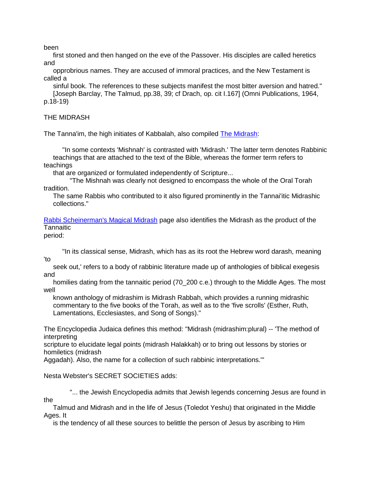been

 first stoned and then hanged on the eve of the Passover. His disciples are called heretics and

 opprobrious names. They are accused of immoral practices, and the New Testament is called a

 sinful book. The references to these subjects manifest the most bitter aversion and hatred." [Joseph Barclay, The Talmud, pp.38, 39; cf Drach, op. cit I.167] (Omni Publications, 1964, p.18-19)

THE MIDRASH

The Tanna'im, the high initiates of Kabbalah, also compiled [The Midrash:](javascript:if(confirm()

 "In some contexts 'Mishnah' is contrasted with 'Midrash.' The latter term denotes Rabbinic teachings that are attached to the text of the Bible, whereas the former term refers to teachings

that are organized or formulated independently of Scripture...

 "The Mishnah was clearly not designed to encompass the whole of the Oral Torah tradition.

 The same Rabbis who contributed to it also figured prominently in the Tannai'itic Midrashic collections."

[Rabbi Scheinerman's Magical Midrash](javascript:if(confirm() page also identifies the Midrash as the product of the **Tannaitic** 

period:

 "In its classical sense, Midrash, which has as its root the Hebrew word darash, meaning 'to

 seek out,' refers to a body of rabbinic literature made up of anthologies of biblical exegesis and

 homilies dating from the tannaitic period (70\_200 c.e.) through to the Middle Ages. The most well

 known anthology of midrashim is Midrash Rabbah, which provides a running midrashic commentary to the five books of the Torah, as well as to the 'five scrolls' (Esther, Ruth, Lamentations, Ecclesiastes, and Song of Songs)."

The Encyclopedia Judaica defines this method: "Midrash (midrashim:plural) -- 'The method of interpreting

scripture to elucidate legal points (midrash Halakkah) or to bring out lessons by stories or homiletics (midrash

Aggadah). Also, the name for a collection of such rabbinic interpretations.'"

Nesta Webster's SECRET SOCIETIES adds:

"... the Jewish Encyclopedia admits that Jewish legends concerning Jesus are found in the

 Talmud and Midrash and in the life of Jesus (Toledot Yeshu) that originated in the Middle Ages. It

is the tendency of all these sources to belittle the person of Jesus by ascribing to Him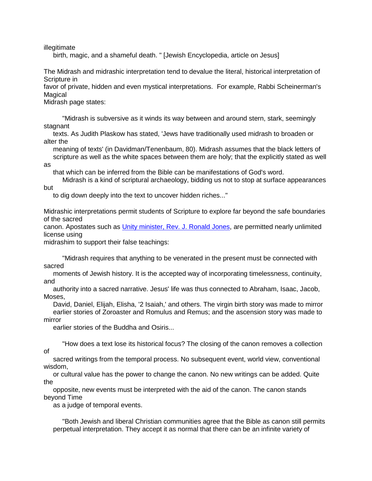illegitimate

as

birth, magic, and a shameful death. " [Jewish Encyclopedia, article on Jesus]

The Midrash and midrashic interpretation tend to devalue the literal, historical interpretation of Scripture in

favor of private, hidden and even mystical interpretations. For example, Rabbi Scheinerman's Magical

Midrash page states:

 "Midrash is subversive as it winds its way between and around stern, stark, seemingly stagnant

 texts. As Judith Plaskow has stated, 'Jews have traditionally used midrash to broaden or alter the

 meaning of texts' (in Davidman/Tenenbaum, 80). Midrash assumes that the black letters of scripture as well as the white spaces between them are holy; that the explicitly stated as well

that which can be inferred from the Bible can be manifestations of God's word.

 Midrash is a kind of scriptural archaeology, bidding us not to stop at surface appearances but

to dig down deeply into the text to uncover hidden riches..."

Midrashic interpretations permit students of Scripture to explore far beyond the safe boundaries of the sacred

canon. Apostates such as [Unity minister, Rev. J. Ronald Jones,](javascript:if(confirm() are permitted nearly unlimited license using

midrashim to support their false teachings:

 "Midrash requires that anything to be venerated in the present must be connected with sacred

 moments of Jewish history. It is the accepted way of incorporating timelessness, continuity, and

 authority into a sacred narrative. Jesus' life was thus connected to Abraham, Isaac, Jacob, Moses,

 David, Daniel, Elijah, Elisha, '2 Isaiah,' and others. The virgin birth story was made to mirror earlier stories of Zoroaster and Romulus and Remus; and the ascension story was made to mirror

earlier stories of the Buddha and Osiris...

 "How does a text lose its historical focus? The closing of the canon removes a collection of

 sacred writings from the temporal process. No subsequent event, world view, conventional wisdom,

 or cultural value has the power to change the canon. No new writings can be added. Quite the

 opposite, new events must be interpreted with the aid of the canon. The canon stands beyond Time

as a judge of temporal events.

 "Both Jewish and liberal Christian communities agree that the Bible as canon still permits perpetual interpretation. They accept it as normal that there can be an infinite variety of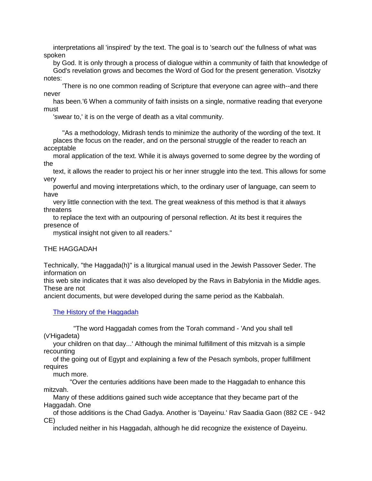interpretations all 'inspired' by the text. The goal is to 'search out' the fullness of what was spoken

 by God. It is only through a process of dialogue within a community of faith that knowledge of God's revelation grows and becomes the Word of God for the present generation. Visotzky notes:

 'There is no one common reading of Scripture that everyone can agree with--and there never

 has been.'6 When a community of faith insists on a single, normative reading that everyone must

'swear to,' it is on the verge of death as a vital community.

 "As a methodology, Midrash tends to minimize the authority of the wording of the text. It places the focus on the reader, and on the personal struggle of the reader to reach an acceptable

 moral application of the text. While it is always governed to some degree by the wording of the

 text, it allows the reader to project his or her inner struggle into the text. This allows for some very

 powerful and moving interpretations which, to the ordinary user of language, can seem to have

 very little connection with the text. The great weakness of this method is that it always threatens

 to replace the text with an outpouring of personal reflection. At its best it requires the presence of

mystical insight not given to all readers."

THE HAGGADAH

Technically, "the Haggada(h)" is a liturgical manual used in the Jewish Passover Seder. The information on

this web site indicates that it was also developed by the Ravs in Babylonia in the Middle ages. These are not

ancient documents, but were developed during the same period as the Kabbalah.

[The History of the Haggadah](javascript:if(confirm()

 "The word Haggadah comes from the Torah command - 'And you shall tell (v'Higadeta)

 your children on that day...' Although the minimal fulfillment of this mitzvah is a simple recounting

 of the going out of Egypt and explaining a few of the Pesach symbols, proper fulfillment requires

much more.

 "Over the centuries additions have been made to the Haggadah to enhance this mitzvah.

 Many of these additions gained such wide acceptance that they became part of the Haggadah. One

 of those additions is the Chad Gadya. Another is 'Dayeinu.' Rav Saadia Gaon (882 CE - 942 CE)

included neither in his Haggadah, although he did recognize the existence of Dayeinu.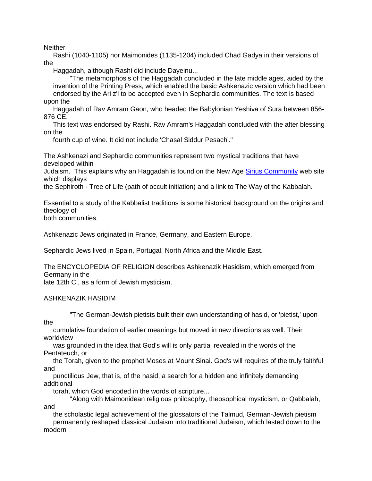**Neither** 

 Rashi (1040-1105) nor Maimonides (1135-1204) included Chad Gadya in their versions of the

Haggadah, although Rashi did include Dayeinu...

 "The metamorphosis of the Haggadah concluded in the late middle ages, aided by the invention of the Printing Press, which enabled the basic Ashkenazic version which had been endorsed by the Ari z'l to be accepted even in Sephardic communities. The text is based upon the

 Haggadah of Rav Amram Gaon, who headed the Babylonian Yeshiva of Sura between 856- 876 CE.

 This text was endorsed by Rashi. Rav Amram's Haggadah concluded with the after blessing on the

fourth cup of wine. It did not include 'Chasal Siddur Pesach'."

The Ashkenazi and Sephardic communities represent two mystical traditions that have developed within

Judaism. This explains why an Haggadah is found on the New Age [Sirius Community](javascript:if(confirm() web site which displays

the Sephiroth - Tree of Life (path of occult initiation) and a link to The Way of the Kabbalah.

Essential to a study of the Kabbalist traditions is some historical background on the origins and theology of both communities.

Ashkenazic Jews originated in France, Germany, and Eastern Europe.

Sephardic Jews lived in Spain, Portugal, North Africa and the Middle East.

The ENCYCLOPEDIA OF RELIGION describes Ashkenazik Hasidism, which emerged from Germany in the

late 12th C., as a form of Jewish mysticism.

# ASHKENAZIK HASIDIM

"The German-Jewish pietists built their own understanding of hasid, or 'pietist,' upon

the cumulative foundation of earlier meanings but moved in new directions as well. Their worldview

 was grounded in the idea that God's will is only partial revealed in the words of the Pentateuch, or

 the Torah, given to the prophet Moses at Mount Sinai. God's will requires of the truly faithful and

 punctilious Jew, that is, of the hasid, a search for a hidden and infinitely demanding additional

torah, which God encoded in the words of scripture...

 "Along with Maimonidean religious philosophy, theosophical mysticism, or Qabbalah, and

the scholastic legal achievement of the glossators of the Talmud, German-Jewish pietism

 permanently reshaped classical Judaism into traditional Judaism, which lasted down to the modern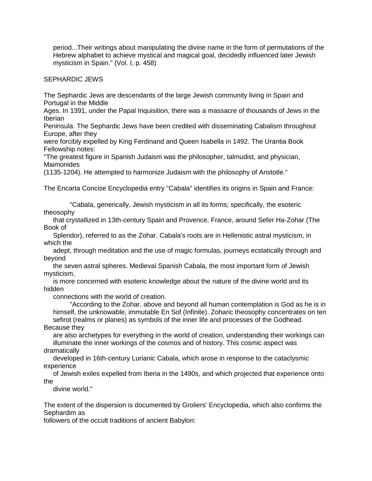period...Their writings about manipulating the divine name in the form of permutations of the Hebrew alphabet to achieve mystical and magical goal, decidedly influenced later Jewish mysticism in Spain." (Vol. I, p. 458)

SEPHARDIC JEWS

The Sephardic Jews are descendants of the large Jewish community living in Spain and Portugal in the Middle

Ages. In 1391, under the Papal Inquisition, there was a massacre of thousands of Jews in the Iberian

Peninsula. The Sephardic Jews have been credited with disseminating Cabalism throughout Europe, after they

were forcibly expelled by King Ferdinand and Queen Isabella in 1492. The Urantia Book Fellowship notes:

"The greatest figure in Spanish Judaism was the philosopher, talmudist, and physician, **Maimonides** 

(1135-1204). He attempted to harmonize Judaism with the philosophy of Aristotle."

The Encarta Concise Encyclopedia entry "Cabala" identifies its origins in Spain and France:

 "Cabala, generically, Jewish mysticism in all its forms; specifically, the esoteric theosophy

 that crystallized in 13th-century Spain and Provence, France, around Sefer Ha-Zohar (The Book of

 Splendor), referred to as the Zohar. Cabala's roots are in Hellenistic astral mysticism, in which the

 adept, through meditation and the use of magic formulas, journeys ecstatically through and beyond

 the seven astral spheres. Medieval Spanish Cabala, the most important form of Jewish mysticism,

 is more concerned with esoteric knowledge about the nature of the divine world and its hidden

connections with the world of creation.

 "According to the Zohar, above and beyond all human contemplation is God as he is in himself, the unknowable, immutable En Sof (Infinite). Zoharic theosophy concentrates on ten sefirot (realms or planes) as symbols of the inner life and processes of the Godhead. Because they

 are also archetypes for everything in the world of creation, understanding their workings can illuminate the inner workings of the cosmos and of history. This cosmic aspect was dramatically

 developed in 16th-century Lurianic Cabala, which arose in response to the cataclysmic experience

 of Jewish exiles expelled from Iberia in the 1490s, and which projected that experience onto the

divine world."

The extent of the dispersion is documented by Groliers' Encyclopedia, which also confirms the Sephardim as

followers of the occult traditions of ancient Babylon: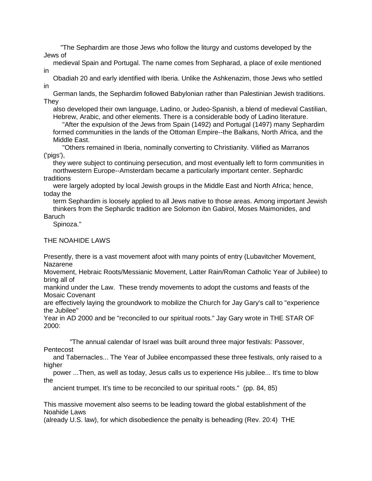"The Sephardim are those Jews who follow the liturgy and customs developed by the Jews of

 medieval Spain and Portugal. The name comes from Sepharad, a place of exile mentioned in

 Obadiah 20 and early identified with Iberia. Unlike the Ashkenazim, those Jews who settled in

 German lands, the Sephardim followed Babylonian rather than Palestinian Jewish traditions. They

 also developed their own language, Ladino, or Judeo-Spanish, a blend of medieval Castilian, Hebrew, Arabic, and other elements. There is a considerable body of Ladino literature.

 "After the expulsion of the Jews from Spain (1492) and Portugal (1497) many Sephardim formed communities in the lands of the Ottoman Empire--the Balkans, North Africa, and the Middle East.

 "Others remained in Iberia, nominally converting to Christianity. Vilified as Marranos ('pigs'),

 they were subject to continuing persecution, and most eventually left to form communities in northwestern Europe--Amsterdam became a particularly important center. Sephardic traditions

 were largely adopted by local Jewish groups in the Middle East and North Africa; hence, today the

 term Sephardim is loosely applied to all Jews native to those areas. Among important Jewish thinkers from the Sephardic tradition are Solomon ibn Gabirol, Moses Maimonides, and Baruch

Spinoza."

# THE NOAHIDE LAWS

Presently, there is a vast movement afoot with many points of entry (Lubavitcher Movement, Nazarene

Movement, Hebraic Roots/Messianic Movement, Latter Rain/Roman Catholic Year of Jubilee) to bring all of

mankind under the Law. These trendy movements to adopt the customs and feasts of the Mosaic Covenant

are effectively laying the groundwork to mobilize the Church for Jay Gary's call to "experience the Jubilee"

Year in AD 2000 and be "reconciled to our spiritual roots." Jay Gary wrote in THE STAR OF 2000:

 "The annual calendar of Israel was built around three major festivals: Passover, Pentecost

 and Tabernacles... The Year of Jubilee encompassed these three festivals, only raised to a higher

 power ...Then, as well as today, Jesus calls us to experience His jubilee... It's time to blow the

ancient trumpet. It's time to be reconciled to our spiritual roots." (pp. 84, 85)

This massive movement also seems to be leading toward the global establishment of the Noahide Laws

(already U.S. law), for which disobedience the penalty is beheading (Rev. 20:4) THE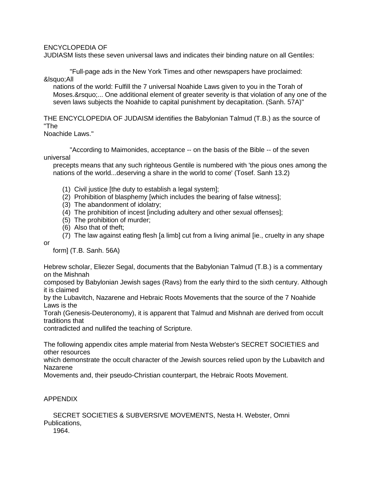#### ENCYCLOPEDIA OF

JUDIASM lists these seven universal laws and indicates their binding nature on all Gentiles:

 "Full-page ads in the New York Times and other newspapers have proclaimed: &Isquo;All

 nations of the world: Fulfill the 7 universal Noahide Laws given to you in the Torah of Moses.&rsquo:... One additional element of greater severity is that violation of any one of the seven laws subjects the Noahide to capital punishment by decapitation. (Sanh. 57A)"

THE ENCYCLOPEDIA OF JUDAISM identifies the Babylonian Talmud (T.B.) as the source of "The

# Noachide Laws."

 "According to Maimonides, acceptance -- on the basis of the Bible -- of the seven universal

 precepts means that any such righteous Gentile is numbered with 'the pious ones among the nations of the world...deserving a share in the world to come' (Tosef. Sanh 13.2)

- (1) Civil justice [the duty to establish a legal system];
- (2) Prohibition of blasphemy [which includes the bearing of false witness];
- (3) The abandonment of idolatry;
- (4) The prohibition of incest [including adultery and other sexual offenses];
- (5) The prohibition of murder;
- (6) Also that of theft;
- (7) The law against eating flesh [a limb] cut from a living animal [ie., cruelty in any shape

or

form] (T.B. Sanh. 56A)

Hebrew scholar, Eliezer Segal, documents that the Babylonian Talmud (T.B.) is a commentary on the Mishnah

composed by Babylonian Jewish sages (Ravs) from the early third to the sixth century. Although it is claimed

by the Lubavitch, Nazarene and Hebraic Roots Movements that the source of the 7 Noahide Laws is the

Torah (Genesis-Deuteronomy), it is apparent that Talmud and Mishnah are derived from occult traditions that

contradicted and nullifed the teaching of Scripture.

The following appendix cites ample material from Nesta Webster's SECRET SOCIETIES and other resources

which demonstrate the occult character of the Jewish sources relied upon by the Lubavitch and Nazarene

Movements and, their pseudo-Christian counterpart, the Hebraic Roots Movement.

# APPENDIX

 SECRET SOCIETIES & SUBVERSIVE MOVEMENTS, Nesta H. Webster, Omni Publications,

1964.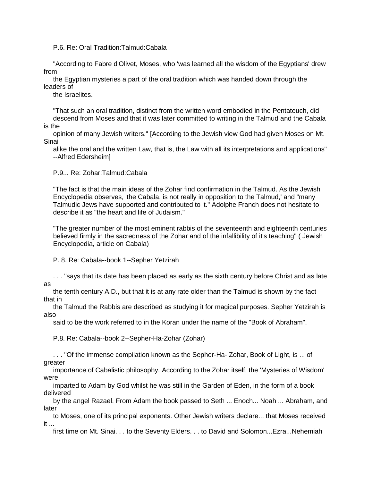P.6. Re: Oral Tradition:Talmud:Cabala

 "According to Fabre d'Olivet, Moses, who 'was learned all the wisdom of the Egyptians' drew from

 the Egyptian mysteries a part of the oral tradition which was handed down through the leaders of

the Israelites.

 "That such an oral tradition, distinct from the written word embodied in the Pentateuch, did descend from Moses and that it was later committed to writing in the Talmud and the Cabala is the

 opinion of many Jewish writers." [According to the Jewish view God had given Moses on Mt. Sinai

 alike the oral and the written Law, that is, the Law with all its interpretations and applications" --Alfred Edersheim]

P.9... Re: Zohar:Talmud:Cabala

 "The fact is that the main ideas of the Zohar find confirmation in the Talmud. As the Jewish Encyclopedia observes, 'the Cabala, is not really in opposition to the Talmud,' and "many Talmudic Jews have supported and contributed to it." Adolphe Franch does not hesitate to describe it as "the heart and life of Judaism."

 "The greater number of the most eminent rabbis of the seventeenth and eighteenth centuries believed firmly in the sacredness of the Zohar and of the infallibility of it's teaching" ( Jewish Encyclopedia, article on Cabala)

P. 8. Re: Cabala--book 1--Sepher Yetzirah

 . . . "says that its date has been placed as early as the sixth century before Christ and as late as

 the tenth century A.D., but that it is at any rate older than the Talmud is shown by the fact that in

 the Talmud the Rabbis are described as studying it for magical purposes. Sepher Yetzirah is also

said to be the work referred to in the Koran under the name of the "Book of Abraham".

P.8. Re: Cabala--book 2--Sepher-Ha-Zohar (Zohar)

 . . . "Of the immense compilation known as the Sepher-Ha- Zohar, Book of Light, is ... of greater

 importance of Cabalistic philosophy. According to the Zohar itself, the 'Mysteries of Wisdom' were

 imparted to Adam by God whilst he was still in the Garden of Eden, in the form of a book delivered

 by the angel Razael. From Adam the book passed to Seth ... Enoch... Noah ... Abraham, and later

 to Moses, one of its principal exponents. Other Jewish writers declare... that Moses received it ...

first time on Mt. Sinai. . . to the Seventy Elders. . . to David and Solomon...Ezra...Nehemiah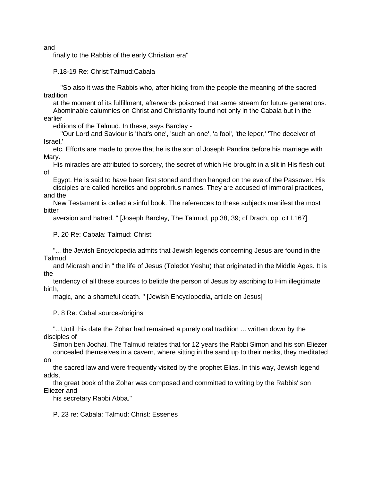and

finally to the Rabbis of the early Christian era"

P.18-19 Re: Christ:Talmud:Cabala

 "So also it was the Rabbis who, after hiding from the people the meaning of the sacred tradition

 at the moment of its fulfillment, afterwards poisoned that same stream for future generations. Abominable calumnies on Christ and Christianity found not only in the Cabala but in the earlier

editions of the Talmud. In these, says Barclay -

 "Our Lord and Saviour is 'that's one', 'such an one', 'a fool', 'the leper,' 'The deceiver of Israel,'

 etc. Efforts are made to prove that he is the son of Joseph Pandira before his marriage with Mary.

 His miracles are attributed to sorcery, the secret of which He brought in a slit in His flesh out of

 Egypt. He is said to have been first stoned and then hanged on the eve of the Passover. His disciples are called heretics and opprobrius names. They are accused of immoral practices, and the

 New Testament is called a sinful book. The references to these subjects manifest the most bitter

aversion and hatred. " [Joseph Barclay, The Talmud, pp.38, 39; cf Drach, op. cit I.167]

P. 20 Re: Cabala: Talmud: Christ:

 "... the Jewish Encyclopedia admits that Jewish legends concerning Jesus are found in the Talmud

 and Midrash and in " the life of Jesus (Toledot Yeshu) that originated in the Middle Ages. It is the

 tendency of all these sources to belittle the person of Jesus by ascribing to Him illegitimate birth,

magic, and a shameful death. " [Jewish Encyclopedia, article on Jesus]

P. 8 Re: Cabal sources/origins

 "...Until this date the Zohar had remained a purely oral tradition ... written down by the disciples of

 Simon ben Jochai. The Talmud relates that for 12 years the Rabbi Simon and his son Eliezer concealed themselves in a cavern, where sitting in the sand up to their necks, they meditated on

 the sacred law and were frequently visited by the prophet Elias. In this way, Jewish legend adds,

 the great book of the Zohar was composed and committed to writing by the Rabbis' son Eliezer and

his secretary Rabbi Abba."

P. 23 re: Cabala: Talmud: Christ: Essenes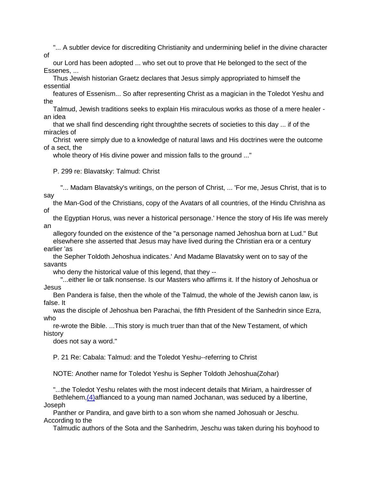"... A subtler device for discrediting Christianity and undermining belief in the divine character of

 our Lord has been adopted ... who set out to prove that He belonged to the sect of the Essenes, ...

 Thus Jewish historian Graetz declares that Jesus simply appropriated to himself the essential

 features of Essenism... So after representing Christ as a magician in the Toledot Yeshu and the

 Talmud, Jewish traditions seeks to explain His miraculous works as those of a mere healer an idea

 that we shall find descending right throughthe secrets of societies to this day ... if of the miracles of

 Christ were simply due to a knowledge of natural laws and His doctrines were the outcome of a sect, the

whole theory of His divine power and mission falls to the ground ..."

P. 299 re: Blavatsky: Talmud: Christ

 "... Madam Blavatsky's writings, on the person of Christ, ... 'For me, Jesus Christ, that is to say

 the Man-God of the Christians, copy of the Avatars of all countries, of the Hindu Chrishna as of

 the Egyptian Horus, was never a historical personage.' Hence the story of His life was merely an

 allegory founded on the existence of the "a personage named Jehoshua born at Lud." But elsewhere she asserted that Jesus may have lived during the Christian era or a century earlier 'as

 the Sepher Toldoth Jehoshua indicates.' And Madame Blavatsky went on to say of the savants

who deny the historical value of this legend, that they --

 "...either lie or talk nonsense. Is our Masters who affirms it. If the history of Jehoshua or Jesus

 Ben Pandera is false, then the whole of the Talmud, the whole of the Jewish canon law, is false. It

 was the disciple of Jehoshua ben Parachai, the fifth President of the Sanhedrin since Ezra, who

 re-wrote the Bible. ...This story is much truer than that of the New Testament, of which history

does not say a word."

P. 21 Re: Cabala: Talmud: and the Toledot Yeshu--referring to Christ

NOTE: Another name for Toledot Yeshu is Sepher Toldoth Jehoshua(Zohar)

 "...the Toledot Yeshu relates with the most indecent details that Miriam, a hairdresser of Bethlehem, (4) affianced to a young man named Jochanan, was seduced by a libertine, Joseph

 Panther or Pandira, and gave birth to a son whom she named Johosuah or Jeschu. According to the

Talmudic authors of the Sota and the Sanhedrim, Jeschu was taken during his boyhood to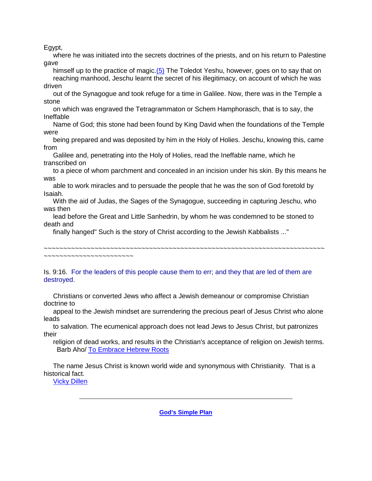Egypt,

 where he was initiated into the secrets doctrines of the priests, and on his return to Palestine gave

himself up to the practice of magic[.\(5\)](javascript:if(confirm() The Toledot Yeshu, however, goes on to say that on reaching manhood, Jeschu learnt the secret of his illegitimacy, on account of which he was driven

 out of the Synagogue and took refuge for a time in Galilee. Now, there was in the Temple a stone

 on which was engraved the Tetragrammaton or Schem Hamphorasch, that is to say, the Ineffable

 Name of God; this stone had been found by King David when the foundations of the Temple were

 being prepared and was deposited by him in the Holy of Holies. Jeschu, knowing this, came from

 Galilee and, penetrating into the Holy of Holies, read the Ineffable name, which he transcribed on

 to a piece of whom parchment and concealed in an incision under his skin. By this means he was

 able to work miracles and to persuade the people that he was the son of God foretold by Isaiah.

 With the aid of Judas, the Sages of the Synagogue, succeeding in capturing Jeschu, who was then

 lead before the Great and Little Sanhedrin, by whom he was condemned to be stoned to death and

finally hanged" Such is the story of Christ according to the Jewish Kabbalists ..."

~~~~~~~~~~~~~~~~~~~~~~~~~~~~~~~~~~~~~~~~~~~~~~~~~~~~~~~~~~~~~~~~~~~~~~~~

~~~~~~~~~~~~~~~~~~~~~~~

Is. 9:16. For the leaders of this people cause them to err; and they that are led of them are destroyed.

 Christians or converted Jews who affect a Jewish demeanour or compromise Christian doctrine to

 appeal to the Jewish mindset are surrendering the precious pearl of Jesus Christ who alone leads

 to salvation. The ecumenical approach does not lead Jews to Jesus Christ, but patronizes their

 religion of dead works, and results in the Christian's acceptance of religion on Jewish terms. Barb Aho/ [To Embrace Hebrew Roots](javascript:if(confirm()

 The name Jesus Christ is known world wide and synonymous with Christianity. That is a historical fact.

[Vicky Dillen](javascript:if(confirm()

**[God's Simple Plan](http://www.jesus-is-savior.com/Basics/gods_simple_plan.htm)**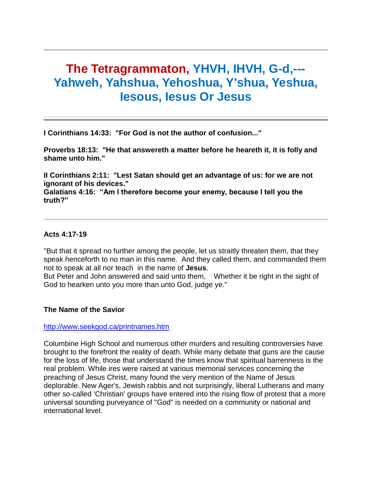# **The Tetragrammaton, YHVH, IHVH, G-d,--- Yahweh, Yahshua, Yehoshua, Y'shua, Yeshua, Iesous, Iesus Or Jesus**

**I Corinthians 14:33: "For God is not the author of confusion..."** 

**Proverbs 18:13: "He that answereth a matter before he heareth it, it is folly and shame unto him."** 

**II Corinthians 2:11: "Lest Satan should get an advantage of us: for we are not ignorant of his devices."**

**Galatians 4:16: "Am I therefore become your enemy, because I tell you the truth?"** 

# **Acts 4:17-19**

"But that it spread no further among the people, let us straitly threaten them, that they speak henceforth to no man in this name. And they called them, and commanded them not to speak at all nor teach in the name of **Jesus**.

But Peter and John answered and said unto them, Whether it be right in the sight of God to hearken unto you more than unto God, judge ye."

# **The Name of the Savior**

# <http://www.seekgod.ca/printnames.htm>

Columbine High School and numerous other murders and resulting controversies have brought to the forefront the reality of death. While many debate that guns are the cause for the loss of life, those that understand the times know that spiritual barrenness is the real problem. While ires were raised at various memorial services concerning the preaching of Jesus Christ, many found the very mention of the Name of Jesus deplorable. New Ager's, Jewish rabbis and not surprisingly, liberal Lutherans and many other so-called 'Christian' groups have entered into the rising flow of protest that a more universal sounding purveyance of "God" is needed on a community or national and international level.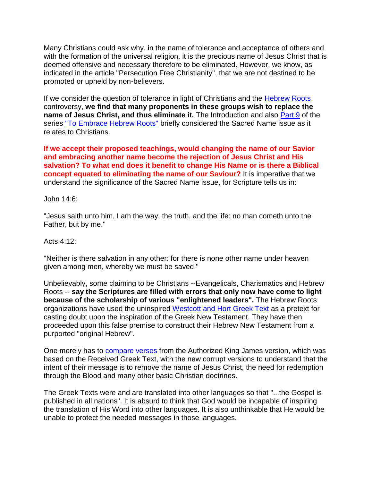Many Christians could ask why, in the name of tolerance and acceptance of others and with the formation of the universal religion, it is the precious name of Jesus Christ that is deemed offensive and necessary therefore to be eliminated. However, we know, as indicated in the article "Persecution Free Christianity", that we are not destined to be promoted or upheld by non-believers.

If we consider the question of tolerance in light of Christians and the [Hebrew Roots](http://www.seekgod.ca/embraceintro.htm) controversy, **we find that many proponents in these groups wish to replace the name of Jesus Christ, and thus eliminate it.** The Introduction and also [Part 9](http://www.seekgod.ca/practicalkab.htm) of the series ["To Embrace Hebrew Roots"](http://www.seekgod.ca/embraceintro.htm) briefly considered the Sacred Name issue as it relates to Christians.

**If we accept their proposed teachings, would changing the name of our Savior and embracing another name become the rejection of Jesus Christ and His salvation? To what end does it benefit to change His Name or is there a Biblical concept equated to eliminating the name of our Saviour?** It is imperative that we understand the significance of the Sacred Name issue, for Scripture tells us in:

John 14:6:

"Jesus saith unto him, I am the way, the truth, and the life: no man cometh unto the Father, but by me."

Acts 4:12:

"Neither is there salvation in any other: for there is none other name under heaven given among men, whereby we must be saved."

Unbelievably, some claiming to be Christians --Evangelicals, Charismatics and Hebrew Roots -- **say the Scriptures are filled with errors that only now have come to light because of the scholarship of various "enlightened leaders".** The Hebrew Roots organizations have used the uninspired [Westcott and Hort Greek Text](http://www.seekgod.ca/ghostsociety.htm) as a pretext for casting doubt upon the inspiration of the Greek New Testament. They have then proceeded upon this false premise to construct their Hebrew New Testament from a purported "original Hebrew".

One merely has to [compare verses](http://www.seekgod.ca/chart.htm) from the Authorized King James version, which was based on the Received Greek Text, with the new corrupt versions to understand that the intent of their message is to remove the name of Jesus Christ, the need for redemption through the Blood and many other basic Christian doctrines.

The Greek Texts were and are translated into other languages so that "...the Gospel is published in all nations". It is absurd to think that God would be incapable of inspiring the translation of His Word into other languages. It is also unthinkable that He would be unable to protect the needed messages in those languages.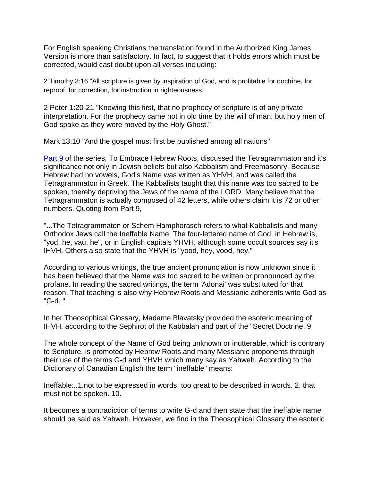For English speaking Christians the translation found in the Authorized King James Version is more than satisfactory. In fact, to suggest that it holds errors which must be corrected, would cast doubt upon all verses including:

2 Timothy 3:16 "All scripture is given by inspiration of God, and is profitable for doctrine, for reproof, for correction, for instruction in righteousness.

2 Peter 1:20-21 "Knowing this first, that no prophecy of scripture is of any private interpretation. For the prophecy came not in old time by the will of man: but holy men of God spake as they were moved by the Holy Ghost."

Mark 13:10 "And the gospel must first be published among all nations"

[Part 9](http://www.seekgod.ca/practicalkab.htm) of the series, To Embrace Hebrew Roots, discussed the Tetragrammaton and it's significance not only in Jewish beliefs but also Kabbalism and Freemasonry. Because Hebrew had no vowels, God's Name was written as YHVH, and was called the Tetragrammaton in Greek. The Kabbalists taught that this name was too sacred to be spoken, thereby depriving the Jews of the name of the LORD. Many believe that the Tetragrammaton is actually composed of 42 letters, while others claim it is 72 or other numbers. Quoting from Part 9,

"...The Tetragrammaton or Schem Hamphorasch refers to what Kabbalists and many Orthodox Jews call the Ineffable Name. The four-lettered name of God, in Hebrew is, "yod, he, vau, he", or in English capitals YHVH, although some occult sources say it's IHVH. Others also state that the YHVH is "yood, hey, vood, hey."

According to various writings, the true ancient pronunciation is now unknown since it has been believed that the Name was too sacred to be written or pronounced by the profane. In reading the sacred writings, the term 'Adonai' was substituted for that reason. That teaching is also why Hebrew Roots and Messianic adherents write God as "G-d. "

In her Theosophical Glossary, Madame Blavatsky provided the esoteric meaning of IHVH, according to the Sephirot of the Kabbalah and part of the "Secret Doctrine. 9

The whole concept of the Name of God being unknown or inutterable, which is contrary to Scripture, is promoted by Hebrew Roots and many Messianic proponents through their use of the terms G-d and YHVH which many say as Yahweh. According to the Dictionary of Canadian English the term "ineffable" means:

Ineffable:..1.not to be expressed in words; too great to be described in words. 2. that must not be spoken. 10.

It becomes a contradiction of terms to write G-d and then state that the ineffable name should be said as Yahweh. However, we find in the Theosophical Glossary the esoteric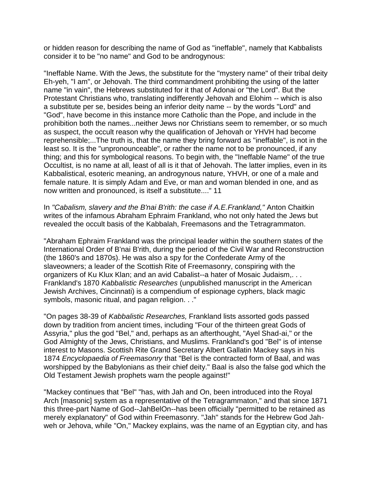or hidden reason for describing the name of God as "ineffable", namely that Kabbalists consider it to be "no name" and God to be androgynous:

"Ineffable Name. With the Jews, the substitute for the "mystery name" of their tribal deity Eh-yeh, "I am", or Jehovah. The third commandment prohibiting the using of the latter name "in vain", the Hebrews substituted for it that of Adonai or "the Lord". But the Protestant Christians who, translating indifferently Jehovah and Elohim -- which is also a substitute per se, besides being an inferior deity name -- by the words "Lord" and "God", have become in this instance more Catholic than the Pope, and include in the prohibition both the names...neither Jews nor Christians seem to remember, or so much as suspect, the occult reason why the qualification of Jehovah or YHVH had become reprehensible;...The truth is, that the name they bring forward as "ineffable", is not in the least so. It is the "unpronounceable", or rather the name not to be pronounced, if any thing; and this for symbological reasons. To begin with, the "Ineffable Name" of the true Occultist, is no name at all, least of all is it that of Jehovah. The latter implies, even in its Kabbalistical, esoteric meaning, an androgynous nature, YHVH, or one of a male and female nature. It is simply Adam and Eve, or man and woman blended in one, and as now written and pronounced, is itself a substitute...." 11

In *"Cabalism, slavery and the B'nai B'rith: the case if A.E.Frankland,"* Anton Chaitkin writes of the infamous Abraham Ephraim Frankland, who not only hated the Jews but revealed the occult basis of the Kabbalah, Freemasons and the Tetragrammaton.

"Abraham Ephraim Frankland was the principal leader within the southern states of the International Order of B'nai B'rith, during the period of the Civil War and Reconstruction (the 1860's and 1870s). He was also a spy for the Confederate Army of the slaveowners; a leader of the Scottish Rite of Freemasonry, conspiring with the organizers of Ku Klux Klan; and an avid Cabalist--a hater of Mosaic Judaism,. . . Frankland's 1870 *Kabbalistic Researches* (unpublished manuscript in the American Jewish Archives, Cincinnati) is a compendium of espionage cyphers, black magic symbols, masonic ritual, and pagan religion. . ."

"On pages 38-39 of *Kabbalistic Researches,* Frankland lists assorted gods passed down by tradition from ancient times, including "Four of the thirteen great Gods of Assyria," plus the god "Bel," and, perhaps as an afterthought, "Ayel Shad-ai," or the God Almighty of the Jews, Christians, and Muslims. Frankland's god "Bel" is of intense interest to Masons. Scottish Rite Grand Secretary Albert Gallatin Mackey says in his 1874 *Encyclopaedia of Freemasonry* that "Bel is the contracted form of Baal, and was worshipped by the Babylonians as their chief deity." Baal is also the false god which the Old Testament Jewish prophets warn the people against!"

"Mackey continues that "Bel" "has, with Jah and On, been introduced into the Royal Arch [masonic] system as a representative of the Tetragrammaton," and that since 1871 this three-part Name of God--JahBelOn--has been officially "permitted to be retained as merely explanatory" of God within Freemasonry. "Jah" stands for the Hebrew God Jahweh or Jehova, while "On," Mackey explains, was the name of an Egyptian city, and has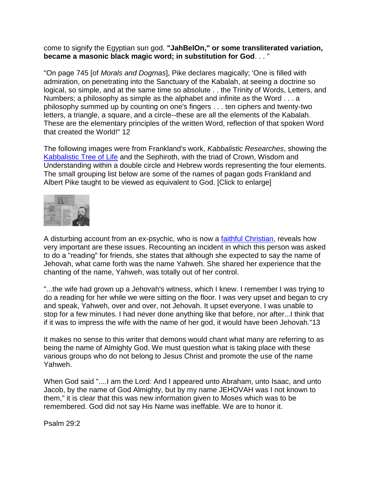## come to signify the Egyptian sun god. **"JahBelOn," or some transliterated variation, became a masonic black magic word; in substitution for God**. . . "

"On page 745 [of *Morals and Dogmas*], Pike declares magically; 'One is filled with admiration, on penetrating into the Sanctuary of the Kabalah, at seeing a doctrine so logical, so simple, and at the same time so absolute . . the Trinity of Words, Letters, and Numbers; a philosophy as simple as the alphabet and infinite as the Word . . . a philosophy summed up by counting on one's fingers . . . ten ciphers and twenty-two letters, a triangle, a square, and a circle--these are all the elements of the Kabalah. These are the elementary principles of the written Word, reflection of that spoken Word that created the World!" 12

The following images were from Frankland's work, *Kabbalistic Researches*, showing the [Kabbalistic Tree of Life](http://www.seekgod.ca/embracinition.htm) and the Sephiroth, with the triad of Crown, Wisdom and Understanding within a double circle and Hebrew words representing the four elements. The small grouping list below are some of the names of pagan gods Frankland and Albert Pike taught to be viewed as equivalent to God. [Click to enlarge]



A disturbing account from an ex-psychic, who is now a [faithful Christian,](http://www.seekgod.ca/jesustheway.htm) reveals how very important are these issues. Recounting an incident in which this person was asked to do a "reading" for friends, she states that although she expected to say the name of Jehovah, what came forth was the name Yahweh. She shared her experience that the chanting of the name, Yahweh, was totally out of her control.

"...the wife had grown up a Jehovah's witness, which I knew. I remember I was trying to do a reading for her while we were sitting on the floor. I was very upset and began to cry and speak, Yahweh, over and over, not Jehovah. It upset everyone. I was unable to stop for a few minutes. I had never done anything like that before, nor after...I think that if it was to impress the wife with the name of her god, it would have been Jehovah."13

It makes no sense to this writer that demons would chant what many are referring to as being the name of Almighty God. We must question what is taking place with these various groups who do not belong to Jesus Christ and promote the use of the name Yahweh.

When God said "....I am the Lord: And I appeared unto Abraham, unto Isaac, and unto Jacob, by the name of God Almighty, but by my name JEHOVAH was I not known to them," it is clear that this was new information given to Moses which was to be remembered. God did not say His Name was ineffable. We are to honor it.

Psalm 29:2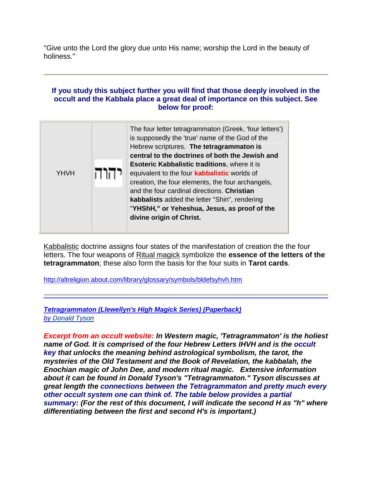"Give unto the Lord the glory due unto His name; worship the Lord in the beauty of holiness."

## **If you study this subject further you will find that those deeply involved in the occult and the Kabbala place a great deal of importance on this subject. See below for proof:**

|             | The four letter tetragrammaton (Greek, 'four letters')<br>is supposedly the 'true' name of the God of the<br>Hebrew scriptures. The tetragrammaton is<br>central to the doctrines of both the Jewish and                                                                                                                                    |  |  |
|-------------|---------------------------------------------------------------------------------------------------------------------------------------------------------------------------------------------------------------------------------------------------------------------------------------------------------------------------------------------|--|--|
| <b>YHVH</b> | <b>Esoteric Kabbalistic traditions, where it is</b><br>equivalent to the four <b>kabbalistic</b> worlds of<br>creation, the four elements, the four archangels,<br>and the four cardinal directions. Christian<br>kabbalists added the letter "Shin", rendering<br>"YHShH," or Yeheshua, Jesus, as proof of the<br>divine origin of Christ. |  |  |

[Kabbalistic](http://altreligion.about.com/library/glossary/bldefkabbalah.htm) doctrine assigns four states of the manifestation of creation the the four letters. The four weapons of [Ritual magick](http://altreligion.about.com/od/ritualmagick/index.htm) symbolize the **essence of the letters of the tetragrammaton**; these also form the basis for the four suits in **Tarot cards**.

[http://altreligion.about.com/library/glossary/symbols/bldefsyhvh.htm](http://altreligion.about.com/library/glossary/symbols/bldefsyhvh.htmTetragrammaton%20(Llewellyn)

*[Tetragrammaton \(Llewellyn's High Magick Series\) \(Paperback\)](http://altreligion.about.com/library/glossary/symbols/bldefsyhvh.htmTetragrammaton%20(Llewellyn)  [by Donald Tyson](http://altreligion.about.com/library/glossary/symbols/bldefsyhvh.htmTetragrammaton%20(Llewellyn)*

*Excerpt from an occult website: In Western magic, 'Tetragrammaton' is the holiest name of God. It is comprised of the four Hebrew Letters IHVH and is the occult key that unlocks the meaning behind astrological symbolism, the tarot, the mysteries of the Old Testament and the Book of Revelation, the kabbalah, the Enochian magic of John Dee, and modern ritual magic. Extensive information about it can be found in Donald Tyson's "Tetragrammaton." Tyson discusses at great length the connections between the Tetragrammaton and pretty much every other occult system one can think of. The table below provides a partial summary: (For the rest of this document, I will indicate the second H as "h" where differentiating between the first and second H's is important.)*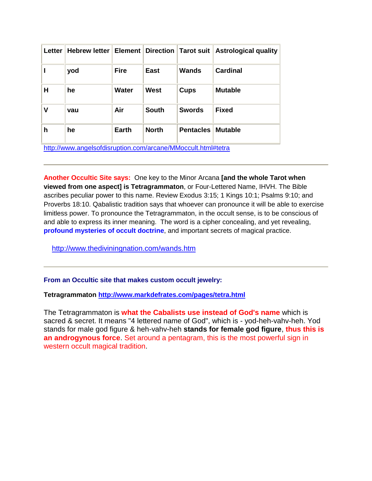| Letter                                                       | <b>Hebrew letter</b> | <b>Element</b> | <b>Direction</b> | Tarot suit       | <b>Astrological quality</b> |  |  |  |
|--------------------------------------------------------------|----------------------|----------------|------------------|------------------|-----------------------------|--|--|--|
|                                                              | yod                  | <b>Fire</b>    | <b>East</b>      | <b>Wands</b>     | <b>Cardinal</b>             |  |  |  |
| H                                                            | he                   | Water          | West             | <b>Cups</b>      | <b>Mutable</b>              |  |  |  |
| V                                                            | vau                  | Air            | <b>South</b>     | <b>Swords</b>    | <b>Fixed</b>                |  |  |  |
| h                                                            | he                   | <b>Earth</b>   | <b>North</b>     | <b>Pentacles</b> | <b>Mutable</b>              |  |  |  |
| http://www.angelsofdisruption.com/arcane/MMoccult.html#tetra |                      |                |                  |                  |                             |  |  |  |

**Another Occultic Site says:** One key to the Minor Arcana **[and the whole Tarot when viewed from one aspect] is Tetragrammaton**, or Four-Lettered Name, IHVH. The Bible ascribes peculiar power to this name. Review Exodus 3:15; 1 Kings 10:1; Psalms 9:10; and Proverbs 18:10. Qabalistic tradition says that whoever can pronounce it will be able to exercise limitless power. To pronounce the Tetragrammaton, in the occult sense, is to be conscious of and able to express its inner meaning. The word is a cipher concealing, and yet revealing, **[profound mysteries of occult doctrine](http://www.lib.rochester.edu/camelot/images/fht44.htm)**, and important secrets of magical practice.

<http://www.thediviningnation.com/wands.htm>

#### **From an Occultic site that makes custom occult jewelry:**

**Tetragrammaton <http://www.markdefrates.com/pages/tetra.html>**

The Tetragrammaton is **what the Cabalists use instead of God's name** which is sacred & secret. It means "4 lettered name of God", which is - yod-heh-vahv-heh. Yod stands for male god figure & heh-vahv-heh **stands for female god figure**, **thus this is an androgynous force**. Set around a pentagram, this is the most powerful sign in western occult magical tradition.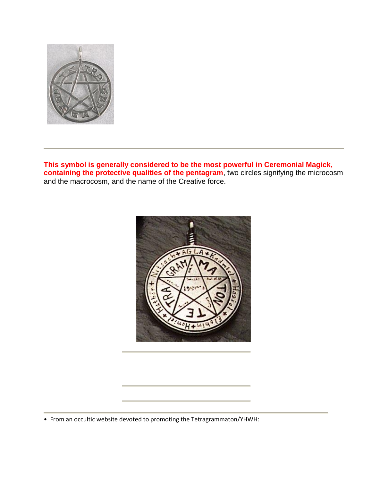

**This symbol is generally considered to be the most powerful in Ceremonial Magick, containing the protective qualities of the pentagram**, two circles signifying the microcosm and the macrocosm, and the name of the Creative force.



• From an occultic website devoted to promoting the Tetragrammaton/YHWH: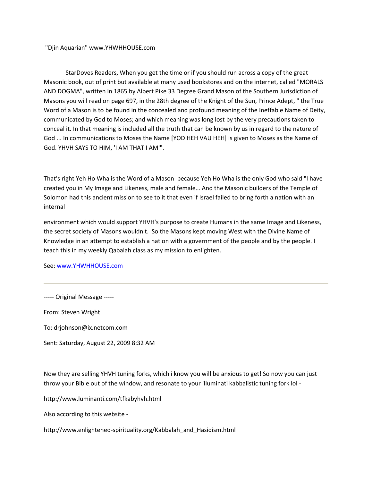"Djin Aquarian" www.YHWHHOUSE.com

StarDoves Readers, When you get the time or if you should run across a copy of the great Masonic book, out of print but available at many used bookstores and on the internet, called "MORALS AND DOGMA", written in 1865 by Albert Pike 33 Degree Grand Mason of the Southern Jurisdiction of Masons you will read on page 697, in the 28th degree of the Knight of the Sun, Prince Adept, " the True Word of a Mason is to be found in the concealed and profound meaning of the Ineffable Name of Deity, communicated by God to Moses; and which meaning was long lost by the very precautions taken to conceal it. In that meaning is included all the truth that can be known by us in regard to the nature of God ... In communications to Moses the Name [YOD HEH VAU HEH] is given to Moses as the Name of God. YHVH SAYS TO HIM, 'I AM THAT I AM'".

That's right Yeh Ho Wha is the Word of a Mason because Yeh Ho Wha is the only God who said "I have created you in My Image and Likeness, male and female… And the Masonic builders of the Temple of Solomon had this ancient mission to see to it that even if Israel failed to bring forth a nation with an internal

environment which would support YHVH's purpose to create Humans in the same Image and Likeness, the secret society of Masons wouldn't. So the Masons kept moving West with the Divine Name of Knowledge in an attempt to establish a nation with a government of the people and by the people. I teach this in my weekly Qabalah class as my mission to enlighten.

See[: www.YHWHHOUSE.com](http://www.yhwhhouse.com/)

----- Original Message -----

From: Steven Wright

To: drjohnson@ix.netcom.com

Sent: Saturday, August 22, 2009 8:32 AM

Now they are selling YHVH tuning forks, which i know you will be anxious to get! So now you can just throw your Bible out of the window, and resonate to your illuminati kabbalistic tuning fork lol -

http://www.luminanti.com/tfkabyhvh.html

Also according to this website -

http://www.enlightened-spirituality.org/Kabbalah\_and\_Hasidism.html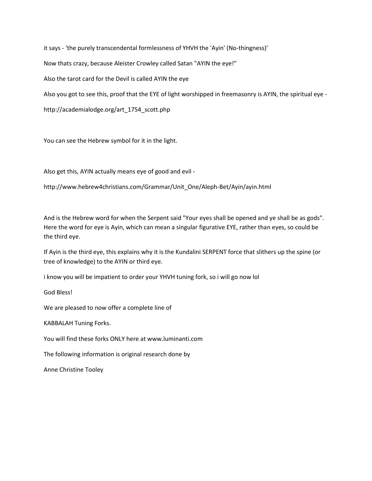it says - 'the purely transcendental formlessness of YHVH the 'Ayin' (No-thingness)'

Now thats crazy, because Aleister Crowley called Satan "AYIN the eye!"

Also the tarot card for the Devil is called AYIN the eye

Also you got to see this, proof that the EYE of light worshipped in freemasonry is AYIN, the spiritual eye -

http://academialodge.org/art\_1754\_scott.php

You can see the Hebrew symbol for it in the light.

Also get this, AYIN actually means eye of good and evil -

http://www.hebrew4christians.com/Grammar/Unit\_One/Aleph-Bet/Ayin/ayin.html

And is the Hebrew word for when the Serpent said "Your eyes shall be opened and ye shall be as gods". Here the word for eye is Ayin, which can mean a singular figurative EYE, rather than eyes, so could be the third eye.

If Ayin is the third eye, this explains why it is the Kundalini SERPENT force that slithers up the spine (or tree of knowledge) to the AYIN or third eye.

i know you will be impatient to order your YHVH tuning fork, so i will go now lol

God Bless!

We are pleased to now offer a complete line of

KABBALAH Tuning Forks.

You will find these forks ONLY here at www.luminanti.com

The following information is original research done by

Anne Christine Tooley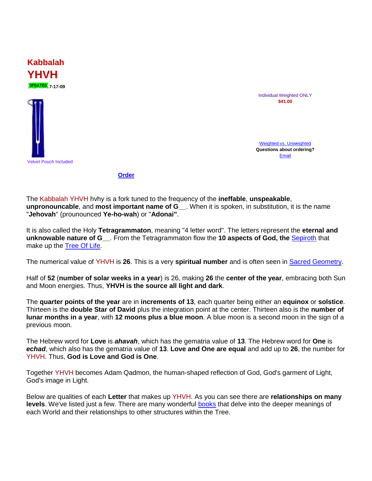

**Kabbalah**

**YHVH**

Individual Weighted ONLY **\$41.00**

[Weighted vs. Unweighted](http://www.luminanti.com/tfinfo.html#anchor815113) **Questions about ordering?** [Email](mailto:orderinfo@luminanti.com) 

**[Order](http://www.luminanti.com/customerservice.html)**

The Kabbalah YHVH hvhy is a fork tuned to the frequency of the **ineffable**, **unspeakable**, **unpronouncable**, and **most important name of G\_\_**. When it is spoken, in substitution, it is the name "**Jehovah**" (prounounced **Ye-ho-wah**) or "**Adonai"**.

It is also called the Holy **Tetragrammaton**, meaning "4 letter word". The letters represent the **eternal and unknowable nature of G\_\_**. From the Tetragrammaton flow the **10 aspects of God, the** [Sepiroth](http://www.luminanti.com/tfkabtol.html) that make up the [Tree Of Life.](http://www.luminanti.com/tfkabtol.html)

The numerical value of YHVH is **26**. This is a very **spiritual number** and is often seen in [Sacred Geometry.](http://www.luminanti.com/geometry.html)

Half of **52** (**number of solar weeks in a year**) is 26, making **26** the **center of the year**, embracing both Sun and Moon energies. Thus, **YHVH is the source all light and dark**.

The **quarter points of the year** are in **increments of 13**, each quarter being either an **equinox** or **solstice**. Thirteen is the **double Star of David** plus the integration point at the center. Thirteen also is the **number of lunar months in a year**, with **12 moons plus a blue moon**. A blue moon is a second moon in the sign of a previous moon.

The Hebrew word for **Love** is *ahavah*, which has the gematria value of **13**. The Hebrew word for **One** is *echad*, which also has the gematria value of **13**. **Love and One are equal** and add up to **26**, the number for YHVH. Thus, **God is Love and God is One**.

Together YHVH becomes Adam Qadmon, the human-shaped reflection of God, God's garment of Light, God's image in Light.

Below are qualities of each **Letter** that makes up YHVH. As you can see there are **relationships on many levels**. We've listed just a few. There are many wonderful [books](http://www.luminanti.com/bkother.html) that delve into the deeper meanings of each World and their relationships to other structures within the Tree.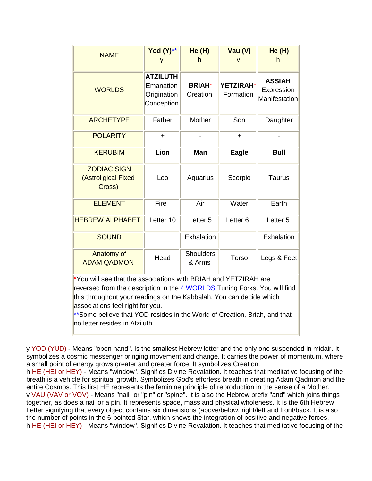| <b>NAME</b>                                                                                                                                                                                                                                                                                                                                                            | Yod (Y)**<br>У                                            | He (H)<br>h                | Vau (V)                       | He(H)<br>h                                   |  |  |  |  |
|------------------------------------------------------------------------------------------------------------------------------------------------------------------------------------------------------------------------------------------------------------------------------------------------------------------------------------------------------------------------|-----------------------------------------------------------|----------------------------|-------------------------------|----------------------------------------------|--|--|--|--|
| <b>WORLDS</b>                                                                                                                                                                                                                                                                                                                                                          | <b>ATZILUTH</b><br>Emanation<br>Origination<br>Conception | <b>BRIAH*</b><br>Creation  | <b>YETZIRAH*</b><br>Formation | <b>ASSIAH</b><br>Expression<br>Manifestation |  |  |  |  |
| <b>ARCHETYPE</b>                                                                                                                                                                                                                                                                                                                                                       | Father                                                    | Mother                     | Son                           | Daughter                                     |  |  |  |  |
| <b>POLARITY</b>                                                                                                                                                                                                                                                                                                                                                        | $\div$                                                    |                            | $\pm$                         |                                              |  |  |  |  |
| <b>KERUBIM</b>                                                                                                                                                                                                                                                                                                                                                         | Lion                                                      | Man                        | <b>Eagle</b>                  | <b>Bull</b>                                  |  |  |  |  |
| <b>ZODIAC SIGN</b><br>(Astroligical Fixed<br>Cross)                                                                                                                                                                                                                                                                                                                    | Leo                                                       | Aquarius                   | Scorpio                       | <b>Taurus</b>                                |  |  |  |  |
| <b>ELEMENT</b>                                                                                                                                                                                                                                                                                                                                                         | Fire                                                      | Air                        | Water                         | Earth                                        |  |  |  |  |
| <b>HEBREW ALPHABET</b>                                                                                                                                                                                                                                                                                                                                                 | Letter 10                                                 | Letter <sub>5</sub>        | Letter <sub>6</sub>           | Letter <sub>5</sub>                          |  |  |  |  |
| <b>SOUND</b>                                                                                                                                                                                                                                                                                                                                                           |                                                           | Exhalation                 |                               | Exhalation                                   |  |  |  |  |
| Anatomy of<br><b>ADAM QADMON</b>                                                                                                                                                                                                                                                                                                                                       | Head                                                      | <b>Shoulders</b><br>& Arms | Torso                         | Legs & Feet                                  |  |  |  |  |
| *You will see that the associations with BRIAH and YETZIRAH are<br>reversed from the description in the 4 WORLDS Tuning Forks. You will find<br>this throughout your readings on the Kabbalah. You can decide which<br>associations feel right for you.<br>**Some believe that YOD resides in the World of Creation, Briah, and that<br>no letter resides in Atziluth. |                                                           |                            |                               |                                              |  |  |  |  |

y YOD (YUD) - Means "open hand". Is the smallest Hebrew letter and the only one suspended in midair. It symbolizes a cosmic messenger bringing movement and change. It carries the power of momentum, where a small point of energy grows greater and greater force. It symbolizes Creation.

h HE (HEI or HEY) - Means "window". Signifies Divine Revalation. It teaches that meditative focusing of the breath is a vehicle for spiritual growth. Symbolizes God's efforless breath in creating Adam Qadmon and the entire Cosmos. This first HE represents the feminine principle of reproduction in the sense of a Mother. v VAU (VAV or VOV) - Means "nail" or "pin" or "spine". It is also the Hebrew prefix "and" which joins things together, as does a nail or a pin. It represents space, mass and physical wholeness. It is the 6th Hebrew Letter signifying that every object contains six dimensions (above/below, right/left and front/back. It is also the number of points in the 6-pointed Star, which shows the integration of positive and negative forces. h HE (HEI or HEY) - Means "window". Signifies Divine Revalation. It teaches that meditative focusing of the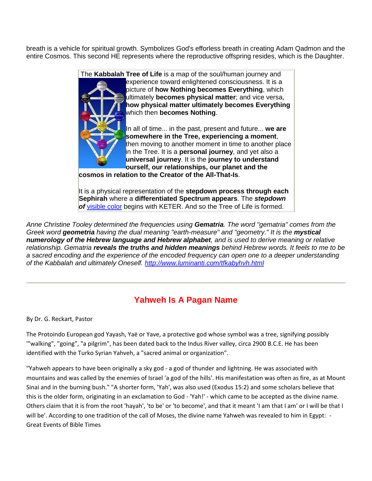breath is a vehicle for spiritual growth. Symbolizes God's efforless breath in creating Adam Qadmon and the entire Cosmos. This second HE represents where the reproductive offspring resides, which is the Daughter.



**cosmos in relation to the Creator of the All-That-Is**.

It is a physical representation of the **stepdown process through each Sephirah** where a **differentiated Spectrum appears**. The *stepdown of* [visible color](http://www.luminanti.com/color.html) begins with KETER. And so the Tree of Life is formed.

*Anne Christine Tooley determined the frequencies using Gematria. The word "gematria" comes from the Greek word geometria having the dual meaning "earth-measure" and "geometry." It is the mystical numerology of the Hebrew language and Hebrew alphabet, and is used to derive meaning or relative relationship. Gematria reveals the truths and hidden meanings behind Hebrew words. It feels to me to be a sacred encoding and the experience of the encoded frequency can open one to a deeper understanding of the Kabbalah and ultimately Oneself.<http://www.luminanti.com/tfkabyhvh.html>*

# **Yahweh Is A Pagan Name**

By Dr. G. Reckart, Pastor

The Protoindo European god Yayash, Yaë or Yave, a protective god whose symbol was a tree, signifying possibly '"walking", "going", "a pilgrim", has been dated back to the Indus River valley, circa 2900 B.C.E. He has been identified with the Turko Syrian Yahveh, a "sacred animal or organization".

"Yahweh appears to have been originally a sky god - a god of thunder and lightning. He was associated with mountains and was called by the enemies of Israel 'a god of the hills'. His manifestation was often as fire, as at Mount Sinai and in the burning bush." "A shorter form, 'Yah', was also used (Exodus 15:2) and some scholars believe that this is the older form, originating in an exclamation to God - 'Yah!' - which came to be accepted as the divine name. Others claim that it is from the root 'hayah', 'to be' or 'to become', and that it meant 'I am that I am' or I will be that I will be'. According to one tradition of the call of Moses, the divine name Yahweh was revealed to him in Egypt: - Great Events of Bible Times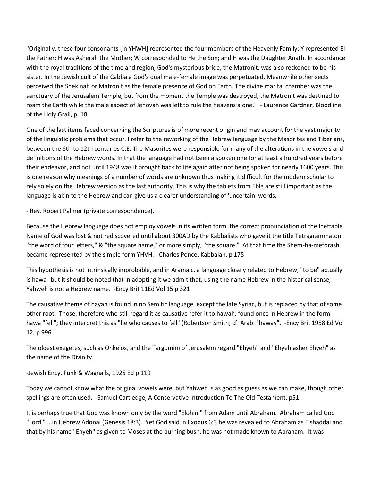"Originally, these four consonants [in YHWH] represented the four members of the Heavenly Family: Y represented El the Father; H was Asherah the Mother; W corresponded to He the Son; and H was the Daughter Anath. In accordance with the royal traditions of the time and region, God's mysterious bride, the Matronit, was also reckoned to be his sister. In the Jewish cult of the Cabbala God's dual male-female image was perpetuated. Meanwhile other sects perceived the Shekinah or Matronit as the female presence of God on Earth. The divine marital chamber was the sanctuary of the Jerusalem Temple, but from the moment the Temple was destroyed, the Matronit was destined to roam the Earth while the male aspect of Jehovah was left to rule the heavens alone." - Laurence Gardner, Bloodline of the Holy Grail, p. 18

One of the last items faced concerning the Scriptures is of more recent origin and may account for the vast majority of the linguistic problems that occur. I refer to the reworking of the Hebrew language by the Masorites and Tiberians, between the 6th to 12th centuries C.E. The Masorites were responsible for many of the alterations in the vowels and definitions of the Hebrew words. In that the language had not been a spoken one for at least a hundred years before their endeavor, and not until 1948 was it brought back to life again after not being spoken for nearly 1600 years. This is one reason why meanings of a number of words are unknown thus making it difficult for the modern scholar to rely solely on the Hebrew version as the last authority. This is why the tablets from Ebla are still important as the language is akin to the Hebrew and can give us a clearer understanding of 'uncertain' words.

- Rev. Robert Palmer (private correspondence).

Because the Hebrew language does not employ vowels in its written form, the correct pronunciation of the Ineffable Name of God was lost & not rediscovered until about 300AD by the Kabbalists who gave it the title Tetragrammaton, "the word of four letters," & "the square name," or more simply, "the square." At that time the Shem-ha-meforash became represented by the simple form YHVH. -Charles Ponce, Kabbalah, p 175

This hypothesis is not intrinsically improbable, and in Aramaic, a language closely related to Hebrew, "to be" actually is hawa--but it should be noted that in adopting it we admit that, using the name Hebrew in the historical sense, Yahweh is not a Hebrew name. -Ency Brit 11Ed Vol 15 p 321

The causative theme of hayah is found in no Semitic language, except the late Syriac, but is replaced by that of some other root. Those, therefore who still regard it as causative refer it to hawah, found once in Hebrew in the form hawa "fell"; they interpret this as "he who causes to fall" (Robertson Smith; cf. Arab. "haway". -Ency Brit 1958 Ed Vol 12, p 996

The oldest exegetes, such as Onkelos, and the Targumim of Jerusalem regard "Ehyeh" and "Ehyeh asher Ehyeh" as the name of the Divinity.

-Jewish Ency, Funk & Wagnalls, 1925 Ed p 119

Today we cannot know what the original vowels were, but Yahweh is as good as guess as we can make, though other spellings are often used. -Samuel Cartledge, A Conservative Introduction To The Old Testament, p51

It is perhaps true that God was known only by the word "Elohim" from Adam until Abraham. Abraham called God "Lord," ...in Hebrew Adonai (Genesis 18:3). Yet God said in Exodus 6:3 he was revealed to Abraham as Elshaddai and that by his name "Ehyeh" as given to Moses at the burning bush, he was not made known to Abraham. It was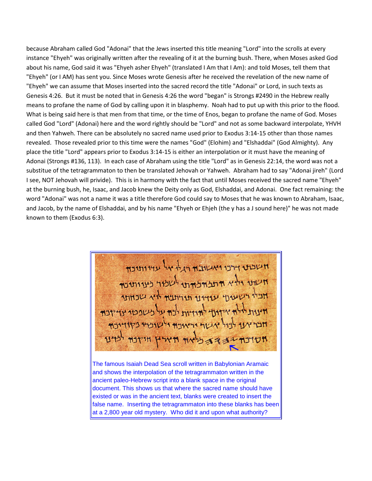because Abraham called God "Adonai" that the Jews inserted this title meaning "Lord" into the scrolls at every instance "Ehyeh" was originally written after the revealing of it at the burning bush. There, when Moses asked God about his name, God said it was "Ehyeh asher Ehyeh" (translated I Am that I Am): and told Moses, tell them that "Ehyeh" (or I AM) has sent you. Since Moses wrote Genesis after he received the revelation of the new name of "Ehyeh" we can assume that Moses inserted into the sacred record the title "Adonai" or Lord, in such texts as Genesis 4:26. But it must be noted that in Genesis 4:26 the word "began" is Strongs #2490 in the Hebrew really means to profane the name of God by calling upon it in blasphemy. Noah had to put up with this prior to the flood. What is being said here is that men from that time, or the time of Enos, began to profane the name of God. Moses called God "Lord" (Adonai) here and the word rightly should be "Lord" and not as some backward interpolate, YHVH and then Yahweh. There can be absolutely no sacred name used prior to Exodus 3:14-15 other than those names revealed. Those revealed prior to this time were the names "God" (Elohim) and "Elshaddai" (God Almighty). Any place the title "Lord" appears prior to Exodus 3:14-15 is either an interpolation or it must have the meaning of Adonai (Strongs #136, 113). In each case of Abraham using the title "Lord" as in Genesis 22:14, the word was not a substitue of the tetragrammaton to then be translated Jehovah or Yahweh. Abraham had to say "Adonai jireh" (Lord I see, NOT Jehovah will privide). This is in harmony with the fact that until Moses received the sacred name "Ehyeh" at the burning bush, he, Isaac, and Jacob knew the Deity only as God, Elshaddai, and Adonai. One fact remaining: the word "Adonai" was not a name it was a title therefore God could say to Moses that he was known to Abraham, Isaac, and Jacob, by the name of Elshaddai, and by his name "Ehyeh or Ehjeh (the y has a J sound here)" he was not made known to them (Exodus 6:3).

חשבת דרנו ואשותה היל אל עדותונה חשונו ולא התלחמות לשלול מותו אביי רשעט עוזינו תורועה אין אבוואר ד אידודי להדריות לבח על כשפטר אדידבה **MITTH HIMM** 

The famous Isaiah Dead Sea scroll written in Babylonian Aramaic and shows the interpolation of the tetragrammaton written in the ancient paleo-Hebrew script into a blank space in the original document. This shows us that where the sacred name should have existed or was in the ancient text, blanks were created to insert the false name. Inserting the tetragrammaton into these blanks has been at a 2,800 year old mystery. Who did it and upon what authority?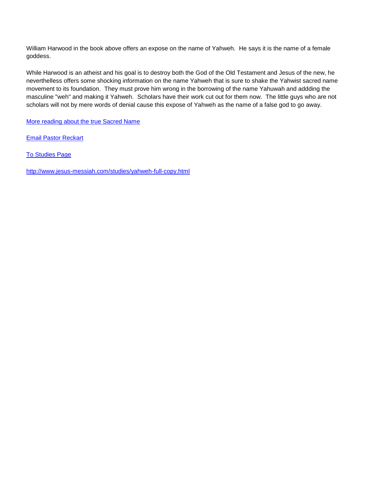William Harwood in the book above offers an expose on the name of Yahweh. He says it is the name of a female goddess.

While Harwood is an atheist and his goal is to destroy both the God of the Old Testament and Jesus of the new, he neverthelless offers some shocking information on the name Yahweh that is sure to shake the Yahwist sacred name movement to its foundation. They must prove him wrong in the borrowing of the name Yahuwah and addding the masculine "weh" and making it Yahweh. Scholars have their work cut out for them now. The little guys who are not scholars will not by mere words of denial cause this expose of Yahweh as the name of a false god to go away.

[More reading about the true Sacred Name](http://jesus-messiah.com/studies/sacred-name.html)

[Email Pastor Reckart](mailto:acts0412@jmfi.org)

[To Studies Page](http://jesus-messiah.com/studies/studies.html)

<http://www.jesus-messiah.com/studies/yahweh-full-copy.html>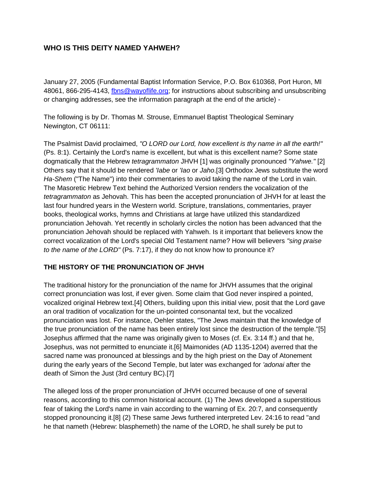# **WHO IS THIS DEITY NAMED YAHWEH?**

January 27, 2005 (Fundamental Baptist Information Service, P.O. Box 610368, Port Huron, MI 48061, 866-295-4143, [fbns@wayoflife.org;](mailto:fbns@wayoflife.org) for instructions about subscribing and unsubscribing or changing addresses, see the information paragraph at the end of the article) -

The following is by Dr. Thomas M. Strouse, Emmanuel Baptist Theological Seminary Newington, CT 06111:

The Psalmist David proclaimed, *"O LORD our Lord, how excellent is thy name in all the earth!"* (Ps. 8:1). Certainly the Lord's name is excellent, but what is this excellent name? Some state dogmatically that the Hebrew *tetragrammaton* JHVH [1] was originally pronounced *"Yahwe."* [2] Others say that it should be rendered *'Iabe* or *'Iao* or *Jaho*.[3] Orthodox Jews substitute the word *Ha-Shem* ("The Name") into their commentaries to avoid taking the name of the Lord in vain. The Masoretic Hebrew Text behind the Authorized Version renders the vocalization of the *tetragrammaton* as Jehovah. This has been the accepted pronunciation of JHVH for at least the last four hundred years in the Western world. Scripture, translations, commentaries, prayer books, theological works, hymns and Christians at large have utilized this standardized pronunciation Jehovah. Yet recently in scholarly circles the notion has been advanced that the pronunciation Jehovah should be replaced with Yahweh. Is it important that believers know the correct vocalization of the Lord's special Old Testament name? How will believers *"sing praise to the name of the LORD"* (Ps. 7:17), if they do not know how to pronounce it?

## **THE HISTORY OF THE PRONUNCIATION OF JHVH**

The traditional history for the pronunciation of the name for JHVH assumes that the original correct pronunciation was lost, if ever given. Some claim that God never inspired a pointed, vocalized original Hebrew text.[4] Others, building upon this initial view, posit that the Lord gave an oral tradition of vocalization for the un-pointed consonantal text, but the vocalized pronunciation was lost. For instance, Oehler states, "The Jews maintain that the knowledge of the true pronunciation of the name has been entirely lost since the destruction of the temple."[5] Josephus affirmed that the name was originally given to Moses (cf. Ex. 3:14 ff.) and that he, Josephus, was not permitted to enunciate it.[6] Maimonides (AD 1135-1204) averred that the sacred name was pronounced at blessings and by the high priest on the Day of Atonement during the early years of the Second Temple, but later was exchanged for *'adonai* after the death of Simon the Just (3rd century BC).[7]

The alleged loss of the proper pronunciation of JHVH occurred because of one of several reasons, according to this common historical account. (1) The Jews developed a superstitious fear of taking the Lord's name in vain according to the warning of Ex. 20:7, and consequently stopped pronouncing it.[8] (2) These same Jews furthered interpreted Lev. 24:16 to read "and he that nameth (Hebrew: blasphemeth) the name of the LORD, he shall surely be put to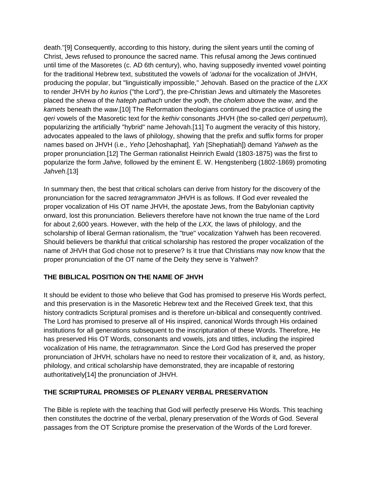death."[9] Consequently, according to this history, during the silent years until the coming of Christ, Jews refused to pronounce the sacred name. This refusal among the Jews continued until time of the Masoretes (c. AD 6th century), who, having supposedly invented vowel pointing for the traditional Hebrew text, substituted the vowels of *'adonai* for the vocalization of JHVH, producing the popular, but "linguistically impossible," Jehovah. Based on the practice of the *LXX* to render JHVH by *ho kurios* ("the Lord"), the pre-Christian Jews and ultimately the Masoretes placed the *shewa* of the *hateph pathach* under the *yodh*, the *cholem* above the *waw*, and the *kamets* beneath the *waw*.[10] The Reformation theologians continued the practice of using the *qeri* vowels of the Masoretic text for the *kethiv* consonants JHVH (the so-called *qeri perpetuum*), popularizing the artificially "hybrid" name Jehovah.[11] To augment the veracity of this history, advocates appealed to the laws of philology, showing that the prefix and suffix forms for proper names based on JHVH (i.e., *Yeho* [Jehoshaphat], *Yah* [Shephatiah]) demand *Yahweh* as the proper pronunciation.[12] The German rationalist Heinrich Ewald (1803-1875) was the first to popularize the form *Jahve,* followed by the eminent E. W. Hengstenberg (1802-1869) promoting *Jahveh*.[13]

In summary then, the best that critical scholars can derive from history for the discovery of the pronunciation for the sacred *tetragrammaton* JHVH is as follows. If God ever revealed the proper vocalization of His OT name JHVH, the apostate Jews, from the Babylonian captivity onward, lost this pronunciation. Believers therefore have not known the true name of the Lord for about 2,600 years. However, with the help of the *LXX,* the laws of philology, and the scholarship of liberal German rationalism, the "true" vocalization Yahweh has been recovered. Should believers be thankful that critical scholarship has restored the proper vocalization of the name of JHVH that God chose not to preserve? Is it true that Christians may now know that the proper pronunciation of the OT name of the Deity they serve is Yahweh?

## **THE BIBLICAL POSITION ON THE NAME OF JHVH**

It should be evident to those who believe that God has promised to preserve His Words perfect, and this preservation is in the Masoretic Hebrew text and the Received Greek text, that this history contradicts Scriptural promises and is therefore un-biblical and consequently contrived. The Lord has promised to preserve all of His inspired, canonical Words through His ordained institutions for all generations subsequent to the inscripturation of these Words. Therefore, He has preserved His OT Words, consonants and vowels, jots and tittles, including the inspired vocalization of His name, the *tetragrammaton.* Since the Lord God has preserved the proper pronunciation of JHVH, scholars have no need to restore their vocalization of it, and, as history, philology, and critical scholarship have demonstrated, they are incapable of restoring authoritatively[14] the pronunciation of JHVH.

## **THE SCRIPTURAL PROMISES OF PLENARY VERBAL PRESERVATION**

The Bible is replete with the teaching that God will perfectly preserve His Words. This teaching then constitutes the doctrine of the verbal, plenary preservation of the Words of God. Several passages from the OT Scripture promise the preservation of the Words of the Lord forever.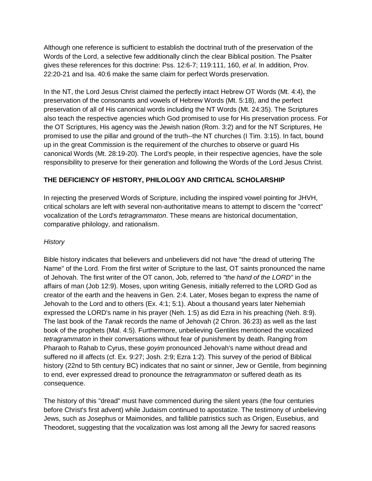Although one reference is sufficient to establish the doctrinal truth of the preservation of the Words of the Lord, a selective few additionally clinch the clear Biblical position. The Psalter gives these references for this doctrine: Pss. 12:6-7; 119:111, 160, *et al*. In addition, Prov. 22:20-21 and Isa. 40:6 make the same claim for perfect Words preservation.

In the NT, the Lord Jesus Christ claimed the perfectly intact Hebrew OT Words (Mt. 4:4), the preservation of the consonants and vowels of Hebrew Words (Mt. 5:18), and the perfect preservation of all of His canonical words including the NT Words (Mt. 24:35). The Scriptures also teach the respective agencies which God promised to use for His preservation process. For the OT Scriptures, His agency was the Jewish nation (Rom. 3:2) and for the NT Scriptures, He promised to use the pillar and ground of the truth--the NT churches (I Tim. 3:15). In fact, bound up in the great Commission is the requirement of the churches to observe or guard His canonical Words (Mt. 28:19-20). The Lord's people, in their respective agencies, have the sole responsibility to preserve for their generation and following the Words of the Lord Jesus Christ.

## **THE DEFICIENCY OF HISTORY, PHILOLOGY AND CRITICAL SCHOLARSHIP**

In rejecting the preserved Words of Scripture, including the inspired vowel pointing for JHVH, critical scholars are left with several non-authoritative means to attempt to discern the "correct" vocalization of the Lord's *tetragrammaton*. These means are historical documentation, comparative philology, and rationalism.

## *History*

Bible history indicates that believers and unbelievers did not have "the dread of uttering The Name" of the Lord. From the first writer of Scripture to the last, OT saints pronounced the name of Jehovah. The first writer of the OT canon, Job, referred to *"the hand of the LORD"* in the affairs of man (Job 12:9). Moses, upon writing Genesis, initially referred to the LORD God as creator of the earth and the heavens in Gen. 2:4. Later, Moses began to express the name of Jehovah to the Lord and to others (Ex. 4:1; 5:1). About a thousand years later Nehemiah expressed the LORD's name in his prayer (Neh. 1:5) as did Ezra in his preaching (Neh. 8:9). The last book of the *Tanak* records the name of Jehovah (2 Chron. 36:23) as well as the last book of the prophets (Mal. 4:5). Furthermore, unbelieving Gentiles mentioned the vocalized *tetragrammaton* in their conversations without fear of punishment by death. Ranging from Pharaoh to Rahab to Cyrus, these *goyim* pronounced Jehovah's name without dread and suffered no ill affects (cf. Ex. 9:27; Josh. 2:9; Ezra 1:2). This survey of the period of Biblical history (22nd to 5th century BC) indicates that no saint or sinner, Jew or Gentile, from beginning to end, ever expressed dread to pronounce the *tetragrammaton* or suffered death as its consequence.

The history of this "dread" must have commenced during the silent years (the four centuries before Christ's first advent) while Judaism continued to apostatize. The testimony of unbelieving Jews, such as Josephus or Maimonides, and fallible patristics such as Origen, Eusebius, and Theodoret, suggesting that the vocalization was lost among all the Jewry for sacred reasons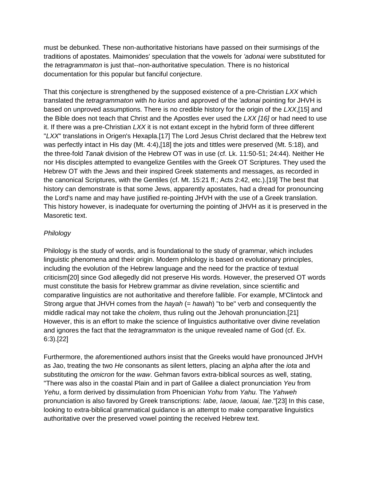must be debunked. These non-authoritative historians have passed on their surmisings of the traditions of apostates. Maimonides' speculation that the vowels for *'adonai* were substituted for the *tetragrammaton* is just that--non-authoritative speculation. There is no historical documentation for this popular but fanciful conjecture.

That this conjecture is strengthened by the supposed existence of a pre-Christian *LXX* which translated the *tetragrammaton* with *ho kurios* and approved of the *'adonai* pointing for JHVH is based on unproved assumptions. There is no credible history for the origin of the *LXX*,[15] and the Bible does not teach that Christ and the Apostles ever used the *LXX [16]* or had need to use it. If there was a pre-Christian *LXX* it is not extant except in the hybrid form of three different "*LXX*" translations in Origen's Hexapla.[17] The Lord Jesus Christ declared that the Hebrew text was perfectly intact in His day (Mt. 4:4),[18] the jots and tittles were preserved (Mt. 5:18), and the three-fold *Tanak* division of the Hebrew OT was in use (cf. Lk. 11:50-51; 24:44). Neither He nor His disciples attempted to evangelize Gentiles with the Greek OT Scriptures. They used the Hebrew OT with the Jews and their inspired Greek statements and messages, as recorded in the canonical Scriptures, with the Gentiles (cf. Mt. 15:21 ff.; Acts 2:42, etc.).[19] The best that history can demonstrate is that some Jews, apparently apostates, had a dread for pronouncing the Lord's name and may have justified re-pointing JHVH with the use of a Greek translation. This history however, is inadequate for overturning the pointing of JHVH as it is preserved in the Masoretic text.

## *Philology*

Philology is the study of words, and is foundational to the study of grammar, which includes linguistic phenomena and their origin. Modern philology is based on evolutionary principles, including the evolution of the Hebrew language and the need for the practice of textual criticism[20] since God allegedly did not preserve His words. However, the preserved OT words must constitute the basis for Hebrew grammar as divine revelation, since scientific and comparative linguistics are not authoritative and therefore fallible. For example, M'Clintock and Strong argue that JHVH comes from the *hayah* (= *hawah*) "to be" verb and consequently the middle radical may not take the *cholem*, thus ruling out the Jehovah pronunciation.[21] However, this is an effort to make the science of linguistics authoritative over divine revelation and ignores the fact that the *tetragrammaton* is the unique revealed name of God (cf. Ex. 6:3).[22]

Furthermore, the aforementioned authors insist that the Greeks would have pronounced JHVH as Jao, treating the two *He* consonants as silent letters, placing an *alpha* after the *iota* and substituting the *omicron* for the *waw*. Gehman favors extra-biblical sources as well, stating, "There was also in the coastal Plain and in part of Galilee a dialect pronunciation *Yeu* from *Yehu*, a form derived by dissimulation from Phoenician *Yohu* from *Yahu.* The *Yahweh* pronunciation is also favored by Greek transcriptions: *Iabe, Iaoue, Iaouai, Iae*."[23] In this case, looking to extra-biblical grammatical guidance is an attempt to make comparative linguistics authoritative over the preserved vowel pointing the received Hebrew text.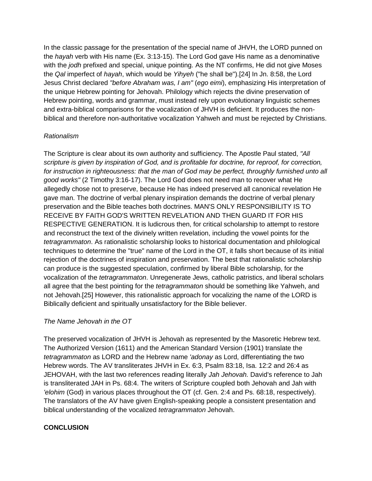In the classic passage for the presentation of the special name of JHVH, the LORD punned on the *hayah* verb with His name (Ex. 3:13-15). The Lord God gave His name as a denominative with the *jodh* prefixed and special, unique pointing. As the NT confirms, He did not give Moses the *Qal* imperfect of *hayah*, which would be *Yihyeh* ("he shall be").[24] In Jn. 8:58, the Lord Jesus Christ declared *"before Abraham was, I am"* (*ego eimi*), emphasizing His interpretation of the unique Hebrew pointing for Jehovah. Philology which rejects the divine preservation of Hebrew pointing, words and grammar, must instead rely upon evolutionary linguistic schemes and extra-biblical comparisons for the vocalization of JHVH is deficient. It produces the nonbiblical and therefore non-authoritative vocalization Yahweh and must be rejected by Christians.

#### *Rationalism*

The Scripture is clear about its own authority and sufficiency. The Apostle Paul stated, *"All scripture is given by inspiration of God, and is profitable for doctrine, for reproof, for correction, for instruction in righteousness: that the man of God may be perfect, throughly furnished unto all good works"* (2 Timothy 3:16-17). The Lord God does not need man to recover what He allegedly chose not to preserve, because He has indeed preserved all canonical revelation He gave man. The doctrine of verbal plenary inspiration demands the doctrine of verbal plenary preservation and the Bible teaches both doctrines. MAN'S ONLY RESPONSIBILITY IS TO RECEIVE BY FAITH GOD'S WRITTEN REVELATION AND THEN GUARD IT FOR HIS RESPECTIVE GENERATION. It is ludicrous then, for critical scholarship to attempt to restore and reconstruct the text of the divinely written revelation, including the vowel points for the *tetragrammaton*. As rationalistic scholarship looks to historical documentation and philological techniques to determine the "true" name of the Lord in the OT, it falls short because of its initial rejection of the doctrines of inspiration and preservation. The best that rationalistic scholarship can produce is the suggested speculation, confirmed by liberal Bible scholarship, for the vocalization of the *tetragrammaton*. Unregenerate Jews, catholic patristics, and liberal scholars all agree that the best pointing for the *tetragrammaton* should be something like Yahweh, and not Jehovah.[25] However, this rationalistic approach for vocalizing the name of the LORD is Biblically deficient and spiritually unsatisfactory for the Bible believer.

#### *The Name Jehovah in the OT*

The preserved vocalization of JHVH is Jehovah as represented by the Masoretic Hebrew text. The Authorized Version (1611) and the American Standard Version (1901) translate the *tetragrammaton* as LORD and the Hebrew name *'adonay* as Lord, differentiating the two Hebrew words. The AV transliterates JHVH in Ex. 6:3, Psalm 83:18, Isa. 12:2 and 26:4 as JEHOVAH, with the last two references reading literally *Jah Jehovah.* David's reference to Jah is transliterated JAH in Ps. 68:4. The writers of Scripture coupled both Jehovah and Jah with *'elohim* (God) in various places throughout the OT (cf. Gen. 2:4 and Ps. 68:18, respectively). The translators of the AV have given English-speaking people a consistent presentation and biblical understanding of the vocalized *tetragrammaton* Jehovah.

#### **CONCLUSION**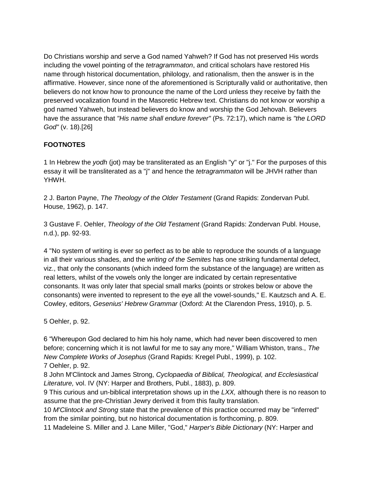Do Christians worship and serve a God named Yahweh? If God has not preserved His words including the vowel pointing of the *tetragrammaton*, and critical scholars have restored His name through historical documentation, philology, and rationalism, then the answer is in the affirmative. However, since none of the aforementioned is Scripturally valid or authoritative, then believers do not know how to pronounce the name of the Lord unless they receive by faith the preserved vocalization found in the Masoretic Hebrew text. Christians do not know or worship a god named Yahweh, but instead believers do know and worship the God Jehovah. Believers have the assurance that *"His name shall endure forever"* (Ps. 72:17), which name is *"the LORD God"* (v. 18).[26]

# **FOOTNOTES**

1 In Hebrew the *yodh* (jot) may be transliterated as an English "y" or "j." For the purposes of this essay it will be transliterated as a "j" and hence the *tetragrammaton* will be JHVH rather than YHWH.

2 J. Barton Payne, *The Theology of the Older Testament* (Grand Rapids: Zondervan Publ. House, 1962), p. 147.

3 Gustave F. Oehler, *Theology of the Old Testament* (Grand Rapids: Zondervan Publ. House, n.d.), pp. 92-93.

4 "No system of writing is ever so perfect as to be able to reproduce the sounds of a language in all their various shades, and the *writing of the Semites* has one striking fundamental defect, viz., that only the consonants (which indeed form the substance of the language) are written as real letters, whilst of the vowels only the longer are indicated by certain representative consonants. It was only later that special small marks (points or strokes below or above the consonants) were invented to represent to the eye all the vowel-sounds," E. Kautzsch and A. E. Cowley, editors, *Gesenius' Hebrew Grammar* (Oxford: At the Clarendon Press, 1910), p. 5.

5 Oehler, p. 92.

6 "Whereupon God declared to him his holy name, which had never been discovered to men before; concerning which it is not lawful for me to say any more," William Whiston, trans., *The New Complete Works of Josephus* (Grand Rapids: Kregel Publ., 1999), p. 102. 7 Oehler, p. 92.

8 John M'Clintock and James Strong, *Cyclopaedia of Biblical, Theological, and Ecclesiastical Literature,* vol. IV (NY: Harper and Brothers, Publ., 1883), p. 809.

9 This curious and un-biblical interpretation shows up in the *LXX,* although there is no reason to assume that the pre-Christian Jewry derived it from this faulty translation.

10 *M'Clintock and Strong* state that the prevalence of this practice occurred may be "inferred" from the similar pointing, but no historical documentation is forthcoming, p. 809.

11 Madeleine S. Miller and J. Lane Miller, "God," *Harper's Bible Dictionary* (NY: Harper and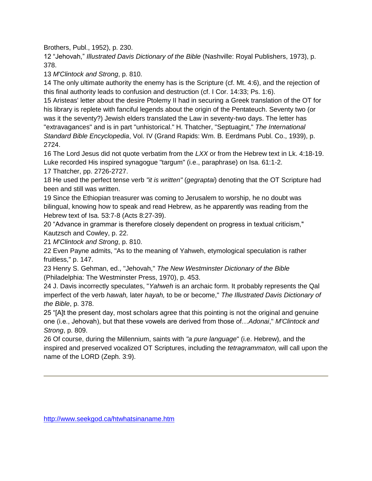Brothers, Publ., 1952), p. 230.

12 "Jehovah," *Illustrated Davis Dictionary of the Bible* (Nashville: Royal Publishers, 1973), p. 378.

13 *M'Clintock and Strong*, p. 810.

14 The only ultimate authority the enemy has is the Scripture (cf. Mt. 4:6), and the rejection of this final authority leads to confusion and destruction (cf. I Cor. 14:33; Ps. 1:6).

15 Aristeas' letter about the desire Ptolemy II had in securing a Greek translation of the OT for his library is replete with fanciful legends about the origin of the Pentateuch. Seventy two (or was it the seventy?) Jewish elders translated the Law in seventy-two days. The letter has "extravagances" and is in part "unhistorical." H. Thatcher, "Septuagint," *The International Standard Bible Encyclopedia*, Vol. IV (Grand Rapids: Wm. B. Eerdmans Publ. Co., 1939), p. 2724.

16 The Lord Jesus did not quote verbatim from the *LXX* or from the Hebrew text in Lk. 4:18-19. Luke recorded His inspired synagogue "targum" (i.e., paraphrase) on Isa. 61:1-2. 17 Thatcher, pp. 2726-2727.

18 He used the perfect tense verb *"it is written"* (*gegraptai*) denoting that the OT Scripture had been and still was written.

19 Since the Ethiopian treasurer was coming to Jerusalem to worship, he no doubt was bilingual, knowing how to speak and read Hebrew, as he apparently was reading from the Hebrew text of Isa. 53:7-8 (Acts 8:27-39).

20 "Advance in grammar is therefore closely dependent on progress in textual criticism," Kautzsch and Cowley, p. 22.

21 *M'Clintock and Strong*, p. 810.

22 Even Payne admits, "As to the meaning of Yahweh, etymological speculation is rather fruitless," p. 147.

23 Henry S. Gehman, ed., "Jehovah," *The New Westminster Dictionary of the Bible* (Philadelphia: The Westminster Press, 1970), p. 453.

24 J. Davis incorrectly speculates, "*Yahweh* is an archaic form. It probably represents the Qal imperfect of the verb *hawah,* later *hayah,* to be or become," *The Illustrated Davis Dictionary of the Bible*, p. 378.

25 "[A]t the present day, most scholars agree that this pointing is not the original and genuine one (i.e., Jehovah), but that these vowels are derived from those of…*Adonai*," *M'Clintock and Strong*, p. 809.

26 Of course, during the Millennium, saints with *"a pure language*" (i.e. Hebrew), and the inspired and preserved vocalized OT Scriptures, including the *tetragrammaton,* will call upon the name of the LORD (Zeph. 3:9).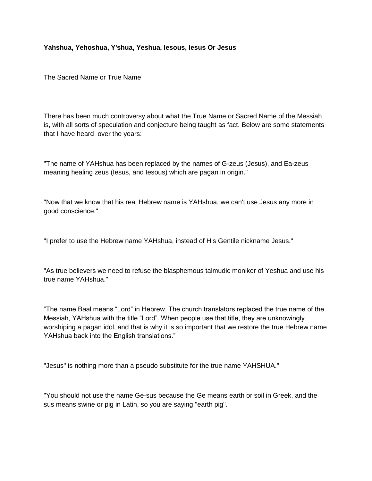#### **Yahshua, Yehoshua, Y'shua, Yeshua, Iesous, Iesus Or Jesus**

The Sacred Name or True Name

There has been much controversy about what the True Name or Sacred Name of the Messiah is, with all sorts of speculation and conjecture being taught as fact. Below are some statements that I have heard over the years:

"The name of YAHshua has been replaced by the names of G-zeus (Jesus), and Ea-zeus meaning healing zeus (Iesus, and Iesous) which are pagan in origin."

"Now that we know that his real Hebrew name is YAHshua, we can't use Jesus any more in good conscience."

"I prefer to use the Hebrew name YAHshua, instead of His Gentile nickname Jesus."

"As true believers we need to refuse the blasphemous talmudic moniker of Yeshua and use his true name YAHshua."

"The name Baal means "Lord" in Hebrew. The church translators replaced the true name of the Messiah, YAHshua with the title "Lord". When people use that title, they are unknowingly worshiping a pagan idol, and that is why it is so important that we restore the true Hebrew name YAHshua back into the English translations."

"Jesus" is nothing more than a pseudo substitute for the true name YAHSHUA."

"You should not use the name Ge-sus because the Ge means earth or soil in Greek, and the sus means swine or pig in Latin, so you are saying "earth pig".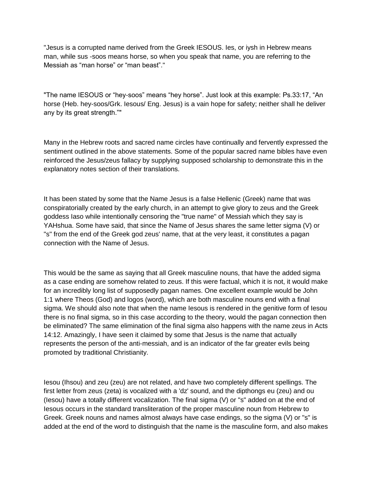"Jesus is a corrupted name derived from the Greek IESOUS. Ies, or iysh in Hebrew means man, while sus -soos means horse, so when you speak that name, you are referring to the Messiah as "man horse" or "man beast"."

"The name IESOUS or "hey-soos" means "hey horse". Just look at this example: Ps.33:17, "An horse (Heb. hey-soos/Grk. Iesous/ Eng. Jesus) is a vain hope for safety; neither shall he deliver any by its great strength.""

Many in the Hebrew roots and sacred name circles have continually and fervently expressed the sentiment outlined in the above statements. Some of the popular sacred name bibles have even reinforced the Jesus/zeus fallacy by supplying supposed scholarship to demonstrate this in the explanatory notes section of their translations.

It has been stated by some that the Name Jesus is a false Hellenic (Greek) name that was conspiratorially created by the early church, in an attempt to give glory to zeus and the Greek goddess Iaso while intentionally censoring the "true name" of Messiah which they say is YAHshua. Some have said, that since the Name of Jesus shares the same letter sigma (V) or "s" from the end of the Greek god zeus' name, that at the very least, it constitutes a pagan connection with the Name of Jesus.

This would be the same as saying that all Greek masculine nouns, that have the added sigma as a case ending are somehow related to zeus. If this were factual, which it is not, it would make for an incredibly long list of supposedly pagan names. One excellent example would be John 1:1 where Theos (God) and logos (word), which are both masculine nouns end with a final sigma. We should also note that when the name Iesous is rendered in the genitive form of Iesou there is no final sigma, so in this case according to the theory, would the pagan connection then be eliminated? The same elimination of the final sigma also happens with the name zeus in Acts 14:12. Amazingly, I have seen it claimed by some that Jesus is the name that actually represents the person of the anti-messiah, and is an indicator of the far greater evils being promoted by traditional Christianity.

Iesou (Ihsou) and zeu (zeu) are not related, and have two completely different spellings. The first letter from zeus (zeta) is vocalized with a 'dz' sound, and the dipthongs eu (zeu) and ou (Iesou) have a totally different vocalization. The final sigma (V) or "s" added on at the end of Iesous occurs in the standard transliteration of the proper masculine noun from Hebrew to Greek. Greek nouns and names almost always have case endings, so the sigma (V) or "s" is added at the end of the word to distinguish that the name is the masculine form, and also makes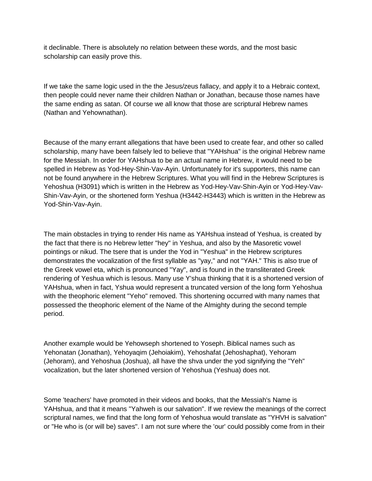it declinable. There is absolutely no relation between these words, and the most basic scholarship can easily prove this.

If we take the same logic used in the the Jesus/zeus fallacy, and apply it to a Hebraic context, then people could never name their children Nathan or Jonathan, because those names have the same ending as satan. Of course we all know that those are scriptural Hebrew names (Nathan and Yehownathan).

Because of the many errant allegations that have been used to create fear, and other so called scholarship, many have been falsely led to believe that "YAHshua" is the original Hebrew name for the Messiah. In order for YAHshua to be an actual name in Hebrew, it would need to be spelled in Hebrew as Yod-Hey-Shin-Vav-Ayin. Unfortunately for it's supporters, this name can not be found anywhere in the Hebrew Scriptures. What you will find in the Hebrew Scriptures is Yehoshua (H3091) which is written in the Hebrew as Yod-Hey-Vav-Shin-Ayin or Yod-Hey-Vav-Shin-Vav-Ayin, or the shortened form Yeshua (H3442-H3443) which is written in the Hebrew as Yod-Shin-Vav-Ayin.

The main obstacles in trying to render His name as YAHshua instead of Yeshua, is created by the fact that there is no Hebrew letter "hey" in Yeshua, and also by the Masoretic vowel pointings or nikud. The tsere that is under the Yod in "Yeshua" in the Hebrew scriptures demonstrates the vocalization of the first syllable as "yay," and not "YAH." This is also true of the Greek vowel eta, which is pronounced "Yay", and is found in the transliterated Greek rendering of Yeshua which is Iesous. Many use Y'shua thinking that it is a shortened version of YAHshua, when in fact, Yshua would represent a truncated version of the long form Yehoshua with the theophoric element "Yeho" removed. This shortening occurred with many names that possessed the theophoric element of the Name of the Almighty during the second temple period.

Another example would be Yehowseph shortened to Yoseph. Biblical names such as Yehonatan (Jonathan), Yehoyaqim (Jehoiakim), Yehoshafat (Jehoshaphat), Yehoram (Jehoram), and Yehoshua (Joshua), all have the shva under the yod signifying the "Yeh" vocalization, but the later shortened version of Yehoshua (Yeshua) does not.

Some 'teachers' have promoted in their videos and books, that the Messiah's Name is YAHshua, and that it means "Yahweh is our salvation". If we review the meanings of the correct scriptural names, we find that the long form of Yehoshua would translate as "YHVH is salvation" or "He who is (or will be) saves". I am not sure where the 'our' could possibly come from in their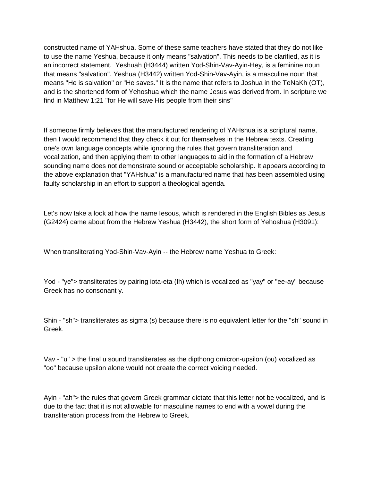constructed name of YAHshua. Some of these same teachers have stated that they do not like to use the name Yeshua, because it only means "salvation". This needs to be clarified, as it is an incorrect statement. Yeshuah (H3444) written Yod-Shin-Vav-Ayin-Hey, is a feminine noun that means "salvation". Yeshua (H3442) written Yod-Shin-Vav-Ayin, is a masculine noun that means "He is salvation" or "He saves." It is the name that refers to Joshua in the TeNaKh (OT), and is the shortened form of Yehoshua which the name Jesus was derived from. In scripture we find in Matthew 1:21 "for He will save His people from their sins"

If someone firmly believes that the manufactured rendering of YAHshua is a scriptural name, then I would recommend that they check it out for themselves in the Hebrew texts. Creating one's own language concepts while ignoring the rules that govern transliteration and vocalization, and then applying them to other languages to aid in the formation of a Hebrew sounding name does not demonstrate sound or acceptable scholarship. It appears according to the above explanation that "YAHshua" is a manufactured name that has been assembled using faulty scholarship in an effort to support a theological agenda.

Let's now take a look at how the name Iesous, which is rendered in the English Bibles as Jesus (G2424) came about from the Hebrew Yeshua (H3442), the short form of Yehoshua (H3091):

When transliterating Yod-Shin-Vav-Ayin -- the Hebrew name Yeshua to Greek:

Yod - "ye"> transliterates by pairing iota-eta (Ih) which is vocalized as "yay" or "ee-ay" because Greek has no consonant y.

Shin - "sh"> transliterates as sigma (s) because there is no equivalent letter for the "sh" sound in Greek.

Vav - "u" > the final u sound transliterates as the dipthong omicron-upsilon (ou) vocalized as "oo" because upsilon alone would not create the correct voicing needed.

Ayin - "ah"> the rules that govern Greek grammar dictate that this letter not be vocalized, and is due to the fact that it is not allowable for masculine names to end with a vowel during the transliteration process from the Hebrew to Greek.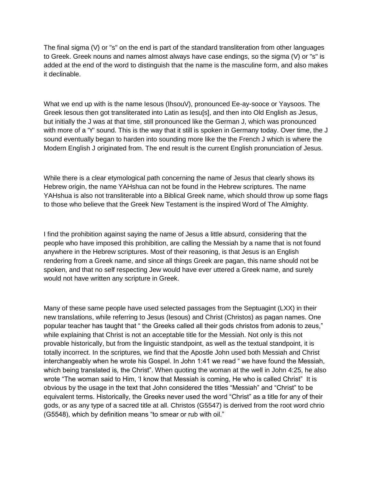The final sigma (V) or "s" on the end is part of the standard transliteration from other languages to Greek. Greek nouns and names almost always have case endings, so the sigma (V) or "s" is added at the end of the word to distinguish that the name is the masculine form, and also makes it declinable.

What we end up with is the name Iesous (IhsouV), pronounced Ee-ay-sooce or Yaysoos. The Greek Iesous then got transliterated into Latin as Iesu[s], and then into Old English as Jesus, but initially the J was at that time, still pronounced like the German J, which was pronounced with more of a 'Y' sound. This is the way that it still is spoken in Germany today. Over time, the J sound eventually began to harden into sounding more like the the French J which is where the Modern English J originated from. The end result is the current English pronunciation of Jesus.

While there is a clear etymological path concerning the name of Jesus that clearly shows its Hebrew origin, the name YAHshua can not be found in the Hebrew scriptures. The name YAHshua is also not transliterable into a Biblical Greek name, which should throw up some flags to those who believe that the Greek New Testament is the inspired Word of The Almighty.

I find the prohibition against saying the name of Jesus a little absurd, considering that the people who have imposed this prohibition, are calling the Messiah by a name that is not found anywhere in the Hebrew scriptures. Most of their reasoning, is that Jesus is an English rendering from a Greek name, and since all things Greek are pagan, this name should not be spoken, and that no self respecting Jew would have ever uttered a Greek name, and surely would not have written any scripture in Greek.

Many of these same people have used selected passages from the Septuagint (LXX) in their new translations, while referring to Jesus (Iesous) and Christ (Christos) as pagan names. One popular teacher has taught that " the Greeks called all their gods christos from adonis to zeus," while explaining that Christ is not an acceptable title for the Messiah. Not only is this not provable historically, but from the linguistic standpoint, as well as the textual standpoint, it is totally incorrect. In the scriptures, we find that the Apostle John used both Messiah and Christ interchangeably when he wrote his Gospel. In John 1:41 we read " we have found the Messiah, which being translated is, the Christ". When quoting the woman at the well in John 4:25, he also wrote "The woman said to Him, 'I know that Messiah is coming, He who is called Christ" It is obvious by the usage in the text that John considered the titles "Messiah" and "Christ" to be equivalent terms. Historically, the Greeks never used the word "Christ" as a title for any of their gods, or as any type of a sacred title at all. Christos (G5547) is derived from the root word chrio (G5548), which by definition means "to smear or rub with oil."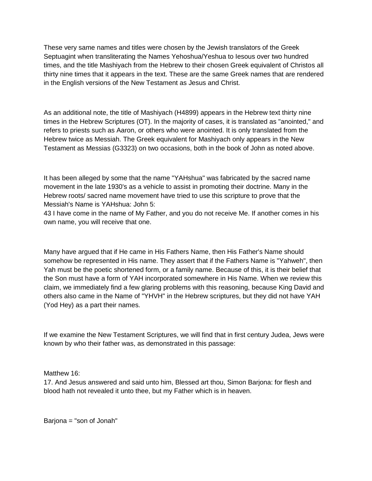These very same names and titles were chosen by the Jewish translators of the Greek Septuagint when transliterating the Names Yehoshua/Yeshua to Iesous over two hundred times, and the title Mashiyach from the Hebrew to their chosen Greek equivalent of Christos all thirty nine times that it appears in the text. These are the same Greek names that are rendered in the English versions of the New Testament as Jesus and Christ.

As an additional note, the title of Mashiyach (H4899) appears in the Hebrew text thirty nine times in the Hebrew Scriptures (OT). In the majority of cases, it is translated as "anointed," and refers to priests such as Aaron, or others who were anointed. It is only translated from the Hebrew twice as Messiah. The Greek equivalent for Mashiyach only appears in the New Testament as Messias (G3323) on two occasions, both in the book of John as noted above.

It has been alleged by some that the name "YAHshua" was fabricated by the sacred name movement in the late 1930's as a vehicle to assist in promoting their doctrine. Many in the Hebrew roots/ sacred name movement have tried to use this scripture to prove that the Messiah's Name is YAHshua: John 5:

43 I have come in the name of My Father, and you do not receive Me. If another comes in his own name, you will receive that one.

Many have argued that if He came in His Fathers Name, then His Father's Name should somehow be represented in His name. They assert that if the Fathers Name is "Yahweh", then Yah must be the poetic shortened form, or a family name. Because of this, it is their belief that the Son must have a form of YAH incorporated somewhere in His Name. When we review this claim, we immediately find a few glaring problems with this reasoning, because King David and others also came in the Name of "YHVH" in the Hebrew scriptures, but they did not have YAH (Yod Hey) as a part their names.

If we examine the New Testament Scriptures, we will find that in first century Judea, Jews were known by who their father was, as demonstrated in this passage:

Matthew 16:

17. And Jesus answered and said unto him, Blessed art thou, Simon Barjona: for flesh and blood hath not revealed it unto thee, but my Father which is in heaven.

Barjona = "son of Jonah"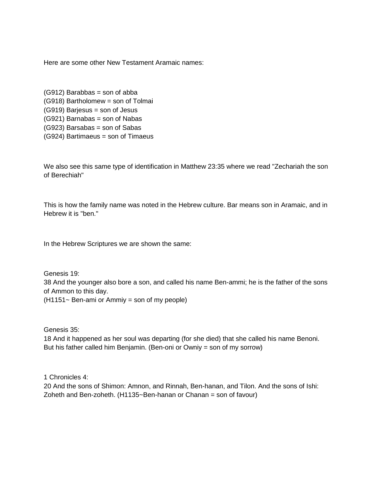Here are some other New Testament Aramaic names:

(G912) Barabbas = son of abba (G918) Bartholomew = son of Tolmai (G919) Barjesus = son of Jesus (G921) Barnabas = son of Nabas (G923) Barsabas = son of Sabas (G924) Bartimaeus = son of Timaeus

We also see this same type of identification in Matthew 23:35 where we read "Zechariah the son of Berechiah"

This is how the family name was noted in the Hebrew culture. Bar means son in Aramaic, and in Hebrew it is "ben."

In the Hebrew Scriptures we are shown the same:

Genesis 19: 38 And the younger also bore a son, and called his name Ben-ammi; he is the father of the sons of Ammon to this day.  $(H1151~$  Ben-ami or Ammiy = son of my people)

Genesis 35:

18 And it happened as her soul was departing (for she died) that she called his name Benoni. But his father called him Benjamin. (Ben-oni or Owniy = son of my sorrow)

1 Chronicles 4:

20 And the sons of Shimon: Amnon, and Rinnah, Ben-hanan, and Tilon. And the sons of Ishi: Zoheth and Ben-zoheth. (H1135~Ben-hanan or Chanan = son of favour)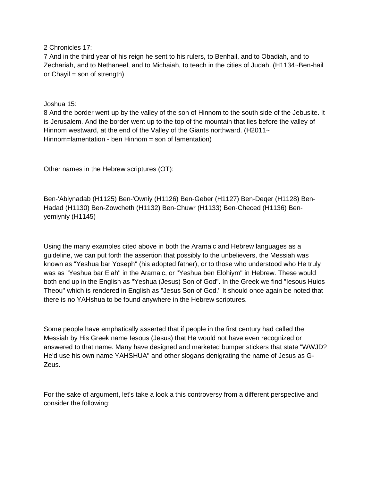2 Chronicles 17:

7 And in the third year of his reign he sent to his rulers, to Benhail, and to Obadiah, and to Zechariah, and to Nethaneel, and to Michaiah, to teach in the cities of Judah. (H1134~Ben-hail or Chavil  $=$  son of strength)

Joshua 15:

8 And the border went up by the valley of the son of Hinnom to the south side of the Jebusite. It is Jerusalem. And the border went up to the top of the mountain that lies before the valley of Hinnom westward, at the end of the Valley of the Giants northward. (H2011~ Hinnom=lamentation - ben Hinnom = son of lamentation)

Other names in the Hebrew scriptures (OT):

Ben-'Abiynadab (H1125) Ben-'Owniy (H1126) Ben-Geber (H1127) Ben-Deqer (H1128) Ben-Hadad (H1130) Ben-Zowcheth (H1132) Ben-Chuwr (H1133) Ben-Checed (H1136) Benyemiyniy (H1145)

Using the many examples cited above in both the Aramaic and Hebrew languages as a guideline, we can put forth the assertion that possibly to the unbelievers, the Messiah was known as "Yeshua bar Yoseph" (his adopted father), or to those who understood who He truly was as "Yeshua bar Elah" in the Aramaic, or "Yeshua ben Elohiym" in Hebrew. These would both end up in the English as "Yeshua (Jesus) Son of God". In the Greek we find "Iesous Huios Theou" which is rendered in English as "Jesus Son of God." It should once again be noted that there is no YAHshua to be found anywhere in the Hebrew scriptures.

Some people have emphatically asserted that if people in the first century had called the Messiah by His Greek name Iesous (Jesus) that He would not have even recognized or answered to that name. Many have designed and marketed bumper stickers that state "WWJD? He'd use his own name YAHSHUA" and other slogans denigrating the name of Jesus as G-Zeus.

For the sake of argument, let's take a look a this controversy from a different perspective and consider the following: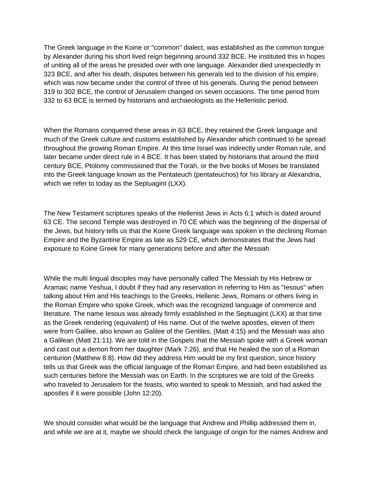The Greek language in the Koine or "common" dialect, was established as the common tongue by Alexander during his short lived reign beginning around 332 BCE. He instituted this in hopes of uniting all of the areas he presided over with one language. Alexander died unexpectedly in 323 BCE, and after his death, disputes between his generals led to the division of his empire, which was now became under the control of three of his generals. During the period between 319 to 302 BCE, the control of Jerusalem changed on seven occasions. The time period from 332 to 63 BCE is termed by historians and archaeologists as the Hellenistic period.

When the Romans conquered these areas in 63 BCE, they retained the Greek language and much of the Greek culture and customs established by Alexander which continued to be spread throughout the growing Roman Empire. At this time Israel was indirectly under Roman rule, and later became under direct rule in 4 BCE. It has been stated by historians that around the third century BCE, Ptolomy commissioned that the Torah, or the five books of Moses be translated into the Greek language known as the Pentateuch (pentateuchos) for his library at Alexandria, which we refer to today as the Septuagint (LXX).

The New Testament scriptures speaks of the Hellenist Jews in Acts 6:1 which is dated around 63 CE. The second Temple was destroyed in 70 CE which was the beginning of the dispersal of the Jews, but history tells us that the Koine Greek language was spoken in the declining Roman Empire and the Byzantine Empire as late as 529 CE, which demonstrates that the Jews had exposure to Koine Greek for many generations before and after the Messiah.

While the multi lingual disciples may have personally called The Messiah by His Hebrew or Aramaic name Yeshua, I doubt if they had any reservation in referring to Him as "Iesous" when talking about Him and His teachings to the Greeks, Hellenic Jews, Romans or others living in the Roman Empire who spoke Greek, which was the recognized language of commerce and literature. The name Iesous was already firmly established in the Septuagint (LXX) at that time as the Greek rendering (equivalent) of His name. Out of the twelve apostles, eleven of them were from Galilee, also known as Galilee of the Gentiles, (Matt 4:15) and the Messiah was also a Galilean (Matt 21:11). We are told in the Gospels that the Messiah spoke with a Greek woman and cast out a demon from her daughter (Mark 7:26), and that He healed the son of a Roman centurion (Matthew 8:8). How did they address Him would be my first question, since history tells us that Greek was the official language of the Roman Empire, and had been established as such centuries before the Messiah was on Earth. In the scriptures we are told of the Greeks who traveled to Jerusalem for the feasts, who wanted to speak to Messiah, and had asked the apostles if it were possible (John 12:20).

We should consider what would be the language that Andrew and Phillip addressed them in, and while we are at it, maybe we should check the language of origin for the names Andrew and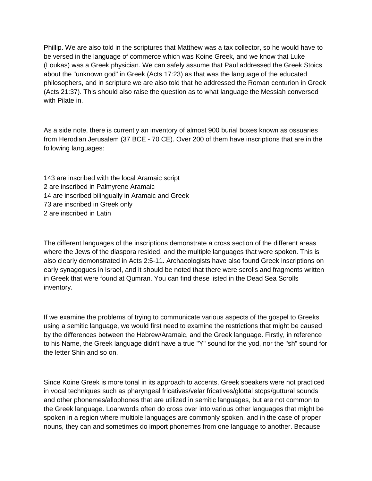Phillip. We are also told in the scriptures that Matthew was a tax collector, so he would have to be versed in the language of commerce which was Koine Greek, and we know that Luke (Loukas) was a Greek physician. We can safely assume that Paul addressed the Greek Stoics about the "unknown god" in Greek (Acts 17:23) as that was the language of the educated philosophers, and in scripture we are also told that he addressed the Roman centurion in Greek (Acts 21:37). This should also raise the question as to what language the Messiah conversed with Pilate in.

As a side note, there is currently an inventory of almost 900 burial boxes known as ossuaries from Herodian Jerusalem (37 BCE - 70 CE). Over 200 of them have inscriptions that are in the following languages:

143 are inscribed with the local Aramaic script 2 are inscribed in Palmyrene Aramaic 14 are inscribed bilingually in Aramaic and Greek 73 are inscribed in Greek only 2 are inscribed in Latin

The different languages of the inscriptions demonstrate a cross section of the different areas where the Jews of the diaspora resided, and the multiple languages that were spoken. This is also clearly demonstrated in Acts 2:5-11. Archaeologists have also found Greek inscriptions on early synagogues in Israel, and it should be noted that there were scrolls and fragments written in Greek that were found at Qumran. You can find these listed in the Dead Sea Scrolls inventory.

If we examine the problems of trying to communicate various aspects of the gospel to Greeks using a semitic language, we would first need to examine the restrictions that might be caused by the differences between the Hebrew/Aramaic, and the Greek language. Firstly, in reference to his Name, the Greek language didn't have a true "Y" sound for the yod, nor the "sh" sound for the letter Shin and so on.

Since Koine Greek is more tonal in its approach to accents, Greek speakers were not practiced in vocal techniques such as pharyngeal fricatives/velar fricatives/glottal stops/guttural sounds and other phonemes/allophones that are utilized in semitic languages, but are not common to the Greek language. Loanwords often do cross over into various other languages that might be spoken in a region where multiple languages are commonly spoken, and in the case of proper nouns, they can and sometimes do import phonemes from one language to another. Because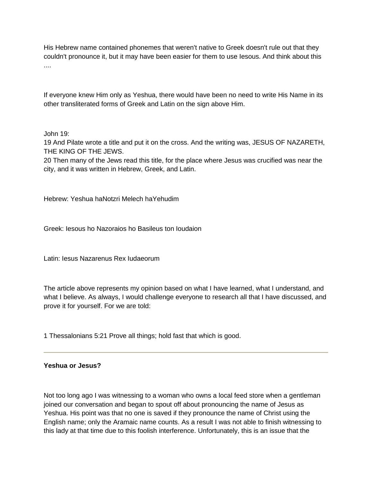His Hebrew name contained phonemes that weren't native to Greek doesn't rule out that they couldn't pronounce it, but it may have been easier for them to use Iesous. And think about this ....

If everyone knew Him only as Yeshua, there would have been no need to write His Name in its other transliterated forms of Greek and Latin on the sign above Him.

John 19:

19 And Pilate wrote a title and put it on the cross. And the writing was, JESUS OF NAZARETH, THE KING OF THE JEWS.

20 Then many of the Jews read this title, for the place where Jesus was crucified was near the city, and it was written in Hebrew, Greek, and Latin.

Hebrew: Yeshua haNotzri Melech haYehudim

Greek: Iesous ho Nazoraios ho Basileus ton Ioudaion

Latin: Iesus Nazarenus Rex Iudaeorum

The article above represents my opinion based on what I have learned, what I understand, and what I believe. As always, I would challenge everyone to research all that I have discussed, and prove it for yourself. For we are told:

1 Thessalonians 5:21 Prove all things; hold fast that which is good.

#### **Yeshua or Jesus?**

Not too long ago I was witnessing to a woman who owns a local feed store when a gentleman joined our conversation and began to spout off about pronouncing the name of Jesus as Yeshua. His point was that no one is saved if they pronounce the name of Christ using the English name; only the Aramaic name counts. As a result I was not able to finish witnessing to this lady at that time due to this foolish interference. Unfortunately, this is an issue that the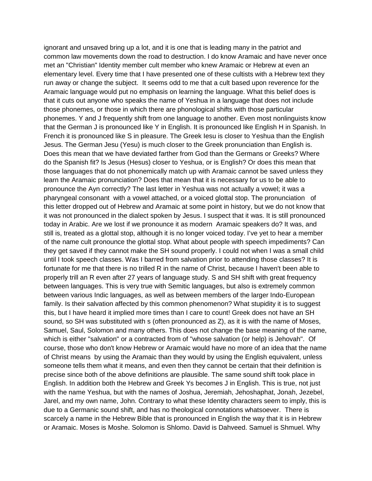ignorant and unsaved bring up a lot, and it is one that is leading many in the patriot and common law movements down the road to destruction. I do know Aramaic and have never once met an "Christian" Identity member cult member who knew Aramaic or Hebrew at even an elementary level. Every time that I have presented one of these cultists with a Hebrew text they run away or change the subject. It seems odd to me that a cult based upon reverence for the Aramaic language would put no emphasis on learning the language. What this belief does is that it cuts out anyone who speaks the name of Yeshua in a language that does not include those phonemes, or those in which there are phonological shifts with those particular phonemes. Y and J frequently shift from one language to another. Even most nonlinguists know that the German J is pronounced like Y in English. It is pronounced like English H in Spanish. In French it is pronounced like S in pleasure. The Greek Iesu is closer to Yeshua than the English Jesus. The German Jesu (Yesu) is much closer to the Greek pronunciation than English is. Does this mean that we have deviated farther from God than the Germans or Greeks? Where do the Spanish fit? Is Jesus (Hesus) closer to Yeshua, or is English? Or does this mean that those languages that do not phonemically match up with Aramaic cannot be saved unless they learn the Aramaic pronunciation? Does that mean that it is necessary for us to be able to pronounce the Ayn correctly? The last letter in Yeshua was not actually a vowel; it was a pharyngeal consonant with a vowel attached, or a voiced glottal stop. The pronunciation of this letter dropped out of Hebrew and Aramaic at some point in history, but we do not know that it was not pronounced in the dialect spoken by Jesus. I suspect that it was. It is still pronounced today in Arabic. Are we lost if we pronounce it as modern Aramaic speakers do? It was, and still is, treated as a glottal stop, although it is no longer voiced today. I've yet to hear a member of the name cult pronounce the glottal stop. What about people with speech impediments? Can they get saved if they cannot make the SH sound properly. I could not when I was a small child until I took speech classes. Was I barred from salvation prior to attending those classes? It is fortunate for me that there is no trilled R in the name of Christ, because I haven't been able to properly trill an R even after 27 years of language study. S and SH shift with great frequency between languages. This is very true with Semitic languages, but also is extremely common between various Indic languages, as well as between members of the larger Indo-European family. Is their salvation affected by this common phenomenon? What stupidity it is to suggest this, but I have heard it implied more times than I care to count! Greek does not have an SH sound, so SH was substituted with s (often pronounced as Z), as it is with the name of Moses, Samuel, Saul, Solomon and many others. This does not change the base meaning of the name, which is either "salvation" or a contracted from of "whose salvation (or help) is Jehovah". Of course, those who don't know Hebrew or Aramaic would have no more of an idea that the name of Christ means by using the Aramaic than they would by using the English equivalent, unless someone tells them what it means, and even then they cannot be certain that their definition is precise since both of the above definitions are plausible. The same sound shift took place in English. In addition both the Hebrew and Greek Ys becomes J in English. This is true, not just with the name Yeshua, but with the names of Joshua, Jeremiah, Jehoshaphat, Jonah, Jezebel, Jarel, and my own name, John. Contrary to what these Identity characters seem to imply, this is due to a Germanic sound shift, and has no theological connotations whatsoever. There is scarcely a name in the Hebrew Bible that is pronounced in English the way that it is in Hebrew or Aramaic. Moses is Moshe. Solomon is Shlomo. David is Dahveed. Samuel is Shmuel. Why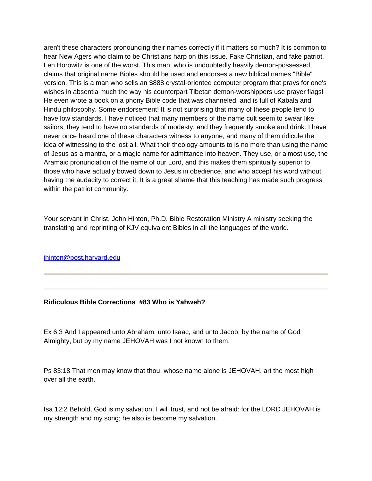aren't these characters pronouncing their names correctly if it matters so much? It is common to hear New Agers who claim to be Christians harp on this issue. Fake Christian, and fake patriot, Len Horowitz is one of the worst. This man, who is undoubtedly heavily demon-possessed, claims that original name Bibles should be used and endorses a new biblical names "Bible" version. This is a man who sells an \$888 crystal-oriented computer program that prays for one's wishes in absentia much the way his counterpart Tibetan demon-worshippers use prayer flags! He even wrote a book on a phony Bible code that was channeled, and is full of Kabala and Hindu philosophy. Some endorsement! It is not surprising that many of these people tend to have low standards. I have noticed that many members of the name cult seem to swear like sailors, they tend to have no standards of modesty, and they frequently smoke and drink. I have never once heard one of these characters witness to anyone, and many of them ridicule the idea of witnessing to the lost all. What their theology amounts to is no more than using the name of Jesus as a mantra, or a magic name for admittance into heaven. They use, or almost use, the Aramaic pronunciation of the name of our Lord, and this makes them spiritually superior to those who have actually bowed down to Jesus in obedience, and who accept his word without having the audacity to correct it. It is a great shame that this teaching has made such progress within the patriot community.

Your servant in Christ, John Hinton, Ph.D. Bible Restoration Ministry A ministry seeking the translating and reprinting of KJV equivalent Bibles in all the languages of the world.

jhinton@post.harvard.edu

#### **Ridiculous Bible Corrections #83 Who is Yahweh?**

Ex 6:3 And I appeared unto Abraham, unto Isaac, and unto Jacob, by the name of God Almighty, but by my name JEHOVAH was I not known to them.

Ps 83:18 That men may know that thou, whose name alone is JEHOVAH, art the most high over all the earth.

Isa 12:2 Behold, God is my salvation; I will trust, and not be afraid: for the LORD JEHOVAH is my strength and my song; he also is become my salvation.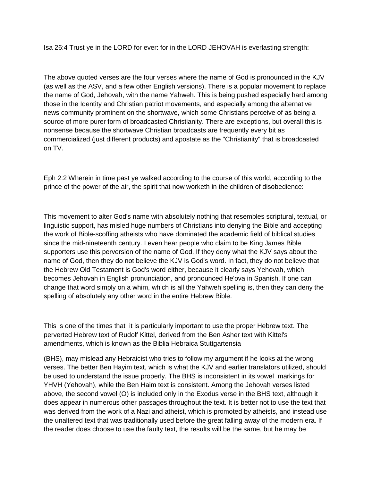Isa 26:4 Trust ye in the LORD for ever: for in the LORD JEHOVAH is everlasting strength:

The above quoted verses are the four verses where the name of God is pronounced in the KJV (as well as the ASV, and a few other English versions). There is a popular movement to replace the name of God, Jehovah, with the name Yahweh. This is being pushed especially hard among those in the Identity and Christian patriot movements, and especially among the alternative news community prominent on the shortwave, which some Christians perceive of as being a source of more purer form of broadcasted Christianity. There are exceptions, but overall this is nonsense because the shortwave Christian broadcasts are frequently every bit as commercialized (just different products) and apostate as the "Christianity" that is broadcasted on TV.

Eph 2:2 Wherein in time past ye walked according to the course of this world, according to the prince of the power of the air, the spirit that now worketh in the children of disobedience:

This movement to alter God's name with absolutely nothing that resembles scriptural, textual, or linguistic support, has misled huge numbers of Christians into denying the Bible and accepting the work of Bible-scoffing atheists who have dominated the academic field of biblical studies since the mid-nineteenth century. I even hear people who claim to be King James Bible supporters use this perversion of the name of God. If they deny what the KJV says about the name of God, then they do not believe the KJV is God's word. In fact, they do not believe that the Hebrew Old Testament is God's word either, because it clearly says Yehovah, which becomes Jehovah in English pronunciation, and pronounced He'ova in Spanish. If one can change that word simply on a whim, which is all the Yahweh spelling is, then they can deny the spelling of absolutely any other word in the entire Hebrew Bible.

This is one of the times that it is particularly important to use the proper Hebrew text. The perverted Hebrew text of Rudolf Kittel, derived from the Ben Asher text with Kittel's amendments, which is known as the Biblia Hebraica Stuttgartensia

(BHS), may mislead any Hebraicist who tries to follow my argument if he looks at the wrong verses. The better Ben Hayim text, which is what the KJV and earlier translators utilized, should be used to understand the issue properly. The BHS is inconsistent in its vowel markings for YHVH (Yehovah), while the Ben Haim text is consistent. Among the Jehovah verses listed above, the second vowel (O) is included only in the Exodus verse in the BHS text, although it does appear in numerous other passages throughout the text. It is better not to use the text that was derived from the work of a Nazi and atheist, which is promoted by atheists, and instead use the unaltered text that was traditionally used before the great falling away of the modern era. If the reader does choose to use the faulty text, the results will be the same, but he may be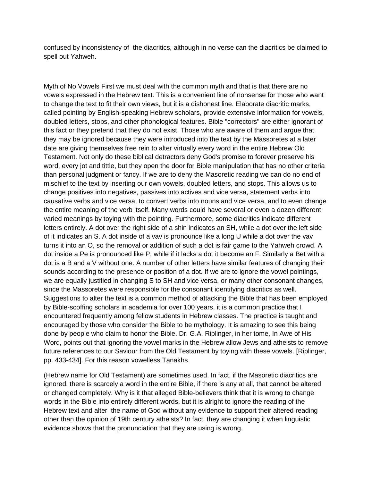confused by inconsistency of the diacritics, although in no verse can the diacritics be claimed to spell out Yahweh.

Myth of No Vowels First we must deal with the common myth and that is that there are no vowels expressed in the Hebrew text. This is a convenient line of nonsense for those who want to change the text to fit their own views, but it is a dishonest line. Elaborate diacritic marks, called pointing by English-speaking Hebrew scholars, provide extensive information for vowels, doubled letters, stops, and other phonological features. Bible "correctors" are either ignorant of this fact or they pretend that they do not exist. Those who are aware of them and argue that they may be ignored because they were introduced into the text by the Massoretes at a later date are giving themselves free rein to alter virtually every word in the entire Hebrew Old Testament. Not only do these biblical detractors deny God's promise to forever preserve his word, every jot and tittle, but they open the door for Bible manipulation that has no other criteria than personal judgment or fancy. If we are to deny the Masoretic reading we can do no end of mischief to the text by inserting our own vowels, doubled letters, and stops. This allows us to change positives into negatives, passives into actives and vice versa, statement verbs into causative verbs and vice versa, to convert verbs into nouns and vice versa, and to even change the entire meaning of the verb itself. Many words could have several or even a dozen different varied meanings by toying with the pointing. Furthermore, some diacritics indicate different letters entirely. A dot over the right side of a shin indicates an SH, while a dot over the left side of it indicates an S. A dot inside of a vav is pronounce like a long U while a dot over the vav turns it into an O, so the removal or addition of such a dot is fair game to the Yahweh crowd. A dot inside a Pe is pronounced like P, while if it lacks a dot it become an F. Similarly a Bet with a dot is a B and a V without one. A number of other letters have similar features of changing their sounds according to the presence or position of a dot. If we are to ignore the vowel pointings, we are equally justified in changing S to SH and vice versa, or many other consonant changes, since the Massoretes were responsible for the consonant identifying diacritics as well. Suggestions to alter the text is a common method of attacking the Bible that has been employed by Bible-scoffing scholars in academia for over 100 years, it is a common practice that I encountered frequently among fellow students in Hebrew classes. The practice is taught and encouraged by those who consider the Bible to be mythology. It is amazing to see this being done by people who claim to honor the Bible. Dr. G.A. Riplinger, in her tome, In Awe of His Word, points out that ignoring the vowel marks in the Hebrew allow Jews and atheists to remove future references to our Saviour from the Old Testament by toying with these vowels. [Riplinger, pp. 433-434]. For this reason vowelless Tanakhs

(Hebrew name for Old Testament) are sometimes used. In fact, if the Masoretic diacritics are ignored, there is scarcely a word in the entire Bible, if there is any at all, that cannot be altered or changed completely. Why is it that alleged Bible-believers think that it is wrong to change words in the Bible into entirely different words, but it is alright to ignore the reading of the Hebrew text and alter the name of God without any evidence to support their altered reading other than the opinion of 19th century atheists? In fact, they are changing it when linguistic evidence shows that the pronunciation that they are using is wrong.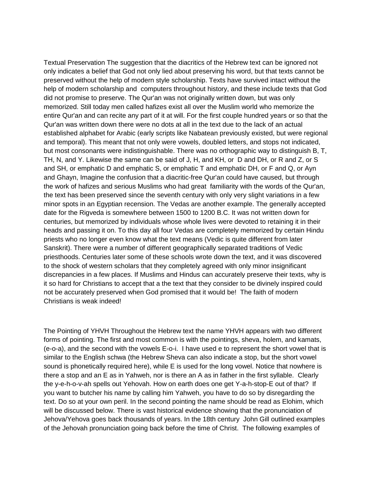Textual Preservation The suggestion that the diacritics of the Hebrew text can be ignored not only indicates a belief that God not only lied about preserving his word, but that texts cannot be preserved without the help of modern style scholarship. Texts have survived intact without the help of modern scholarship and computers throughout history, and these include texts that God did not promise to preserve. The Qur'an was not originally written down, but was only memorized. Still today men called hafizes exist all over the Muslim world who memorize the entire Qur'an and can recite any part of it at will. For the first couple hundred years or so that the Qur'an was written down there were no dots at all in the text due to the lack of an actual established alphabet for Arabic (early scripts like Nabatean previously existed, but were regional and temporal). This meant that not only were vowels, doubled letters, and stops not indicated, but most consonants were indistinguishable. There was no orthographic way to distinguish B, T, TH, N, and Y. Likewise the same can be said of J, H, and KH, or D and DH, or R and Z, or S and SH, or emphatic D and emphatic S, or emphatic T and emphatic DH, or F and Q, or Ayn and Ghayn, Imagine the confusion that a diacritic-free Qur'an could have caused, but through the work of hafizes and serious Muslims who had great familiarity with the words of the Qur'an, the text has been preserved since the seventh century with only very slight variations in a few minor spots in an Egyptian recension. The Vedas are another example. The generally accepted date for the Rigveda is somewhere between 1500 to 1200 B.C. It was not written down for centuries, but memorized by individuals whose whole lives were devoted to retaining it in their heads and passing it on. To this day all four Vedas are completely memorized by certain Hindu priests who no longer even know what the text means (Vedic is quite different from later Sanskrit). There were a number of different geographically separated traditions of Vedic priesthoods. Centuries later some of these schools wrote down the text, and it was discovered to the shock of western scholars that they completely agreed with only minor insignificant discrepancies in a few places. If Muslims and Hindus can accurately preserve their texts, why is it so hard for Christians to accept that a the text that they consider to be divinely inspired could not be accurately preserved when God promised that it would be! The faith of modern Christians is weak indeed!

The Pointing of YHVH Throughout the Hebrew text the name YHVH appears with two different forms of pointing. The first and most common is with the pointings, sheva, holem, and kamats, (e-o-a), and the second with the vowels E-o-i. I have used e to represent the short vowel that is similar to the English schwa (the Hebrew Sheva can also indicate a stop, but the short vowel sound is phonetically required here), while E is used for the long vowel. Notice that nowhere is there a stop and an E as in Yahweh, nor is there an A as in father in the first syllable. Clearly the y-e-h-o-v-ah spells out Yehovah. How on earth does one get Y-a-h-stop-E out of that? If you want to butcher his name by calling him Yahweh, you have to do so by disregarding the text. Do so at your own peril. In the second pointing the name should be read as Elohim, which will be discussed below. There is vast historical evidence showing that the pronunciation of Jehova/Yehova goes back thousands of years. In the 18th century John Gill outlined examples of the Jehovah pronunciation going back before the time of Christ. The following examples of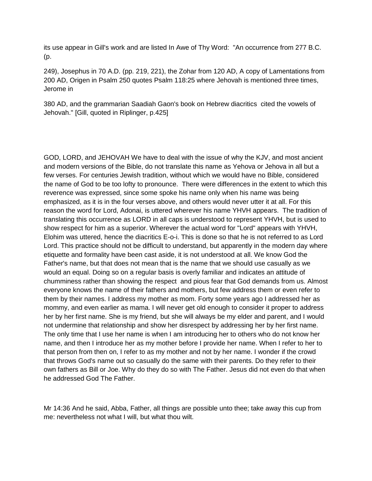its use appear in Gill's work and are listed In Awe of Thy Word: "An occurrence from 277 B.C. (p.

249), Josephus in 70 A.D. (pp. 219, 221), the Zohar from 120 AD, A copy of Lamentations from 200 AD, Origen in Psalm 250 quotes Psalm 118:25 where Jehovah is mentioned three times, Jerome in

380 AD, and the grammarian Saadiah Gaon's book on Hebrew diacritics cited the vowels of Jehovah." [Gill, quoted in Riplinger, p.425]

GOD, LORD, and JEHOVAH We have to deal with the issue of why the KJV, and most ancient and modern versions of the Bible, do not translate this name as Yehova or Jehova in all but a few verses. For centuries Jewish tradition, without which we would have no Bible, considered the name of God to be too lofty to pronounce. There were differences in the extent to which this reverence was expressed, since some spoke his name only when his name was being emphasized, as it is in the four verses above, and others would never utter it at all. For this reason the word for Lord, Adonai, is uttered wherever his name YHVH appears. The tradition of translating this occurrence as LORD in all caps is understood to represent YHVH, but is used to show respect for him as a superior. Wherever the actual word for "Lord" appears with YHVH, Elohim was uttered, hence the diacritics E-o-i. This is done so that he is not referred to as Lord Lord. This practice should not be difficult to understand, but apparently in the modern day where etiquette and formality have been cast aside, it is not understood at all. We know God the Father's name, but that does not mean that is the name that we should use casually as we would an equal. Doing so on a regular basis is overly familiar and indicates an attitude of chumminess rather than showing the respect and pious fear that God demands from us. Almost everyone knows the name of their fathers and mothers, but few address them or even refer to them by their names. I address my mother as mom. Forty some years ago I addressed her as mommy, and even earlier as mama. I will never get old enough to consider it proper to address her by her first name. She is my friend, but she will always be my elder and parent, and I would not undermine that relationship and show her disrespect by addressing her by her first name. The only time that I use her name is when I am introducing her to others who do not know her name, and then I introduce her as my mother before I provide her name. When I refer to her to that person from then on, I refer to as my mother and not by her name. I wonder if the crowd that throws God's name out so casually do the same with their parents. Do they refer to their own fathers as Bill or Joe. Why do they do so with The Father. Jesus did not even do that when he addressed God The Father.

Mr 14:36 And he said, Abba, Father, all things are possible unto thee; take away this cup from me: nevertheless not what I will, but what thou wilt.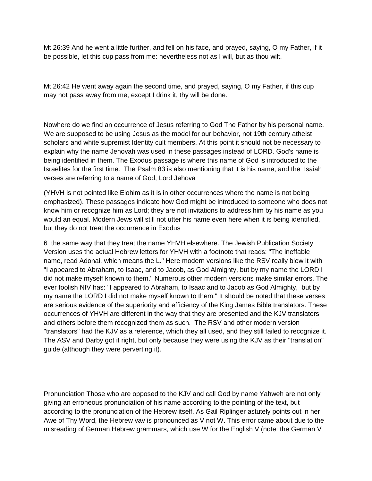Mt 26:39 And he went a little further, and fell on his face, and prayed, saying, O my Father, if it be possible, let this cup pass from me: nevertheless not as I will, but as thou wilt.

Mt 26:42 He went away again the second time, and prayed, saying, O my Father, if this cup may not pass away from me, except I drink it, thy will be done.

Nowhere do we find an occurrence of Jesus referring to God The Father by his personal name. We are supposed to be using Jesus as the model for our behavior, not 19th century atheist scholars and white supremist Identity cult members. At this point it should not be necessary to explain why the name Jehovah was used in these passages instead of LORD. God's name is being identified in them. The Exodus passage is where this name of God is introduced to the Israelites for the first time. The Psalm 83 is also mentioning that it is his name, and the Isaiah verses are referring to a name of God, Lord Jehova

(YHVH is not pointed like Elohim as it is in other occurrences where the name is not being emphasized). These passages indicate how God might be introduced to someone who does not know him or recognize him as Lord; they are not invitations to address him by his name as you would an equal. Modern Jews will still not utter his name even here when it is being identified, but they do not treat the occurrence in Exodus

6 the same way that they treat the name YHVH elsewhere. The Jewish Publication Society Version uses the actual Hebrew letters for YHVH with a footnote that reads: "The ineffable name, read Adonai, which means the L." Here modern versions like the RSV really blew it with "I appeared to Abraham, to Isaac, and to Jacob, as God Almighty, but by my name the LORD I did not make myself known to them." Numerous other modern versions make similar errors. The ever foolish NIV has: "I appeared to Abraham, to Isaac and to Jacob as God Almighty, but by my name the LORD I did not make myself known to them." It should be noted that these verses are serious evidence of the superiority and efficiency of the King James Bible translators. These occurrences of YHVH are different in the way that they are presented and the KJV translators and others before them recognized them as such. The RSV and other modern version "translators" had the KJV as a reference, which they all used, and they still failed to recognize it. The ASV and Darby got it right, but only because they were using the KJV as their "translation" guide (although they were perverting it).

Pronunciation Those who are opposed to the KJV and call God by name Yahweh are not only giving an erroneous pronunciation of his name according to the pointing of the text, but according to the pronunciation of the Hebrew itself. As Gail Riplinger astutely points out in her Awe of Thy Word, the Hebrew vav is pronounced as V not W. This error came about due to the misreading of German Hebrew grammars, which use W for the English V (note: the German V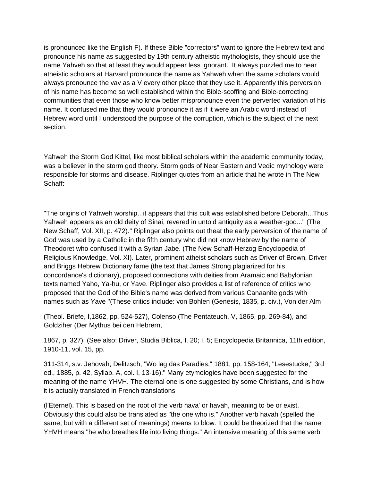is pronounced like the English F). If these Bible "correctors" want to ignore the Hebrew text and pronounce his name as suggested by 19th century atheistic mythologists, they should use the name Yahveh so that at least they would appear less ignorant. It always puzzled me to hear atheistic scholars at Harvard pronounce the name as Yahweh when the same scholars would always pronounce the vav as a V every other place that they use it. Apparently this perversion of his name has become so well established within the Bible-scoffing and Bible-correcting communities that even those who know better mispronounce even the perverted variation of his name. It confused me that they would pronounce it as if it were an Arabic word instead of Hebrew word until I understood the purpose of the corruption, which is the subject of the next section.

Yahweh the Storm God Kittel, like most biblical scholars within the academic community today, was a believer in the storm god theory. Storm gods of Near Eastern and Vedic mythology were responsible for storms and disease. Riplinger quotes from an article that he wrote in The New Schaff:

"The origins of Yahweh worship...it appears that this cult was established before Deborah...Thus Yahweh appears as an old deity of Sinai, revered in untold antiquity as a weather-god..." (The New Schaff, Vol. XII, p. 472)." Riplinger also points out theat the early perversion of the name of God was used by a Catholic in the fifth century who did not know Hebrew by the name of Theodoret who confused it with a Syrian Jabe. (The New Schaff-Herzog Encyclopedia of Religious Knowledge, Vol. XI). Later, prominent atheist scholars such as Driver of Brown, Driver and Briggs Hebrew Dictionary fame (the text that James Strong plagiarized for his concordance's dictionary), proposed connections with deities from Aramaic and Babylonian texts named Yaho, Ya-hu, or Yave. Riplinger also provides a list of reference of critics who proposed that the God of the Bible's name was derived from various Canaanite gods with names such as Yave "(These critics include: von Bohlen (Genesis, 1835, p. civ.), Von der Alm

(Theol. Briefe, I,1862, pp. 524-527), Colenso (The Pentateuch, V, 1865, pp. 269-84), and Goldziher (Der Mythus bei den Hebrern,

1867, p. 327). (See also: Driver, Studia Biblica, I. 20; I, 5; Encyclopedia Britannica, 11th edition, 1910-11, vol. 15, pp.

311-314, s.v. Jehovah; Delitzsch, "Wo lag das Paradies," 1881, pp. 158-164; "Lesestucke," 3rd ed., 1885, p. 42, Syllab. A, col. I, 13-16)." Many etymologies have been suggested for the meaning of the name YHVH. The eternal one is one suggested by some Christians, and is how it is actually translated in French translations

(l'Eternel). This is based on the root of the verb hava' or havah, meaning to be or exist. Obviously this could also be translated as "the one who is." Another verb havah (spelled the same, but with a different set of meanings) means to blow. It could be theorized that the name YHVH means "he who breathes life into living things." An intensive meaning of this same verb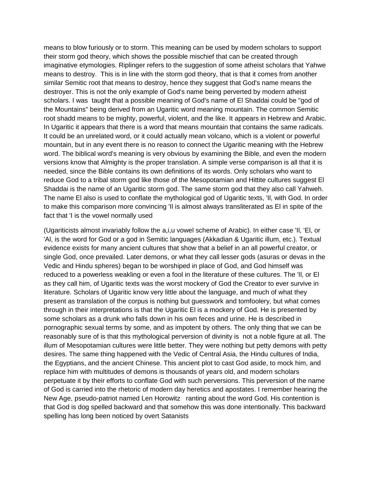means to blow furiously or to storm. This meaning can be used by modern scholars to support their storm god theory, which shows the possible mischief that can be created through imaginative etymologies. Riplinger refers to the suggestion of some atheist scholars that Yahwe means to destroy. This is in line with the storm god theory, that is that it comes from another similar Semitic root that means to destroy, hence they suggest that God's name means the destroyer. This is not the only example of God's name being perverted by modern atheist scholars. I was taught that a possible meaning of God's name of El Shaddai could be "god of the Mountains" being derived from an Ugaritic word meaning mountain. The common Semitic root shadd means to be mighty, powerful, violent, and the like. It appears in Hebrew and Arabic. In Ugaritic it appears that there is a word that means mountain that contains the same radicals. It could be an unrelated word, or it could actually mean volcano, which is a violent or powerful mountain, but in any event there is no reason to connect the Ugaritic meaning with the Hebrew word. The biblical word's meaning is very obvious by examining the Bible, and even the modern versions know that Almighty is the proper translation. A simple verse comparison is all that it is needed, since the Bible contains its own definitions of its words. Only scholars who want to reduce God to a tribal storm god like those of the Mesopotamian and Hittite cultures suggest El Shaddai is the name of an Ugaritic storm god. The same storm god that they also call Yahweh. The name El also is used to conflate the mythological god of Ugaritic texts, 'Il, with God. In order to make this comparison more convincing 'Il is almost always transliterated as El in spite of the fact that 'I is the vowel normally used

(Ugariticists almost invariably follow the a,i,u vowel scheme of Arabic). In either case 'Il, 'El, or 'Al, is the word for God or a god in Semitic languages (Akkadian & Ugaritic illum, etc.). Textual evidence exists for many ancient cultures that show that a belief in an all powerful creator, or single God, once prevailed. Later demons, or what they call lesser gods (asuras or devas in the Vedic and Hindu spheres) began to be worshiped in place of God, and God himself was reduced to a powerless weakling or even a fool in the literature of these cultures. The 'Il, or El as they call him, of Ugaritic texts was the worst mockery of God the Creator to ever survive in literature. Scholars of Ugaritic know very little about the language, and much of what they present as translation of the corpus is nothing but guesswork and tomfoolery, but what comes through in their interpretations is that the Ugaritic El is a mockery of God. He is presented by some scholars as a drunk who falls down in his own feces and urine. He is described in pornographic sexual terms by some, and as impotent by others. The only thing that we can be reasonably sure of is that this mythological perversion of divinity is not a noble figure at all. The illum of Mesopotamian cultures were little better. They were nothing but petty demons with petty desires. The same thing happened with the Vedic of Central Asia, the Hindu cultures of India, the Egyptians, and the ancient Chinese. This ancient plot to cast God aside, to mock him, and replace him with multitudes of demons is thousands of years old, and modern scholars perpetuate it by their efforts to conflate God with such perversions. This perversion of the name of God is carried into the rhetoric of modern day heretics and apostates. I remember hearing the New Age, pseudo-patriot named Len Horowitz ranting about the word God. His contention is that God is dog spelled backward and that somehow this was done intentionally. This backward spelling has long been noticed by overt Satanists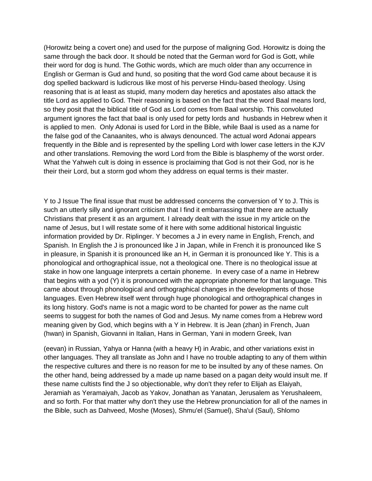(Horowitz being a covert one) and used for the purpose of maligning God. Horowitz is doing the same through the back door. It should be noted that the German word for God is Gott, while their word for dog is hund. The Gothic words, which are much older than any occurrence in English or German is Gud and hund, so positing that the word God came about because it is dog spelled backward is ludicrous like most of his perverse Hindu-based theology. Using reasoning that is at least as stupid, many modern day heretics and apostates also attack the title Lord as applied to God. Their reasoning is based on the fact that the word Baal means lord, so they posit that the biblical title of God as Lord comes from Baal worship. This convoluted argument ignores the fact that baal is only used for petty lords and husbands in Hebrew when it is applied to men. Only Adonai is used for Lord in the Bible, while Baal is used as a name for the false god of the Canaanites, who is always denounced. The actual word Adonai appears frequently in the Bible and is represented by the spelling Lord with lower case letters in the KJV and other translations. Removing the word Lord from the Bible is blasphemy of the worst order. What the Yahweh cult is doing in essence is proclaiming that God is not their God, nor is he their their Lord, but a storm god whom they address on equal terms is their master.

Y to J Issue The final issue that must be addressed concerns the conversion of Y to J. This is such an utterly silly and ignorant criticism that I find it embarrassing that there are actually Christians that present it as an argument. I already dealt with the issue in my article on the name of Jesus, but I will restate some of it here with some additional historical linguistic information provided by Dr. Riplinger. Y becomes a J in every name in English, French, and Spanish. In English the J is pronounced like J in Japan, while in French it is pronounced like S in pleasure, in Spanish it is pronounced like an H, in German it is pronounced like Y. This is a phonological and orthographical issue, not a theological one. There is no theological issue at stake in how one language interprets a certain phoneme. In every case of a name in Hebrew that begins with a yod (Y) it is pronounced with the appropriate phoneme for that language. This came about through phonological and orthographical changes in the developments of those languages. Even Hebrew itself went through huge phonological and orthographical changes in its long history. God's name is not a magic word to be chanted for power as the name cult seems to suggest for both the names of God and Jesus. My name comes from a Hebrew word meaning given by God, which begins with a Y in Hebrew. It is Jean (zhan) in French, Juan (hwan) in Spanish, Giovanni in Italian, Hans in German, Yani in modern Greek, Ivan

(eevan) in Russian, Yahya or Hanna (with a heavy H) in Arabic, and other variations exist in other languages. They all translate as John and I have no trouble adapting to any of them within the respective cultures and there is no reason for me to be insulted by any of these names. On the other hand, being addressed by a made up name based on a pagan deity would insult me. If these name cultists find the J so objectionable, why don't they refer to Elijah as Elaiyah, Jeramiah as Yeramaiyah, Jacob as Yakov, Jonathan as Yanatan, Jerusalem as Yerushaleem, and so forth. For that matter why don't they use the Hebrew pronunciation for all of the names in the Bible, such as Dahveed, Moshe (Moses), Shmu'el (Samuel), Sha'ul (Saul), Shlomo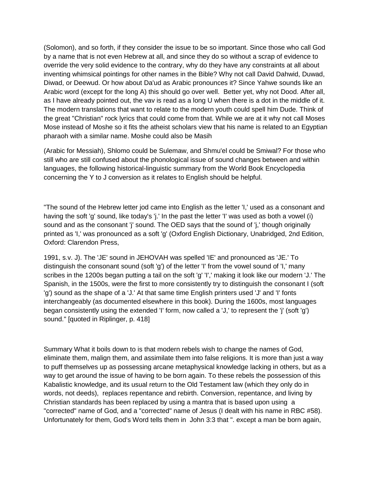(Solomon), and so forth, if they consider the issue to be so important. Since those who call God by a name that is not even Hebrew at all, and since they do so without a scrap of evidence to override the very solid evidence to the contrary, why do they have any constraints at all about inventing whimsical pointings for other names in the Bible? Why not call David Dahwid, Duwad, Diwad, or Deewud. Or how about Da'ud as Arabic pronounces it? Since Yahwe sounds like an Arabic word (except for the long A) this should go over well. Better yet, why not Dood. After all, as I have already pointed out, the vav is read as a long U when there is a dot in the middle of it. The modern translations that want to relate to the modern youth could spell him Dude. Think of the great "Christian" rock lyrics that could come from that. While we are at it why not call Moses Mose instead of Moshe so it fits the atheist scholars view that his name is related to an Egyptian pharaoh with a similar name. Moshe could also be Masih

(Arabic for Messiah), Shlomo could be Sulemaw, and Shmu'el could be Smiwal? For those who still who are still confused about the phonological issue of sound changes between and within languages, the following historical-linguistic summary from the World Book Encyclopedia concerning the Y to J conversion as it relates to English should be helpful.

"The sound of the Hebrew letter jod came into English as the letter 'I,' used as a consonant and having the soft 'g' sound, like today's 'i.' In the past the letter 'I' was used as both a vowel (i) sound and as the consonant 'j' sound. The OED says that the sound of 'j,' though originally printed as 'I,' was pronounced as a soft 'g' (Oxford English Dictionary, Unabridged, 2nd Edition, Oxford: Clarendon Press,

1991, s.v. J). The 'JE' sound in JEHOVAH was spelled 'IE' and pronounced as 'JE.' To distinguish the consonant sound (soft 'g') of the letter 'I' from the vowel sound of 'I,' many scribes in the 1200s began putting a tail on the soft 'g' 'I',' making it look like our modern 'J.' The Spanish, in the 1500s, were the first to more consistently try to distinguish the consonant I (soft 'g') sound as the shape of a 'J.' At that same time English printers used 'J' and 'I' fonts interchangeably (as documented elsewhere in this book). During the 1600s, most languages began consistently using the extended 'I' form, now called a 'J,' to represent the 'j' (soft 'g') sound." [quoted in Riplinger, p. 418]

Summary What it boils down to is that modern rebels wish to change the names of God, eliminate them, malign them, and assimilate them into false religions. It is more than just a way to puff themselves up as possessing arcane metaphysical knowledge lacking in others, but as a way to get around the issue of having to be born again. To these rebels the possession of this Kabalistic knowledge, and its usual return to the Old Testament law (which they only do in words, not deeds), replaces repentance and rebirth. Conversion, repentance, and living by Christian standards has been replaced by using a mantra that is based upon using a "corrected" name of God, and a "corrected" name of Jesus (I dealt with his name in RBC #58). Unfortunately for them, God's Word tells them in John 3:3 that ". except a man be born again,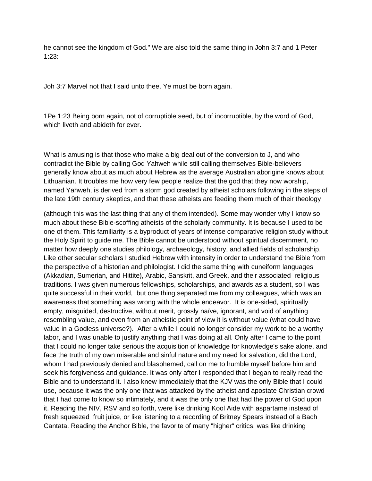he cannot see the kingdom of God." We are also told the same thing in John 3:7 and 1 Peter 1:23:

Joh 3:7 Marvel not that I said unto thee, Ye must be born again.

1Pe 1:23 Being born again, not of corruptible seed, but of incorruptible, by the word of God, which liveth and abideth for ever.

What is amusing is that those who make a big deal out of the conversion to J, and who contradict the Bible by calling God Yahweh while still calling themselves Bible-believers generally know about as much about Hebrew as the average Australian aborigine knows about Lithuanian. It troubles me how very few people realize that the god that they now worship, named Yahweh, is derived from a storm god created by atheist scholars following in the steps of the late 19th century skeptics, and that these atheists are feeding them much of their theology

(although this was the last thing that any of them intended). Some may wonder why I know so much about these Bible-scoffing atheists of the scholarly community. It is because I used to be one of them. This familiarity is a byproduct of years of intense comparative religion study without the Holy Spirit to guide me. The Bible cannot be understood without spiritual discernment, no matter how deeply one studies philology, archaeology, history, and allied fields of scholarship. Like other secular scholars I studied Hebrew with intensity in order to understand the Bible from the perspective of a historian and philologist. I did the same thing with cuneiform languages (Akkadian, Sumerian, and Hittite), Arabic, Sanskrit, and Greek, and their associated religious traditions. I was given numerous fellowships, scholarships, and awards as a student, so I was quite successful in their world, but one thing separated me from my colleagues, which was an awareness that something was wrong with the whole endeavor. It is one-sided, spiritually empty, misguided, destructive, without merit, grossly naïve, ignorant, and void of anything resembling value, and even from an atheistic point of view it is without value (what could have value in a Godless universe?). After a while I could no longer consider my work to be a worthy labor, and I was unable to justify anything that I was doing at all. Only after I came to the point that I could no longer take serious the acquisition of knowledge for knowledge's sake alone, and face the truth of my own miserable and sinful nature and my need for salvation, did the Lord, whom I had previously denied and blasphemed, call on me to humble myself before him and seek his forgiveness and guidance. It was only after I responded that I began to really read the Bible and to understand it. I also knew immediately that the KJV was the only Bible that I could use, because it was the only one that was attacked by the atheist and apostate Christian crowd that I had come to know so intimately, and it was the only one that had the power of God upon it. Reading the NIV, RSV and so forth, were like drinking Kool Aide with aspartame instead of fresh squeezed fruit juice, or like listening to a recording of Britney Spears instead of a Bach Cantata. Reading the Anchor Bible, the favorite of many "higher" critics, was like drinking